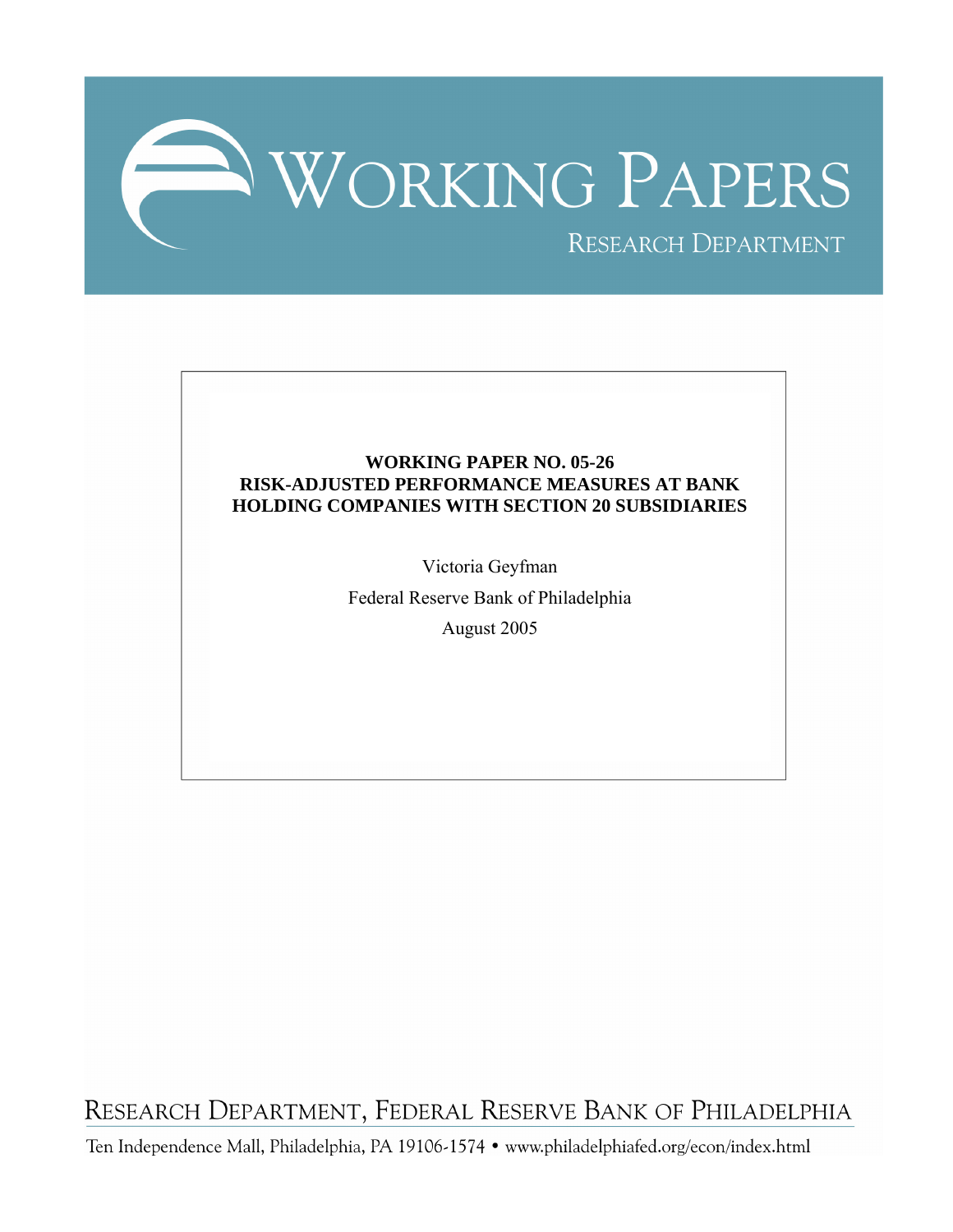

# **WORKING PAPER NO. 05-26 RISK-ADJUSTED PERFORMANCE MEASURES AT BANK HOLDING COMPANIES WITH SECTION 20 SUBSIDIARIES**

Victoria Geyfman

Federal Reserve Bank of Philadelphia

August 2005

RESEARCH DEPARTMENT, FEDERAL RESERVE BANK OF PHILADELPHIA

Ten Independence Mall, Philadelphia, PA 19106-1574 · www.philadelphiafed.org/econ/index.html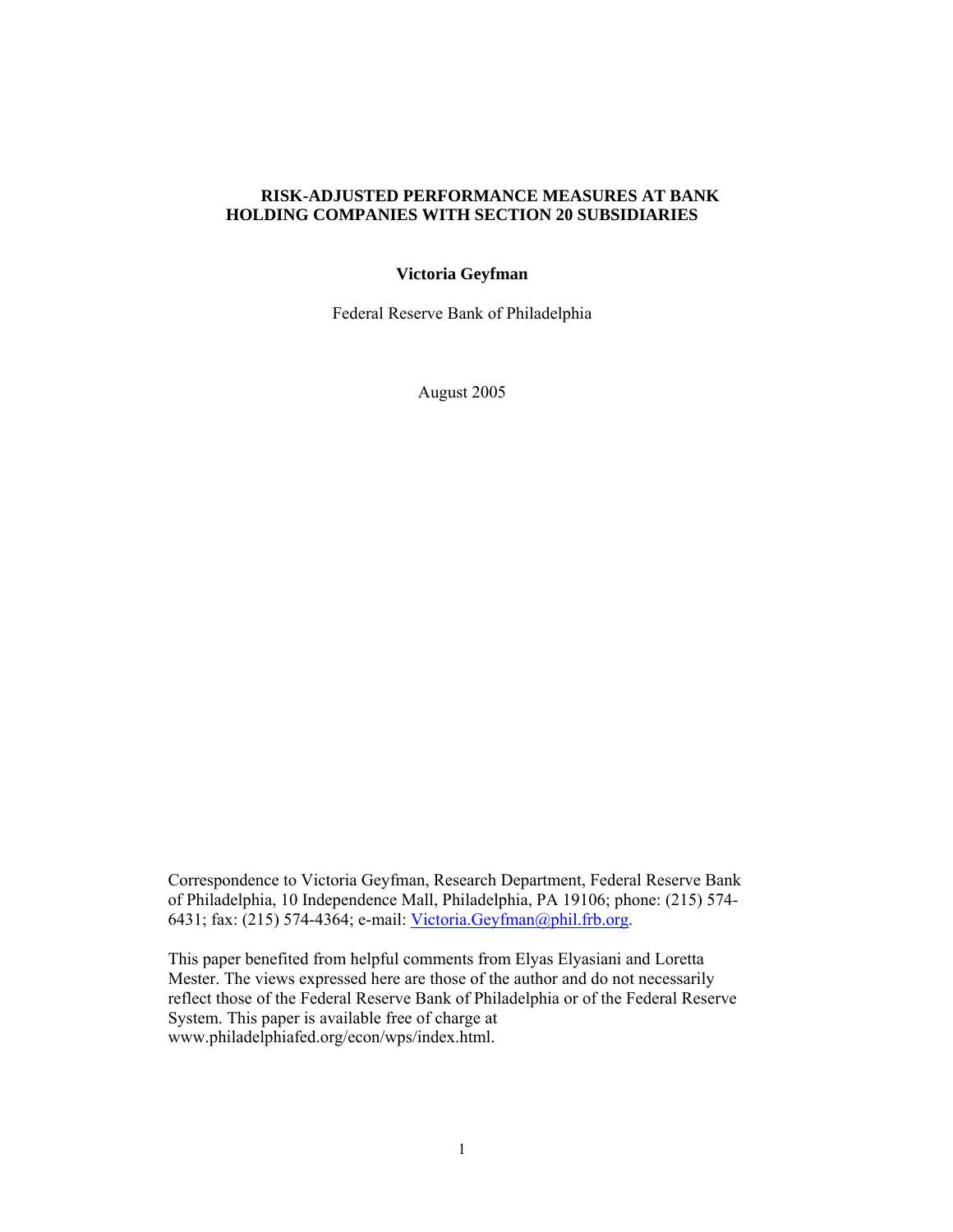# **RISK-ADJUSTED PERFORMANCE MEASURES AT BANK HOLDING COMPANIES WITH SECTION 20 SUBSIDIARIES**

# **Victoria Geyfman**

Federal Reserve Bank of Philadelphia

August 2005

Correspondence to Victoria Geyfman, Research Department, Federal Reserve Bank of Philadelphia, 10 Independence Mall, Philadelphia, PA 19106; phone: (215) 574- 6431; fax: (215) 574-4364; e-mail: [Victoria.Geyfman@phil.frb.org](mailto:Victoria.Geyfman@phil.frb.org).

This paper benefited from helpful comments from Elyas Elyasiani and Loretta Mester. The views expressed here are those of the author and do not necessarily reflect those of the Federal Reserve Bank of Philadelphia or of the Federal Reserve System. This paper is available free of charge at www.philadelphiafed.org/econ/wps/index.html.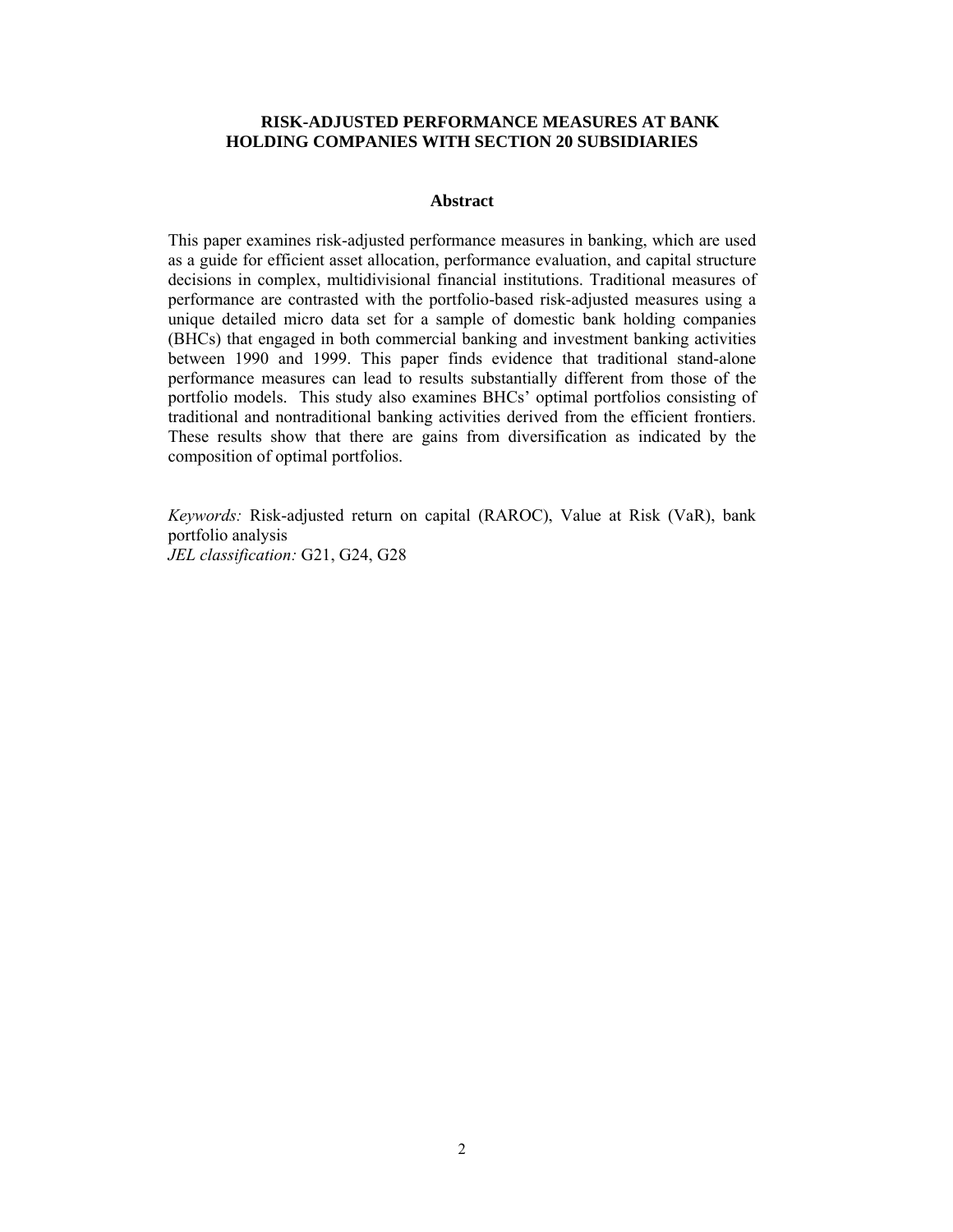### **RISK-ADJUSTED PERFORMANCE MEASURES AT BANK HOLDING COMPANIES WITH SECTION 20 SUBSIDIARIES**

#### **Abstract**

This paper examines risk-adjusted performance measures in banking, which are used as a guide for efficient asset allocation, performance evaluation, and capital structure decisions in complex, multidivisional financial institutions. Traditional measures of performance are contrasted with the portfolio-based risk-adjusted measures using a unique detailed micro data set for a sample of domestic bank holding companies (BHCs) that engaged in both commercial banking and investment banking activities between 1990 and 1999. This paper finds evidence that traditional stand-alone performance measures can lead to results substantially different from those of the portfolio models. This study also examines BHCs' optimal portfolios consisting of traditional and nontraditional banking activities derived from the efficient frontiers. These results show that there are gains from diversification as indicated by the composition of optimal portfolios.

*Keywords:* Risk-adjusted return on capital (RAROC), Value at Risk (VaR), bank portfolio analysis *JEL classification:* G21, G24, G28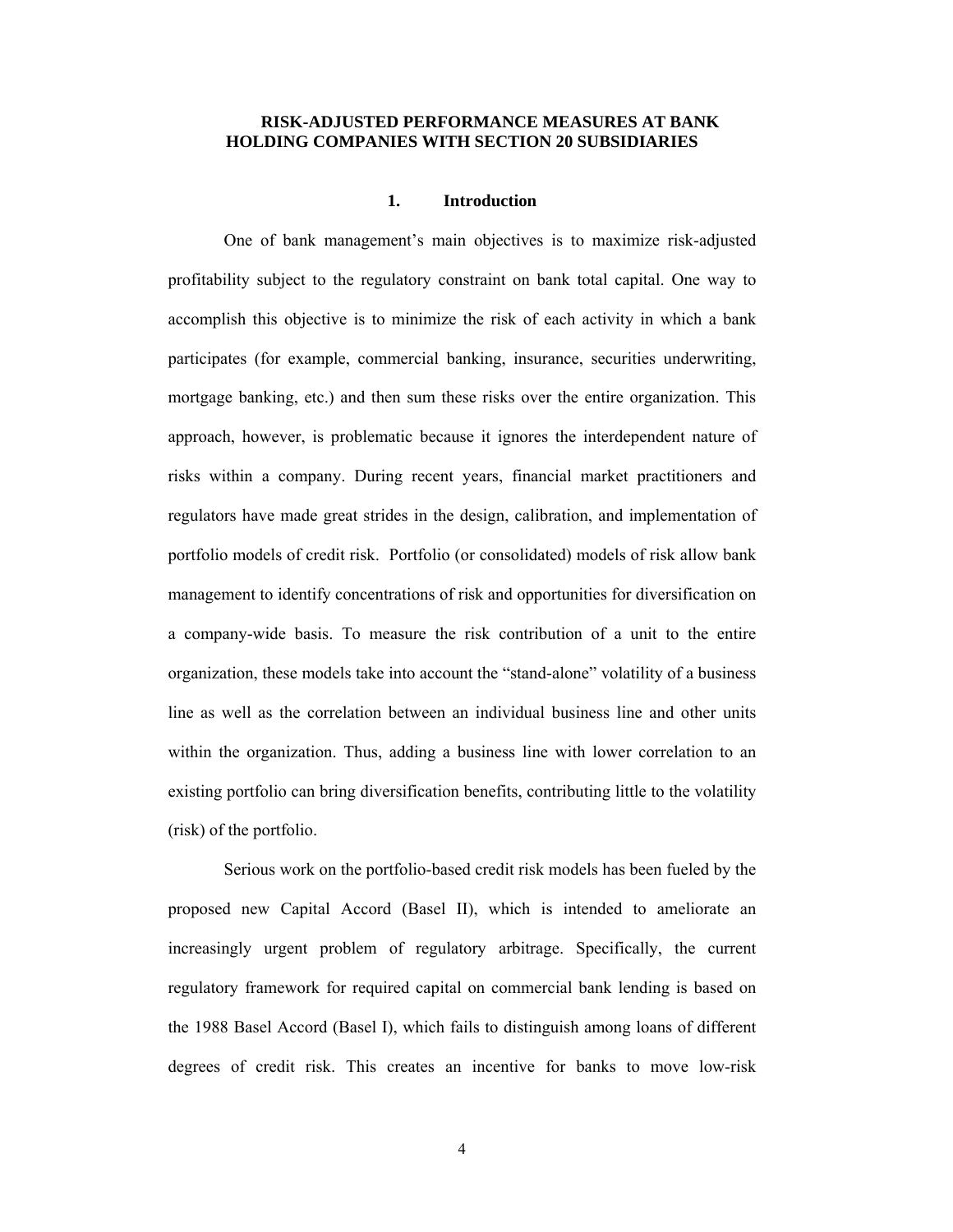### **RISK-ADJUSTED PERFORMANCE MEASURES AT BANK HOLDING COMPANIES WITH SECTION 20 SUBSIDIARIES**

### **1. Introduction**

One of bank management's main objectives is to maximize risk-adjusted profitability subject to the regulatory constraint on bank total capital. One way to accomplish this objective is to minimize the risk of each activity in which a bank participates (for example, commercial banking, insurance, securities underwriting, mortgage banking, etc.) and then sum these risks over the entire organization. This approach, however, is problematic because it ignores the interdependent nature of risks within a company. During recent years, financial market practitioners and regulators have made great strides in the design, calibration, and implementation of portfolio models of credit risk. Portfolio (or consolidated) models of risk allow bank management to identify concentrations of risk and opportunities for diversification on a company-wide basis. To measure the risk contribution of a unit to the entire organization, these models take into account the "stand-alone" volatility of a business line as well as the correlation between an individual business line and other units within the organization. Thus, adding a business line with lower correlation to an existing portfolio can bring diversification benefits, contributing little to the volatility (risk) of the portfolio.

Serious work on the portfolio-based credit risk models has been fueled by the proposed new Capital Accord (Basel II), which is intended to ameliorate an increasingly urgent problem of regulatory arbitrage. Specifically, the current regulatory framework for required capital on commercial bank lending is based on the 1988 Basel Accord (Basel I), which fails to distinguish among loans of different degrees of credit risk. This creates an incentive for banks to move low-risk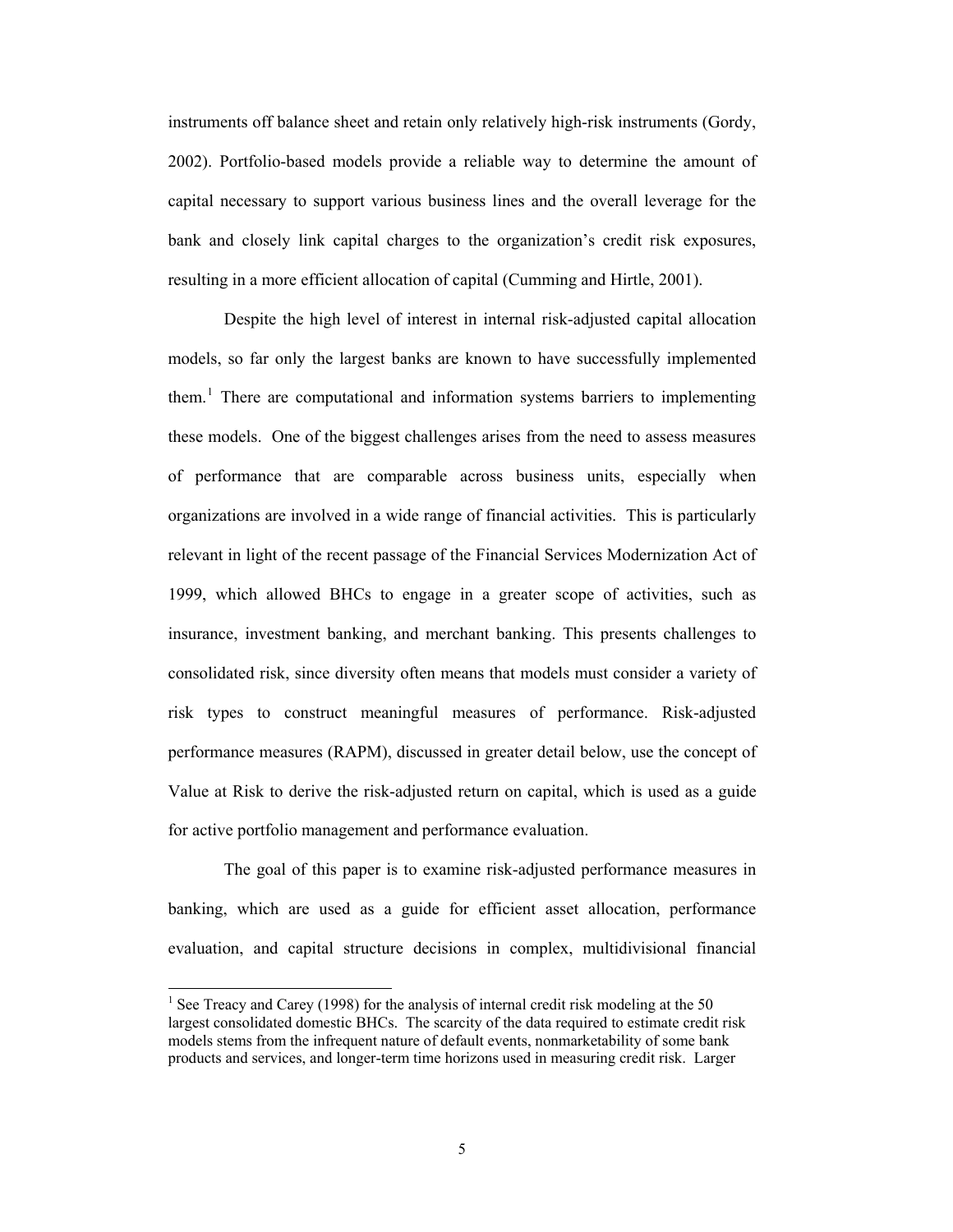instruments off balance sheet and retain only relatively high-risk instruments (Gordy, 2002). Portfolio-based models provide a reliable way to determine the amount of capital necessary to support various business lines and the overall leverage for the bank and closely link capital charges to the organization's credit risk exposures, resulting in a more efficient allocation of capital (Cumming and Hirtle, 2001).

Despite the high level of interest in internal risk-adjusted capital allocation models, so far only the largest banks are known to have successfully implemented them.<sup>[1](#page-4-0)</sup> There are computational and information systems barriers to implementing these models. One of the biggest challenges arises from the need to assess measures of performance that are comparable across business units, especially when organizations are involved in a wide range of financial activities. This is particularly relevant in light of the recent passage of the Financial Services Modernization Act of 1999, which allowed BHCs to engage in a greater scope of activities, such as insurance, investment banking, and merchant banking. This presents challenges to consolidated risk, since diversity often means that models must consider a variety of risk types to construct meaningful measures of performance. Risk-adjusted performance measures (RAPM), discussed in greater detail below, use the concept of Value at Risk to derive the risk-adjusted return on capital, which is used as a guide for active portfolio management and performance evaluation.

The goal of this paper is to examine risk-adjusted performance measures in banking, which are used as a guide for efficient asset allocation, performance evaluation, and capital structure decisions in complex, multidivisional financial

<span id="page-4-0"></span><sup>&</sup>lt;sup>1</sup> See Treacy and Carey (1998) for the analysis of internal credit risk modeling at the 50 largest consolidated domestic BHCs. The scarcity of the data required to estimate credit risk models stems from the infrequent nature of default events, nonmarketability of some bank products and services, and longer-term time horizons used in measuring credit risk. Larger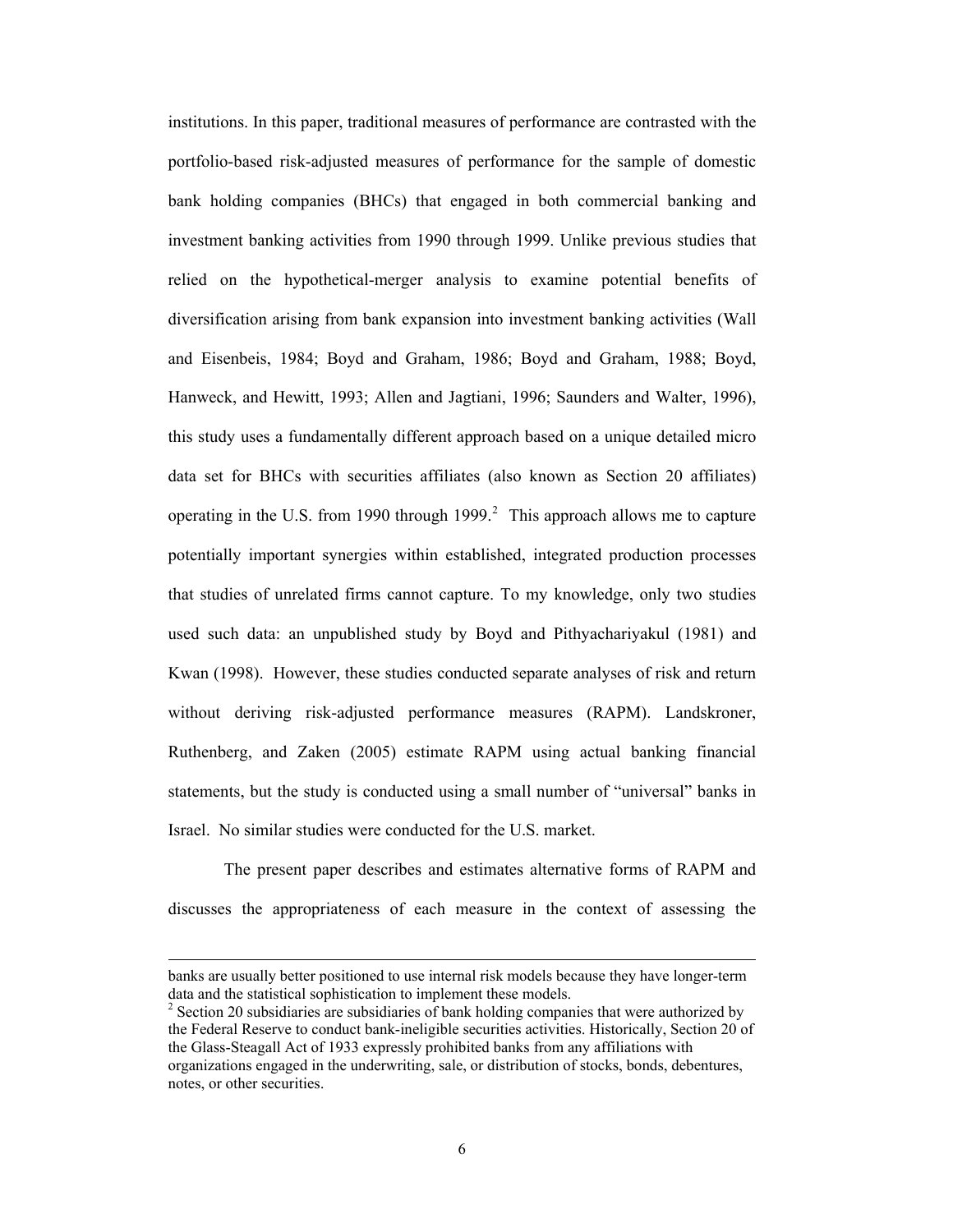institutions. In this paper, traditional measures of performance are contrasted with the portfolio-based risk-adjusted measures of performance for the sample of domestic bank holding companies (BHCs) that engaged in both commercial banking and investment banking activities from 1990 through 1999. Unlike previous studies that relied on the hypothetical-merger analysis to examine potential benefits of diversification arising from bank expansion into investment banking activities (Wall and Eisenbeis, 1984; Boyd and Graham, 1986; Boyd and Graham, 1988; Boyd, Hanweck, and Hewitt, 1993; Allen and Jagtiani, 1996; Saunders and Walter, 1996), this study uses a fundamentally different approach based on a unique detailed micro data set for BHCs with securities affiliates (also known as Section 20 affiliates) operating in the U.S. from 1990 through 1999.<sup>[2](#page-5-0)</sup> This approach allows me to capture potentially important synergies within established, integrated production processes that studies of unrelated firms cannot capture. To my knowledge, only two studies used such data: an unpublished study by Boyd and Pithyachariyakul (1981) and Kwan (1998). However, these studies conducted separate analyses of risk and return without deriving risk-adjusted performance measures (RAPM). Landskroner, Ruthenberg, and Zaken (2005) estimate RAPM using actual banking financial statements, but the study is conducted using a small number of "universal" banks in Israel. No similar studies were conducted for the U.S. market.

The present paper describes and estimates alternative forms of RAPM and discusses the appropriateness of each measure in the context of assessing the

banks are usually better positioned to use internal risk models because they have longer-term data and the statistical sophistication to implement these models.

<span id="page-5-0"></span> $2^2$  Section 20 subsidiaries are subsidiaries of bank holding companies that were authorized by the Federal Reserve to conduct bank-ineligible securities activities. Historically, Section 20 of the Glass-Steagall Act of 1933 expressly prohibited banks from any affiliations with organizations engaged in the underwriting, sale, or distribution of stocks, bonds, debentures, notes, or other securities.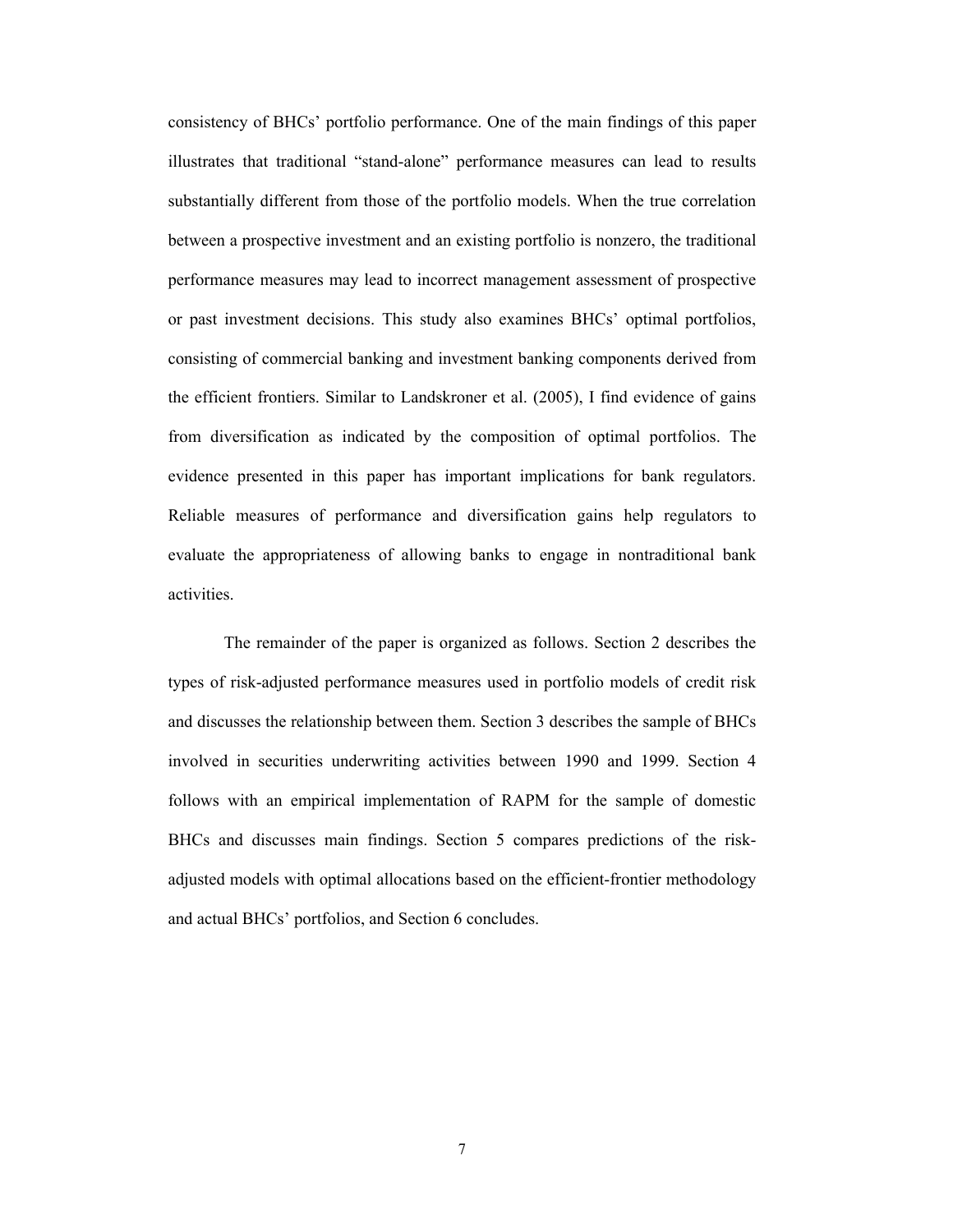consistency of BHCs' portfolio performance. One of the main findings of this paper illustrates that traditional "stand-alone" performance measures can lead to results substantially different from those of the portfolio models. When the true correlation between a prospective investment and an existing portfolio is nonzero, the traditional performance measures may lead to incorrect management assessment of prospective or past investment decisions. This study also examines BHCs' optimal portfolios, consisting of commercial banking and investment banking components derived from the efficient frontiers. Similar to Landskroner et al. (2005), I find evidence of gains from diversification as indicated by the composition of optimal portfolios. The evidence presented in this paper has important implications for bank regulators. Reliable measures of performance and diversification gains help regulators to evaluate the appropriateness of allowing banks to engage in nontraditional bank activities.

The remainder of the paper is organized as follows. Section [2](#page-7-0) describes the types of risk-adjusted performance measures used in portfolio models of credit risk and discusses the relationship between them. Section [3](#page-13-0) describes the sample of BHCs involved in securities underwriting activities between 1990 and 1999. Section [4](#page-14-0) follows with an empirical implementation of RAPM for the sample of domestic BHCs and discusses main findings. Section [5](#page-17-0) compares predictions of the riskadjusted models with optimal allocations based on the efficient-frontier methodology and actual BHCs' portfolios, and Section [6](#page-28-0) concludes.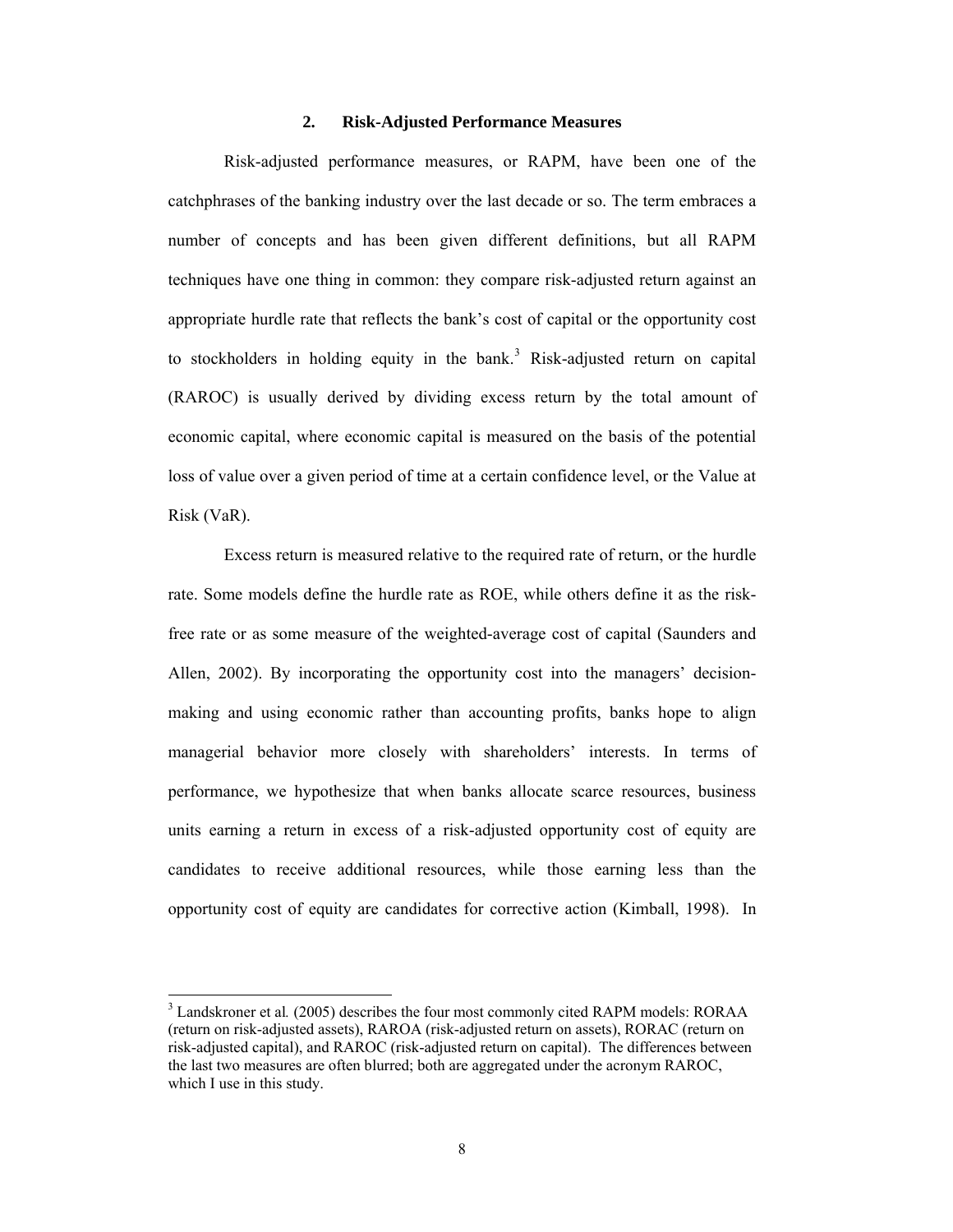#### **2. Risk-Adjusted Performance Measures**

<span id="page-7-0"></span>Risk-adjusted performance measures, or RAPM, have been one of the catchphrases of the banking industry over the last decade or so. The term embraces a number of concepts and has been given different definitions, but all RAPM techniques have one thing in common: they compare risk-adjusted return against an appropriate hurdle rate that reflects the bank's cost of capital or the opportunity cost to stockholders in holding equity in the bank.<sup>[3](#page-7-1)</sup> Risk-adjusted return on capital (RAROC) is usually derived by dividing excess return by the total amount of economic capital, where economic capital is measured on the basis of the potential loss of value over a given period of time at a certain confidence level, or the Value at Risk (VaR).

Excess return is measured relative to the required rate of return, or the hurdle rate. Some models define the hurdle rate as ROE, while others define it as the riskfree rate or as some measure of the weighted-average cost of capital (Saunders and Allen, 2002). By incorporating the opportunity cost into the managers' decisionmaking and using economic rather than accounting profits, banks hope to align managerial behavior more closely with shareholders' interests. In terms of performance, we hypothesize that when banks allocate scarce resources, business units earning a return in excess of a risk-adjusted opportunity cost of equity are candidates to receive additional resources, while those earning less than the opportunity cost of equity are candidates for corrective action (Kimball, 1998). In

<span id="page-7-1"></span><sup>&</sup>lt;sup>3</sup> Landskroner et al. (2005) describes the four most commonly cited RAPM models: RORAA (return on risk-adjusted assets), RAROA (risk-adjusted return on assets), RORAC (return on risk-adjusted capital), and RAROC (risk-adjusted return on capital). The differences between the last two measures are often blurred; both are aggregated under the acronym RAROC, which I use in this study.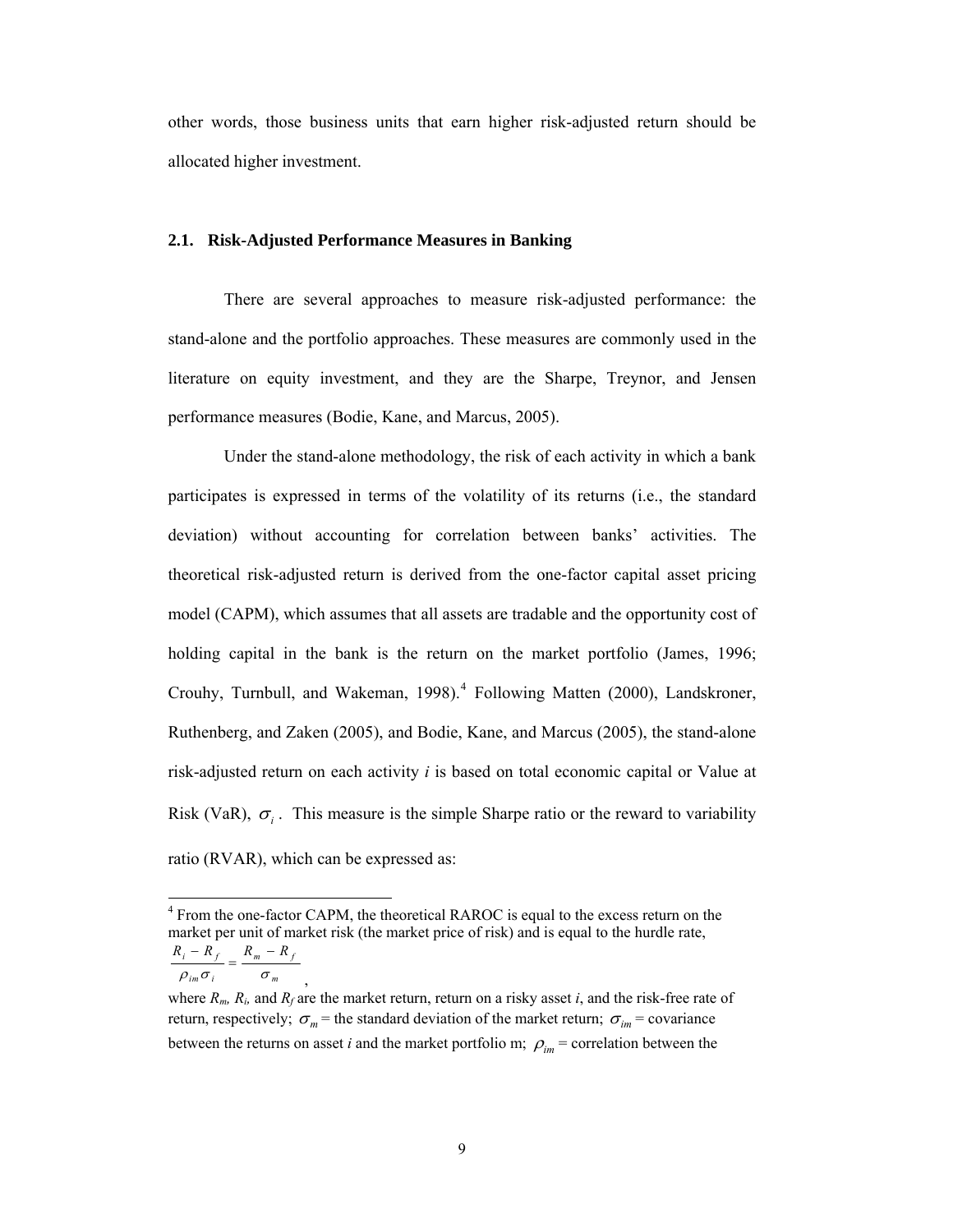other words, those business units that earn higher risk-adjusted return should be allocated higher investment.

## **2.1. Risk-Adjusted Performance Measures in Banking**

There are several approaches to measure risk-adjusted performance: the stand-alone and the portfolio approaches. These measures are commonly used in the literature on equity investment, and they are the Sharpe, Treynor, and Jensen performance measures (Bodie, Kane, and Marcus, 2005).

Under the stand-alone methodology, the risk of each activity in which a bank participates is expressed in terms of the volatility of its returns (i.e., the standard deviation) without accounting for correlation between banks' activities. The theoretical risk-adjusted return is derived from the one-factor capital asset pricing model (CAPM), which assumes that all assets are tradable and the opportunity cost of holding capital in the bank is the return on the market portfolio (James, 1996; Crouhy, Turnbull, and Wakeman, 1998).<sup>[4](#page-8-0)</sup> Following Matten (2000), Landskroner, Ruthenberg, and Zaken (2005), and Bodie, Kane, and Marcus (2005), the stand-alone risk-adjusted return on each activity *i* is based on total economic capital or Value at Risk (VaR),  $\sigma_i$ . This measure is the simple Sharpe ratio or the reward to variability ratio (RVAR), which can be expressed as:

 $_{im}$   $\sigma$ <sub>i</sub>  $\sigma$ <sub>m</sub>  $\frac{R_i - R_f}{\rho_{im} \sigma_i} = \frac{R_m - R_f}{\sigma_i}$ 

,

<span id="page-8-0"></span><sup>&</sup>lt;sup>4</sup> From the one-factor CAPM, the theoretical RAROC is equal to the excess return on the market per unit of market risk (the market price of risk) and is equal to the hurdle rate,  $i = \mathbf{r}_f$   $\mathbf{r}_m - \mathbf{r}_f$  $R_i - R_f = R_m - R$ 

where  $R_m$ ,  $R_i$ , and  $R_f$  are the market return, return on a risky asset *i*, and the risk-free rate of return, respectively;  $\sigma_m$  = the standard deviation of the market return;  $\sigma_{im}$  = covariance between the returns on asset *i* and the market portfolio m;  $\rho_{im}$  = correlation between the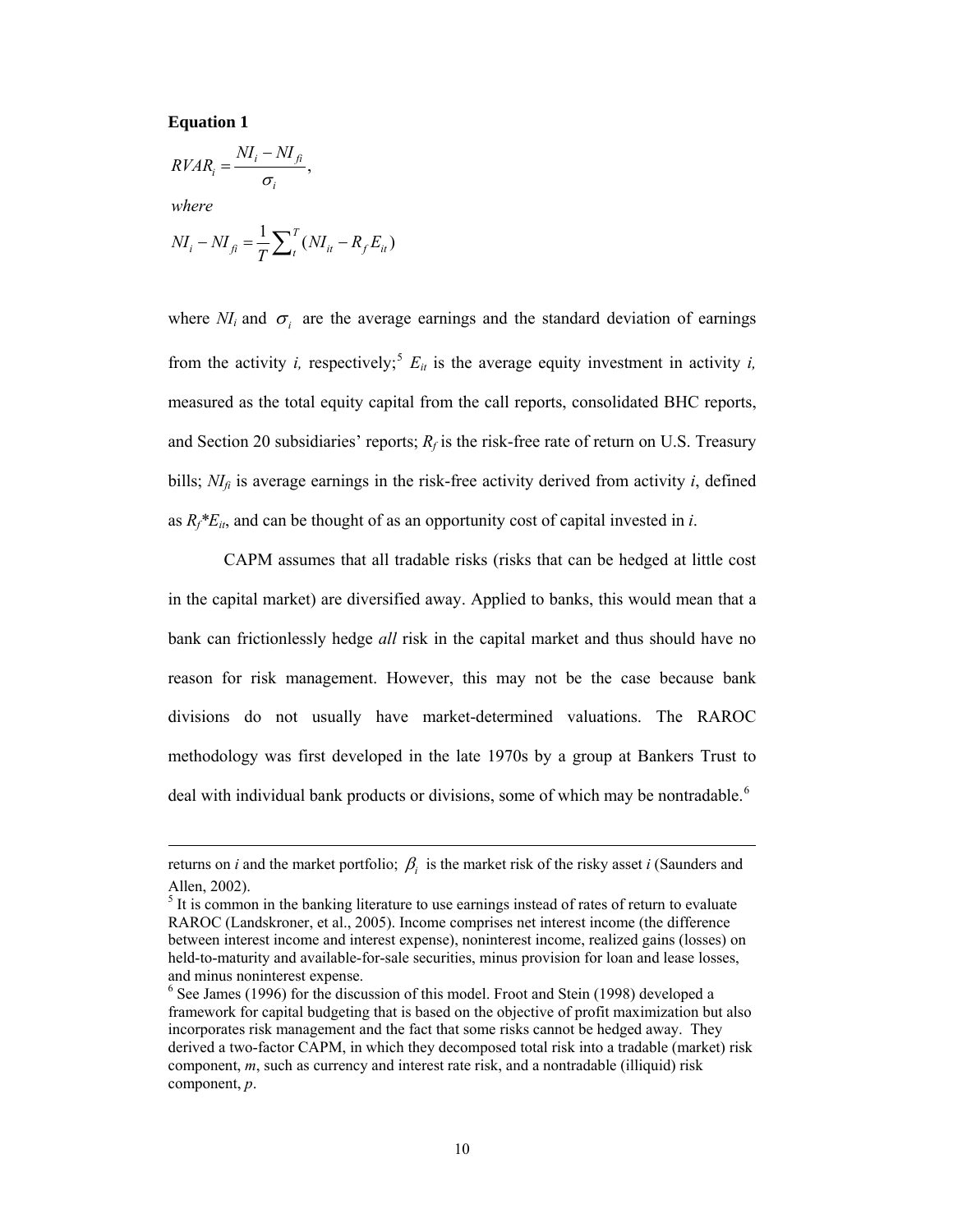#### **Equation 1**

 $\overline{a}$ 

$$
RVAR_i = \frac{NI_i - NI_{fi}}{\sigma_i},
$$
  
where  

$$
NI_i - NI_{fi} = \frac{1}{T} \sum_{t}^{T} (NI_{it} - R_f E_{it})
$$

where  $NI_i$  and  $\sigma_i$  are the average earnings and the standard deviation of earnings from the activity *i*, respectively;<sup>[5](#page-9-0)</sup>  $E_{it}$  is the average equity investment in activity *i*, measured as the total equity capital from the call reports, consolidated BHC reports, and Section 20 subsidiaries' reports;  $R_f$  is the risk-free rate of return on U.S. Treasury bills;  $N I<sub>i</sub>$  is average earnings in the risk-free activity derived from activity *i*, defined as  $R_f * E_{it}$ , and can be thought of as an opportunity cost of capital invested in *i*.

CAPM assumes that all tradable risks (risks that can be hedged at little cost in the capital market) are diversified away. Applied to banks, this would mean that a bank can frictionlessly hedge *all* risk in the capital market and thus should have no reason for risk management. However, this may not be the case because bank divisions do not usually have market-determined valuations. The RAROC methodology was first developed in the late 1970s by a group at Bankers Trust to deal with individual bank products or divisions, some of which may be nontradable.<sup>[6](#page-9-1)</sup>

*returns on <i>i* and the market portfolio;  $\beta_i$  is the market risk of the risky asset *i* (Saunders and Allen, 2002).

<span id="page-9-0"></span> $<sup>5</sup>$  It is common in the banking literature to use earnings instead of rates of return to evaluate</sup> RAROC (Landskroner, et al., 2005). Income comprises net interest income (the difference between interest income and interest expense), noninterest income, realized gains (losses) on held-to-maturity and available-for-sale securities, minus provision for loan and lease losses, and minus noninterest expense.

<span id="page-9-1"></span><sup>&</sup>lt;sup>6</sup> See James (1996) for the discussion of this model. Froot and Stein (1998) developed a framework for capital budgeting that is based on the objective of profit maximization but also incorporates risk management and the fact that some risks cannot be hedged away. They derived a two-factor CAPM, in which they decomposed total risk into a tradable (market) risk component, *m*, such as currency and interest rate risk, and a nontradable (illiquid) risk component, *p*.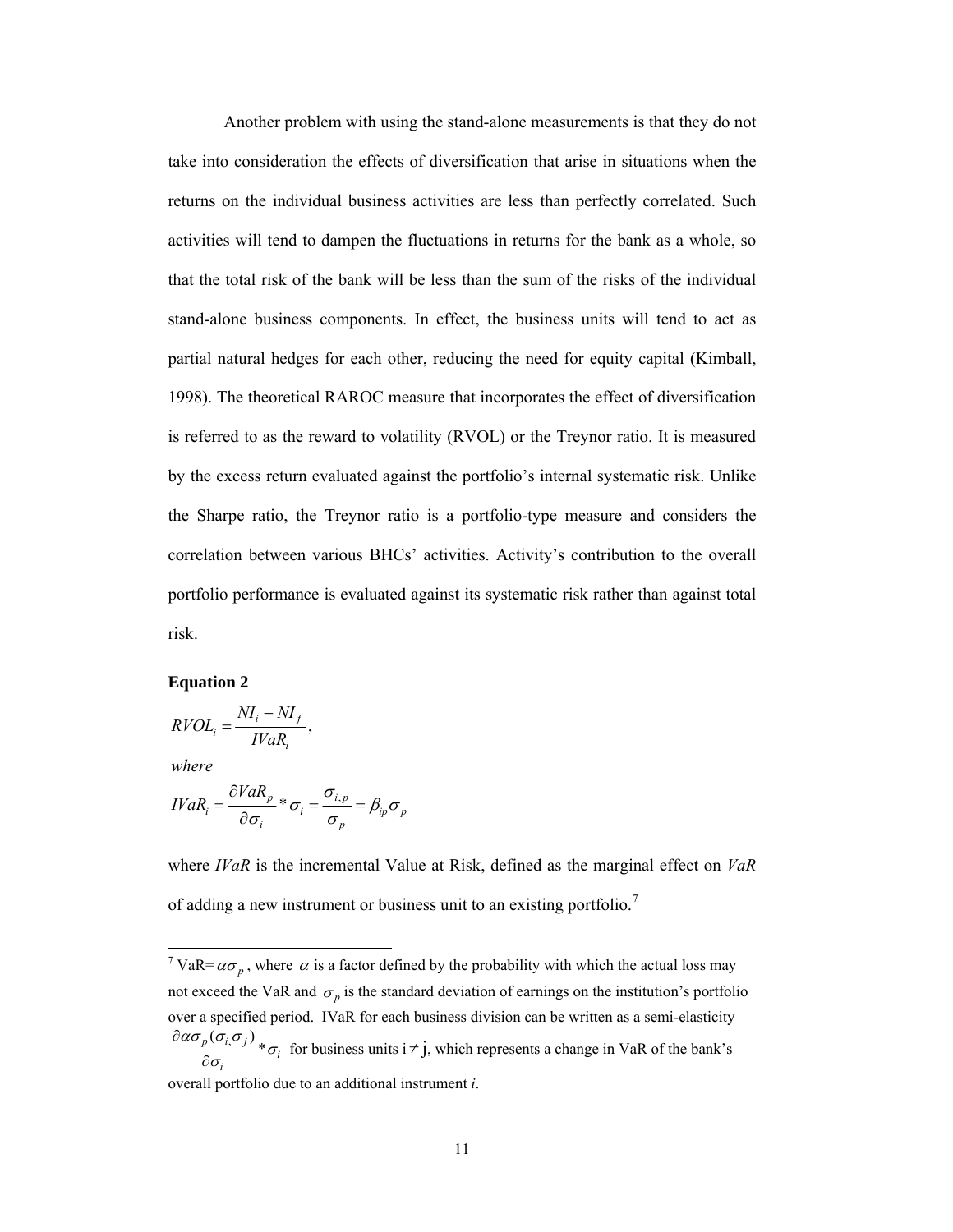Another problem with using the stand-alone measurements is that they do not take into consideration the effects of diversification that arise in situations when the returns on the individual business activities are less than perfectly correlated. Such activities will tend to dampen the fluctuations in returns for the bank as a whole, so that the total risk of the bank will be less than the sum of the risks of the individual stand-alone business components. In effect, the business units will tend to act as partial natural hedges for each other, reducing the need for equity capital (Kimball, 1998). The theoretical RAROC measure that incorporates the effect of diversification is referred to as the reward to volatility (RVOL) or the Treynor ratio. It is measured by the excess return evaluated against the portfolio's internal systematic risk. Unlike the Sharpe ratio, the Treynor ratio is a portfolio-type measure and considers the correlation between various BHCs' activities. Activity's contribution to the overall portfolio performance is evaluated against its systematic risk rather than against total risk.

#### **Equation 2**

$$
RVOL_i = \frac{NI_i - NI_f}{IVaR_i},
$$

*where*

 $\overline{a}$ 

$$
IVaR_i = \frac{\partial VaR_p}{\partial \sigma_i} * \sigma_i = \frac{\sigma_{i,p}}{\sigma_p} = \beta_{ip}\sigma_p
$$

where *IVaR* is the incremental Value at Risk, defined as the marginal effect on *VaR* of adding a new instrument or business unit to an existing portfolio.<sup>[7](#page-10-0)</sup>

<span id="page-10-0"></span><sup>&</sup>lt;sup>7</sup> VaR= $\alpha \sigma_p$ , where  $\alpha$  is a factor defined by the probability with which the actual loss may not exceed the VaR and  $\sigma_p$  is the standard deviation of earnings on the institution's portfolio over a specified period. IVaR for each business division can be written as a semi-elasticity ασ $\alpha$ ισ $\alpha$ σ ∂

 $\frac{\partial \rho(\sigma_{i,} \sigma_{j})}{\partial \sigma_{i}} * \sigma_{i}$ σ σ  $\frac{\rho(v_i, v_j)}{\rho \sigma_i} * \sigma_i$  for business units  $i \neq j$ , which represents a change in VaR of the bank's overall portfolio due to an additional instrument *i*.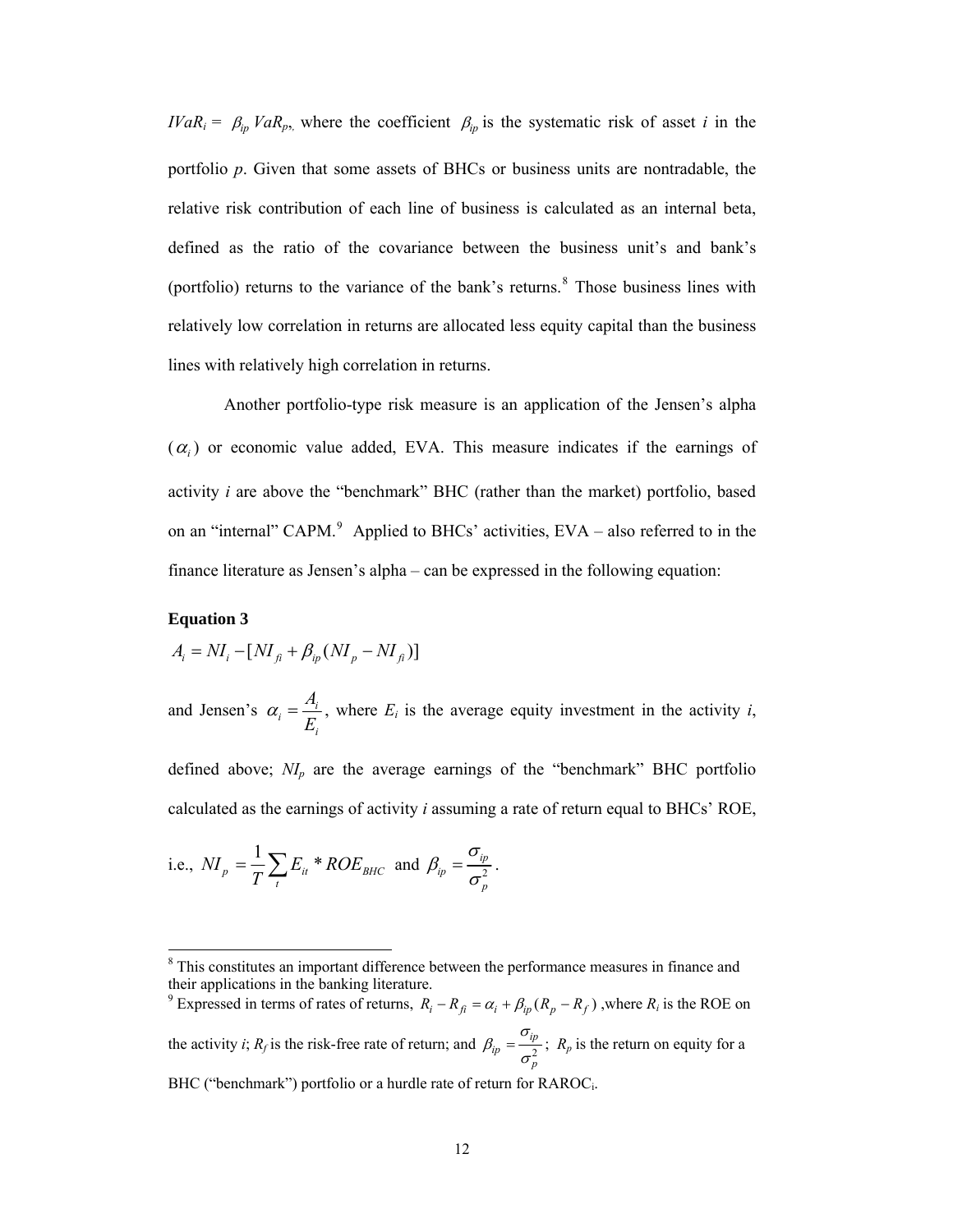*IVaR<sub>i</sub>* =  $\beta_{ip}$  *VaR<sub>p</sub>*, where the coefficient  $\beta_{ip}$  is the systematic risk of asset *i* in the portfolio *p*. Given that some assets of BHCs or business units are nontradable, the relative risk contribution of each line of business is calculated as an internal beta, defined as the ratio of the covariance between the business unit's and bank's (portfolio) returns to the variance of the bank's returns.<sup>[8](#page-11-0)</sup> Those business lines with relatively low correlation in returns are allocated less equity capital than the business lines with relatively high correlation in returns.

Another portfolio-type risk measure is an application of the Jensen's alpha  $(\alpha_i)$  or economic value added, EVA. This measure indicates if the earnings of activity *i* are above the "benchmark" BHC (rather than the market) portfolio, based on an "internal" CAPM. $9$  Applied to BHCs' activities, EVA – also referred to in the finance literature as Jensen's alpha – can be expressed in the following equation:

### **Equation 3**

 $\overline{a}$ 

$$
A_i = NI_i - [NI_{fi} + \beta_{ip}(NI_p - NI_{fi})]
$$

and Jensen's  $\alpha_i = \frac{A_i}{E_i}$ *i A E*  $\alpha_i = \frac{n_i}{n_i}$ , where  $E_i$  is the average equity investment in the activity *i*,

defined above;  $N I_p$  are the average earnings of the "benchmark" BHC portfolio calculated as the earnings of activity *i* assuming a rate of return equal to BHCs' ROE,

i.e., 
$$
NI_p = \frac{1}{T} \sum_t E_{it} * ROE_{BHC}
$$
 and  $\beta_{ip} = \frac{\sigma_{ip}}{\sigma_p^2}$ .

<span id="page-11-1"></span><sup>9</sup> Expressed in terms of rates of returns,  $R_i - R_{fi} = \alpha_i + \beta_{ip} (R_p - R_f)$ , where  $R_i$  is the ROE on the activity *i*;  $R_f$  is the risk-free rate of return; and  $\beta_{ip} = \frac{p}{r^2}$ *ip ip p*  $\beta_{ip} = \frac{\sigma_{ip}}{\sigma_{p}^{2}}$ ;  $R_{p}$  is the return on equity for a BHC ("benchmark") portfolio or a hurdle rate of return for RAROC<sub>i</sub>.

<span id="page-11-0"></span><sup>&</sup>lt;sup>8</sup> This constitutes an important difference between the performance measures in finance and their applications in the banking literature.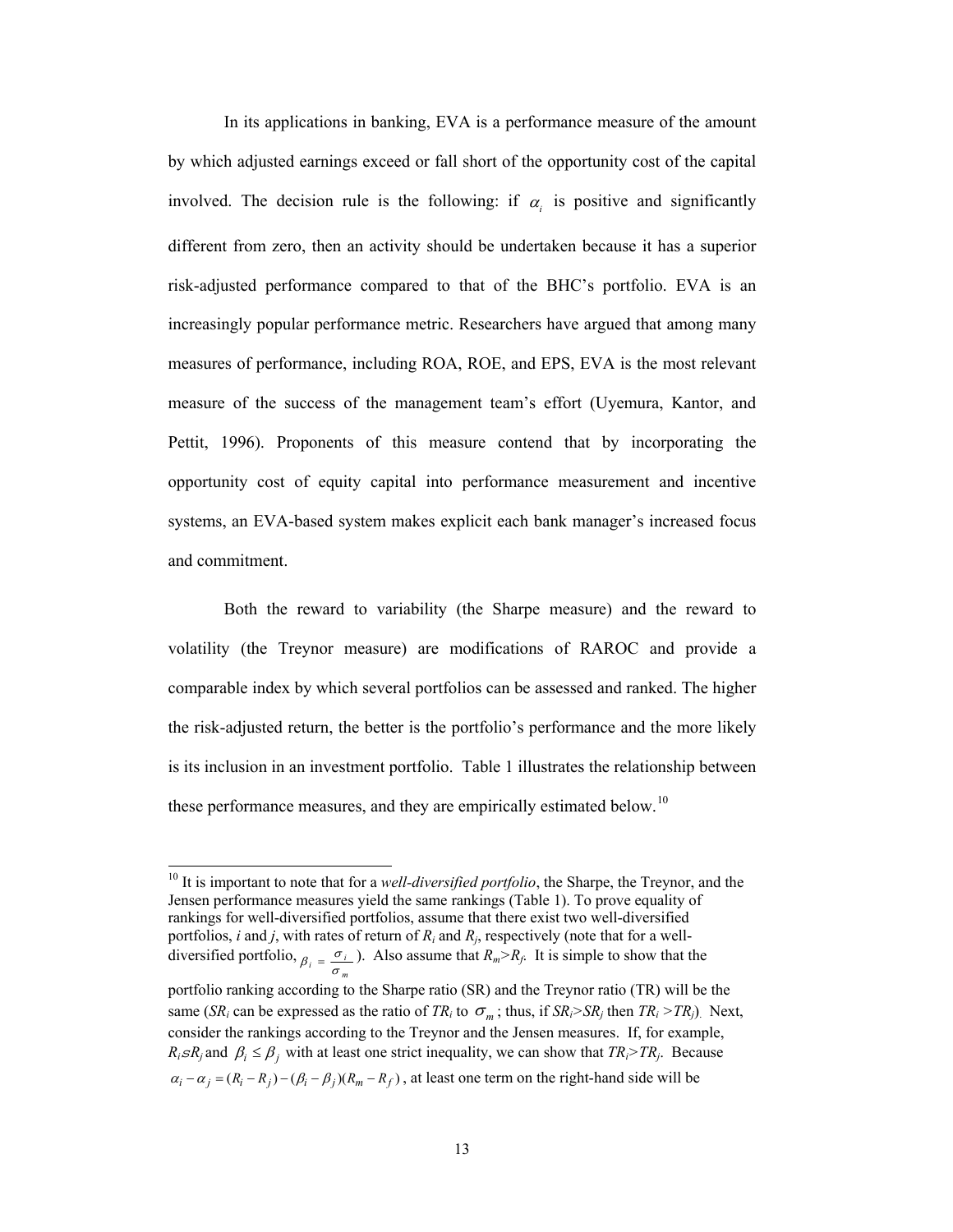In its applications in banking, EVA is a performance measure of the amount by which adjusted earnings exceed or fall short of the opportunity cost of the capital involved. The decision rule is the following: if  $\alpha_i$  is positive and significantly different from zero, then an activity should be undertaken because it has a superior risk-adjusted performance compared to that of the BHC's portfolio. EVA is an increasingly popular performance metric. Researchers have argued that among many measures of performance, including ROA, ROE, and EPS, EVA is the most relevant measure of the success of the management team's effort (Uyemura, Kantor, and Pettit, 1996). Proponents of this measure contend that by incorporating the opportunity cost of equity capital into performance measurement and incentive systems, an EVA-based system makes explicit each bank manager's increased focus and commitment.

Both the reward to variability (the Sharpe measure) and the reward to volatility (the Treynor measure) are modifications of RAROC and provide a comparable index by which several portfolios can be assessed and ranked. The higher the risk-adjusted return, the better is the portfolio's performance and the more likely is its inclusion in an investment portfolio. [Table 1](#page-33-0) illustrates the relationship between these performance measures, and they are empirically estimated below.<sup>[10](#page-12-0)</sup>

 $\overline{a}$ 

 $\alpha_i - \alpha_j = (R_i - R_j) - (\beta_i - \beta_j)(R_m - R_f)$ , at least one term on the right-hand side will be

<span id="page-12-0"></span><sup>10</sup> It is important to note that for a *well-diversified portfolio*, the Sharpe, the Treynor, and the Jensen performance measures yield the same rankings (Table 1). To prove equality of rankings for well-diversified portfolios, assume that there exist two well-diversified portfolios, *i* and *j*, with rates of return of  $R_i$  and  $R_j$ , respectively (note that for a welldiversified portfolio,  $\beta_i = \frac{\sigma_i}{\sigma_m}$ ). Also assume that  $R_m > R_f$ . It is simple to show that the portfolio ranking according to the Sharpe ratio (SR) and the Treynor ratio (TR) will be the same (*SR<sub>i</sub>* can be expressed as the ratio of  $TR_i$  to  $\sigma_m$ ; thus, if  $SR_i > SR_j$  then  $TR_i > TR_j$ ). Next, consider the rankings according to the Treynor and the Jensen measures. If, for example,  $R_i sR_j$  and  $\beta_i \leq \beta_j$  with at least one strict inequality, we can show that  $TR_i > TR_j$ . Because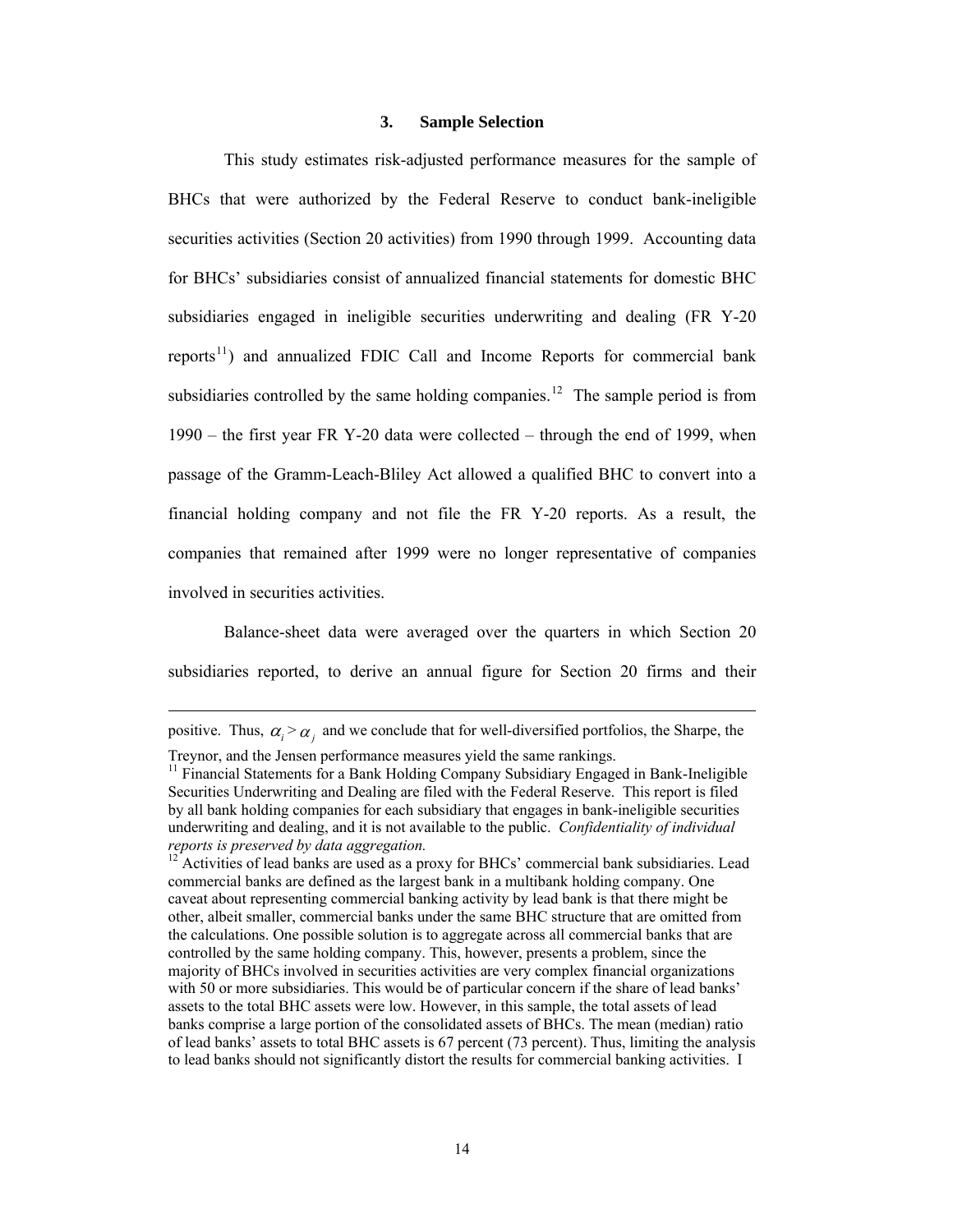#### **3. Sample Selection**

<span id="page-13-0"></span>This study estimates risk-adjusted performance measures for the sample of BHCs that were authorized by the Federal Reserve to conduct bank-ineligible securities activities (Section 20 activities) from 1990 through 1999. Accounting data for BHCs' subsidiaries consist of annualized financial statements for domestic BHC subsidiaries engaged in ineligible securities underwriting and dealing (FR Y-20 reports<sup>[11](#page-13-1)</sup>) and annualized FDIC Call and Income Reports for commercial bank subsidiaries controlled by the same holding companies.<sup>[12](#page-13-2)</sup> The sample period is from 1990 – the first year FR Y-20 data were collected – through the end of 1999, when passage of the Gramm-Leach-Bliley Act allowed a qualified BHC to convert into a financial holding company and not file the FR Y-20 reports. As a result, the companies that remained after 1999 were no longer representative of companies involved in securities activities.

Balance-sheet data were averaged over the quarters in which Section 20 subsidiaries reported, to derive an annual figure for Section 20 firms and their

*positive.* Thus,  $\alpha_i > \alpha_i$  and we conclude that for well-diversified portfolios, the Sharpe, the

<span id="page-13-1"></span>Treynor, and the Jensen performance measures yield the same rankings. 11 Financial Statements for a Bank Holding Company Subsidiary Engaged in Bank-Ineligible Securities Underwriting and Dealing are filed with the Federal Reserve. This report is filed by all bank holding companies for each subsidiary that engages in bank-ineligible securities underwriting and dealing, and it is not available to the public. *Confidentiality of individual reports is preserved by data aggregation.* <sup>12</sup> Activities of lead banks are used as a proxy for BHCs' commercial bank subsidiaries. Lead

<span id="page-13-2"></span>commercial banks are defined as the largest bank in a multibank holding company. One caveat about representing commercial banking activity by lead bank is that there might be other, albeit smaller, commercial banks under the same BHC structure that are omitted from the calculations. One possible solution is to aggregate across all commercial banks that are controlled by the same holding company. This, however, presents a problem, since the majority of BHCs involved in securities activities are very complex financial organizations with 50 or more subsidiaries. This would be of particular concern if the share of lead banks' assets to the total BHC assets were low. However, in this sample, the total assets of lead banks comprise a large portion of the consolidated assets of BHCs. The mean (median) ratio of lead banks' assets to total BHC assets is 67 percent (73 percent). Thus, limiting the analysis to lead banks should not significantly distort the results for commercial banking activities. I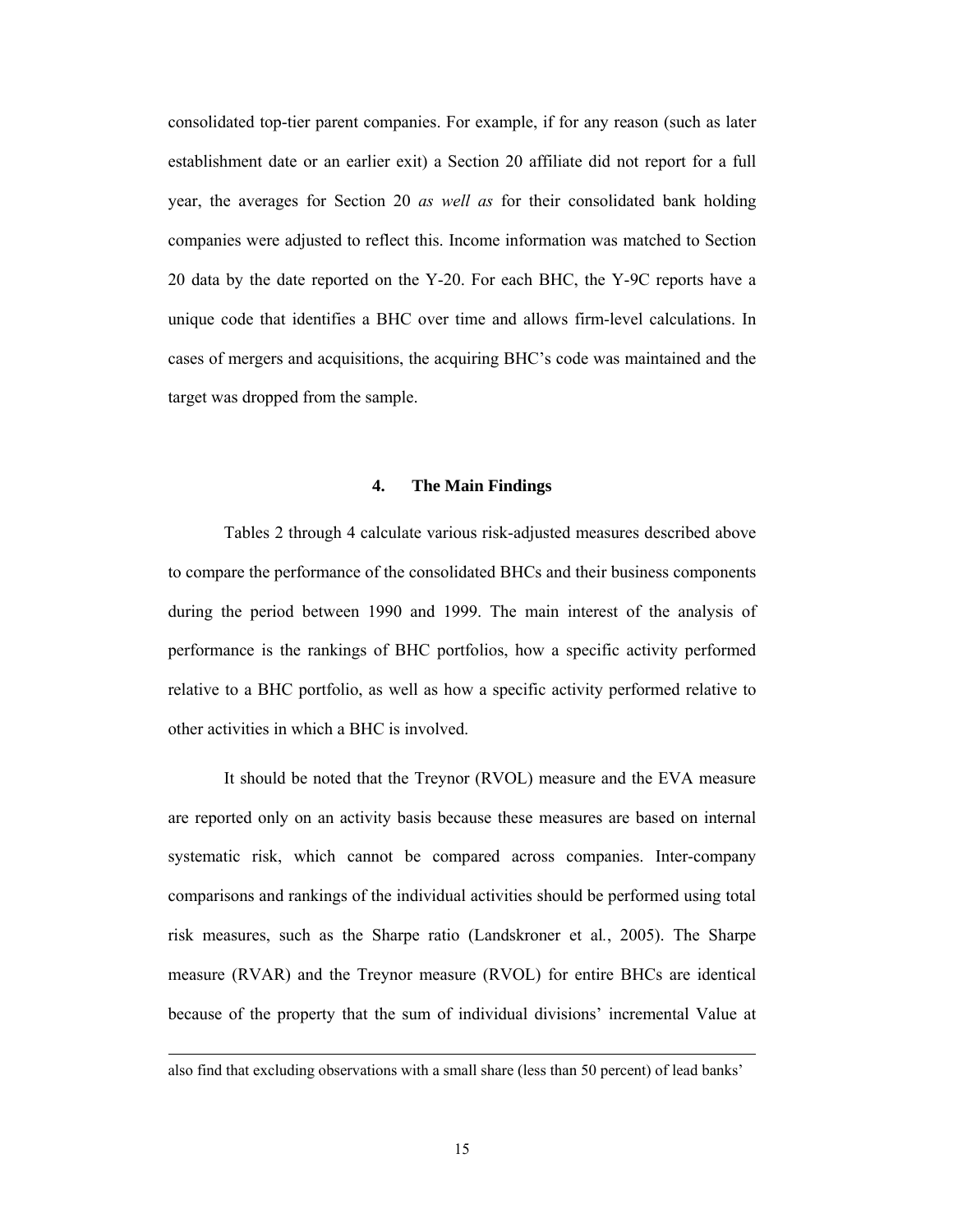consolidated top-tier parent companies. For example, if for any reason (such as later establishment date or an earlier exit) a Section 20 affiliate did not report for a full year, the averages for Section 20 *as well as* for their consolidated bank holding companies were adjusted to reflect this. Income information was matched to Section 20 data by the date reported on the Y-20. For each BHC, the Y-9C reports have a unique code that identifies a BHC over time and allows firm-level calculations. In cases of mergers and acquisitions, the acquiring BHC's code was maintained and the target was dropped from the sample.

### **4. The Main Findings**

<span id="page-14-0"></span> Tables 2 through 4 calculate various risk-adjusted measures described above to compare the performance of the consolidated BHCs and their business components during the period between 1990 and 1999. The main interest of the analysis of performance is the rankings of BHC portfolios, how a specific activity performed relative to a BHC portfolio, as well as how a specific activity performed relative to other activities in which a BHC is involved.

It should be noted that the Treynor (RVOL) measure and the EVA measure are reported only on an activity basis because these measures are based on internal systematic risk, which cannot be compared across companies. Inter-company comparisons and rankings of the individual activities should be performed using total risk measures, such as the Sharpe ratio (Landskroner et al*.*, 2005). The Sharpe measure (RVAR) and the Treynor measure (RVOL) for entire BHCs are identical because of the property that the sum of individual divisions' incremental Value at

also find that excluding observations with a small share (less than 50 percent) of lead banks'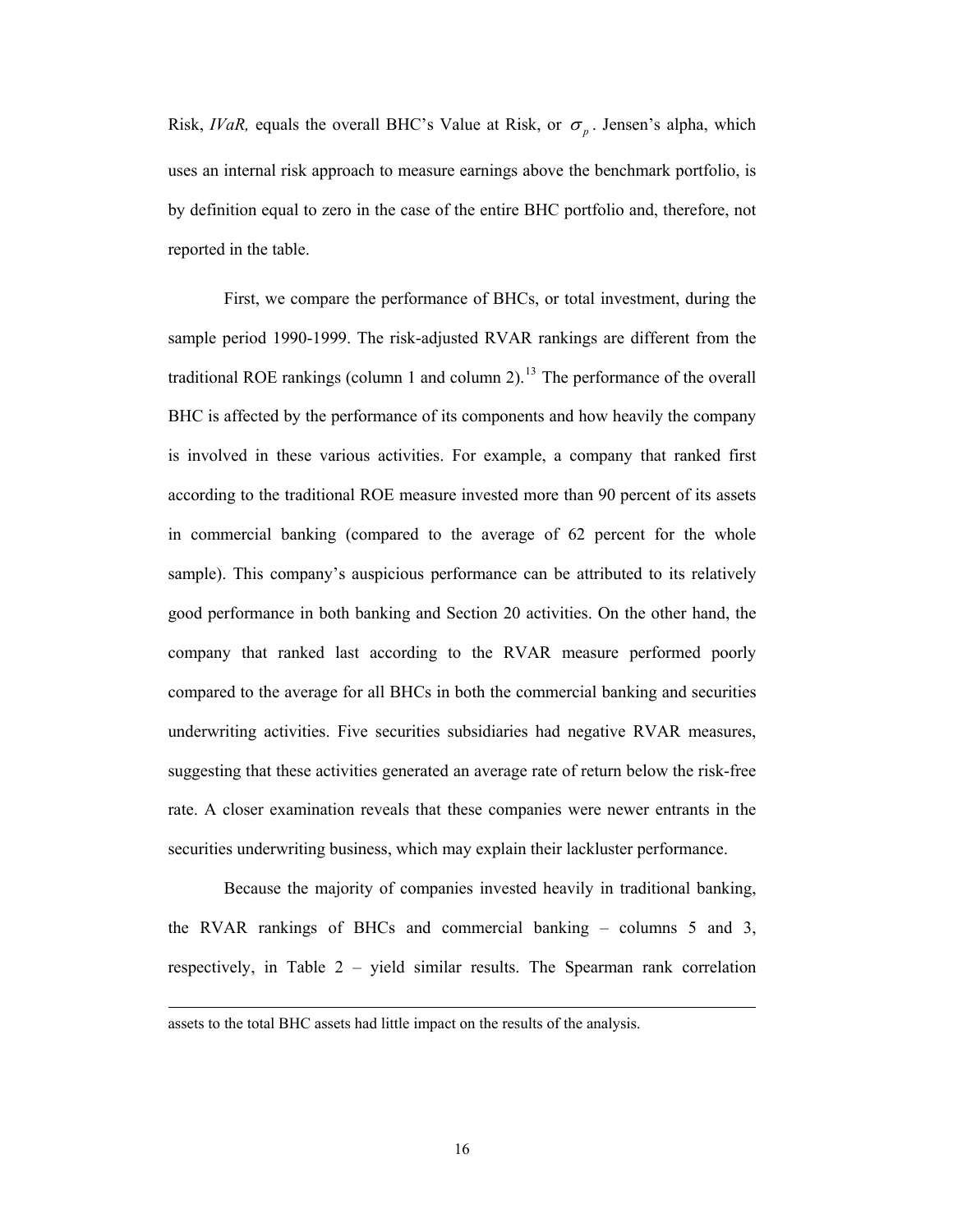Risk, *IVaR*, equals the overall BHC's Value at Risk, or  $\sigma_p$ . Jensen's alpha, which uses an internal risk approach to measure earnings above the benchmark portfolio, is by definition equal to zero in the case of the entire BHC portfolio and, therefore, not reported in the table.

 First, we compare the performance of BHCs, or total investment, during the sample period 1990-1999. The risk-adjusted RVAR rankings are different from the traditional ROE rankings (column 1 and column 2).<sup>[13](#page-15-0)</sup> The performance of the overall BHC is affected by the performance of its components and how heavily the company is involved in these various activities. For example, a company that ranked first according to the traditional ROE measure invested more than 90 percent of its assets in commercial banking (compared to the average of 62 percent for the whole sample). This company's auspicious performance can be attributed to its relatively good performance in both banking and Section 20 activities. On the other hand, the company that ranked last according to the RVAR measure performed poorly compared to the average for all BHCs in both the commercial banking and securities underwriting activities. Five securities subsidiaries had negative RVAR measures, suggesting that these activities generated an average rate of return below the risk-free rate. A closer examination reveals that these companies were newer entrants in the securities underwriting business, which may explain their lackluster performance.

Because the majority of companies invested heavily in traditional banking, the RVAR rankings of BHCs and commercial banking – columns 5 and 3, respectively, in [Table 2](#page-34-0) – yield similar results. The Spearman rank correlation

<span id="page-15-0"></span>assets to the total BHC assets had little impact on the results of the analysis.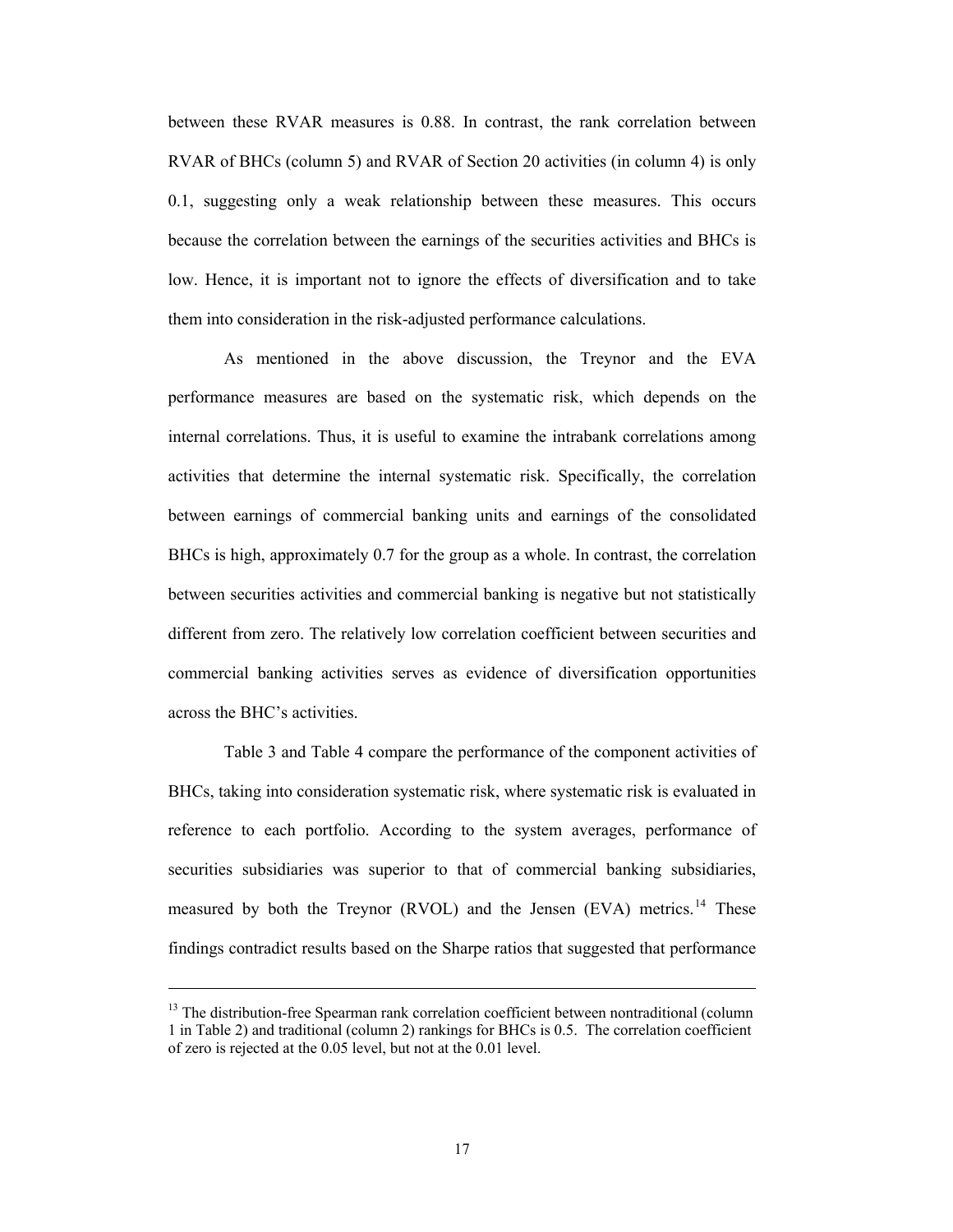between these RVAR measures is 0.88. In contrast, the rank correlation between RVAR of BHCs (column 5) and RVAR of Section 20 activities (in column 4) is only 0.1, suggesting only a weak relationship between these measures. This occurs because the correlation between the earnings of the securities activities and BHCs is low. Hence, it is important not to ignore the effects of diversification and to take them into consideration in the risk-adjusted performance calculations.

As mentioned in the above discussion, the Treynor and the EVA performance measures are based on the systematic risk, which depends on the internal correlations. Thus, it is useful to examine the intrabank correlations among activities that determine the internal systematic risk. Specifically, the correlation between earnings of commercial banking units and earnings of the consolidated BHCs is high, approximately 0.7 for the group as a whole. In contrast, the correlation between securities activities and commercial banking is negative but not statistically different from zero. The relatively low correlation coefficient between securities and commercial banking activities serves as evidence of diversification opportunities across the BHC's activities.

[Table 3](#page-35-0) and [Table 4](#page-36-0) compare the performance of the component activities of BHCs, taking into consideration systematic risk, where systematic risk is evaluated in reference to each portfolio. According to the system averages, performance of securities subsidiaries was superior to that of commercial banking subsidiaries, measured by both the Treynor (RVOL) and the Jensen (EVA) metrics.<sup>[14](#page-16-0)</sup> These findings contradict results based on the Sharpe ratios that suggested that performance

<span id="page-16-0"></span> $13$  The distribution-free Spearman rank correlation coefficient between nontraditional (column 1 in Table 2) and traditional (column 2) rankings for BHCs is 0.5. The correlation coefficient of zero is rejected at the 0.05 level, but not at the 0.01 level.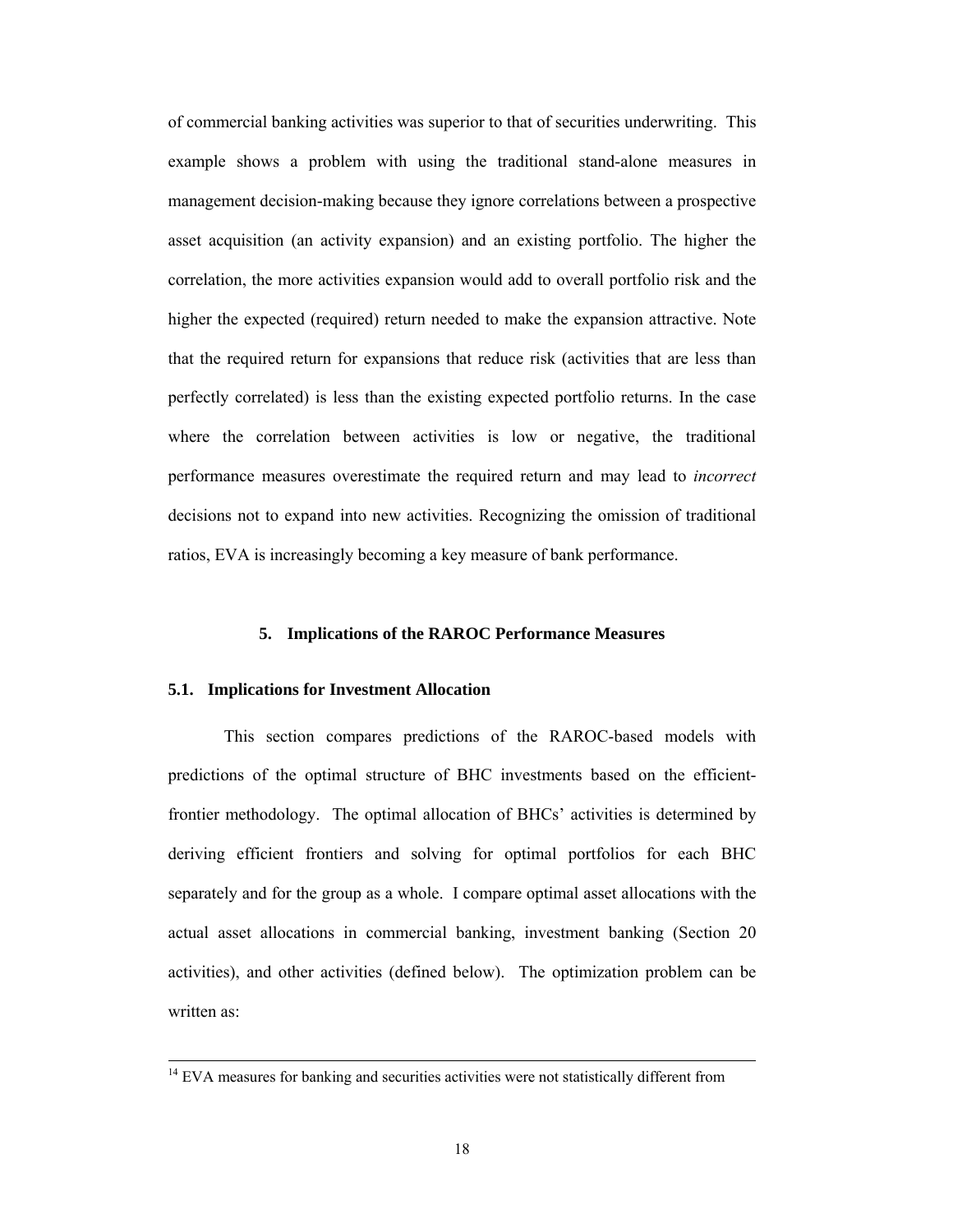of commercial banking activities was superior to that of securities underwriting. This example shows a problem with using the traditional stand-alone measures in management decision-making because they ignore correlations between a prospective asset acquisition (an activity expansion) and an existing portfolio. The higher the correlation, the more activities expansion would add to overall portfolio risk and the higher the expected (required) return needed to make the expansion attractive. Note that the required return for expansions that reduce risk (activities that are less than perfectly correlated) is less than the existing expected portfolio returns. In the case where the correlation between activities is low or negative, the traditional performance measures overestimate the required return and may lead to *incorrect* decisions not to expand into new activities. Recognizing the omission of traditional ratios, EVA is increasingly becoming a key measure of bank performance.

# **5. Implications of the RAROC Performance Measures**

#### <span id="page-17-0"></span>**5.1. Implications for Investment Allocation**

 $\overline{a}$ 

This section compares predictions of the RAROC-based models with predictions of the optimal structure of BHC investments based on the efficientfrontier methodology. The optimal allocation of BHCs' activities is determined by deriving efficient frontiers and solving for optimal portfolios for each BHC separately and for the group as a whole. I compare optimal asset allocations with the actual asset allocations in commercial banking, investment banking (Section 20 activities), and other activities (defined below). The optimization problem can be written as:

<sup>&</sup>lt;sup>14</sup> EVA measures for banking and securities activities were not statistically different from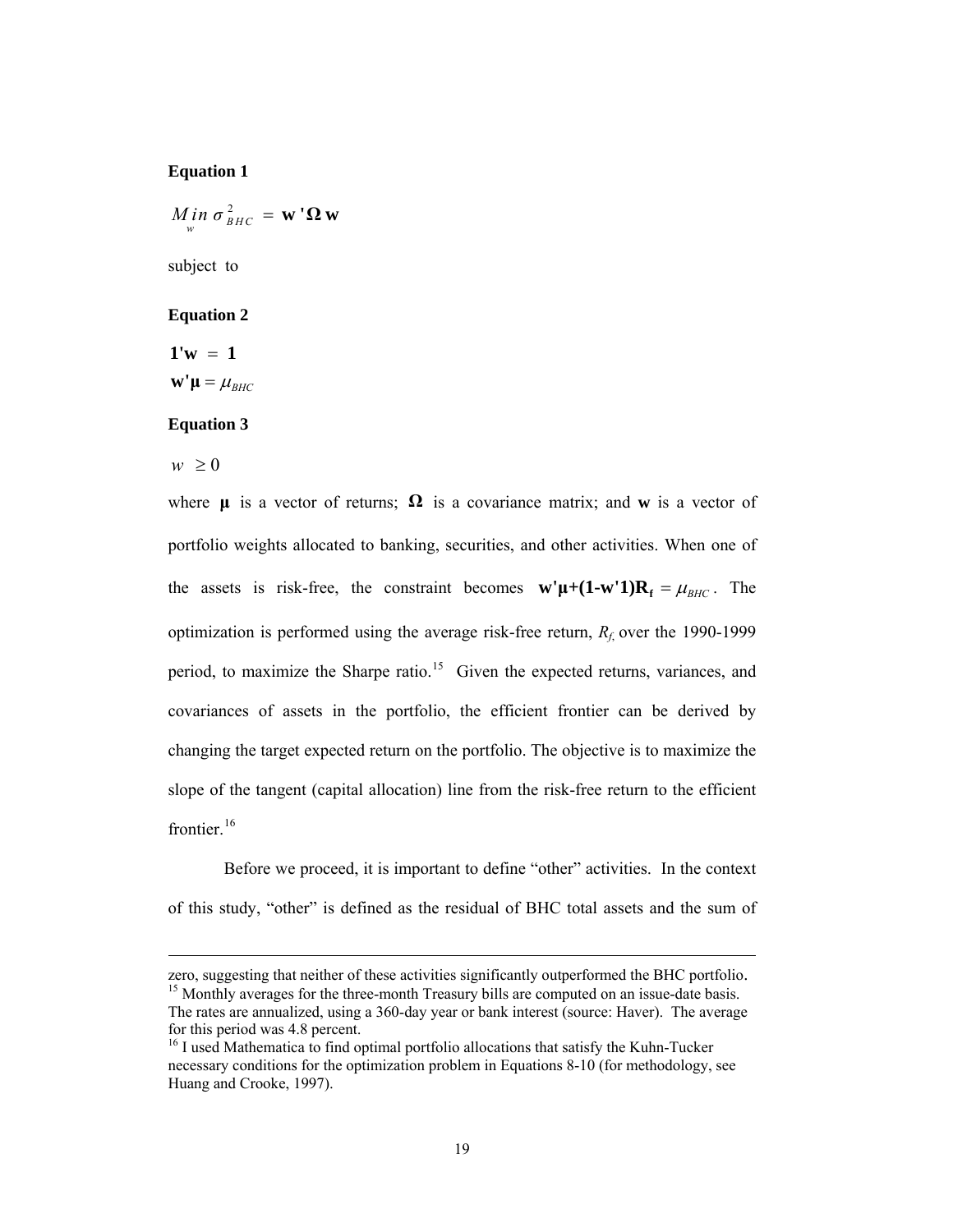# **Equation 1**

$$
M_{\stackrel{\scriptscriptstyle{W}}{w}}^{\scriptscriptstyle{I}}\, \sigma_{\scriptscriptstyle BHC}^{\scriptscriptstyle{2}}\,=\, \mathbf{w}\, {}^{\scriptscriptstyle{I}}\mathbf{\Omega}\, \mathbf{w}
$$

subject to

# **Equation 2**

 $1'w = 1$  $\mathbf{w}'\mathbf{\mu} = \mu_{BHC}$ 

# **Equation 3**

 $w \geq 0$ 

 $\overline{a}$ 

where  $\mu$  is a vector of returns;  $\Omega$  is a covariance matrix; and **w** is a vector of portfolio weights allocated to banking, securities, and other activities. When one of the assets is risk-free, the constraint becomes  $\mathbf{w}'\mathbf{\mu}+(\mathbf{1}-\mathbf{w}'\mathbf{1})\mathbf{R}_{\mathbf{f}} = \mu_{BHC}$ . The optimization is performed using the average risk-free return,  $R_f$  over the 1990-1999 period, to maximize the Sharpe ratio.<sup>[15](#page-18-0)</sup> Given the expected returns, variances, and covariances of assets in the portfolio, the efficient frontier can be derived by changing the target expected return on the portfolio. The objective is to maximize the slope of the tangent (capital allocation) line from the risk-free return to the efficient frontier.<sup>[16](#page-18-1)</sup>

Before we proceed, it is important to define "other" activities. In the context of this study, "other" is defined as the residual of BHC total assets and the sum of

<span id="page-18-0"></span>zero, suggesting that neither of these activities significantly outperformed the BHC portfolio.<br><sup>15</sup> Monthly averages for the three-month Treasury bills are computed on an issue-date basis. The rates are annualized, using a 360-day year or bank interest (source: Haver). The average for this period was 4.8 percent.

<span id="page-18-1"></span><sup>&</sup>lt;sup>16</sup> I used Mathematica to find optimal portfolio allocations that satisfy the Kuhn-Tucker necessary conditions for the optimization problem in Equations 8-10 (for methodology, see Huang and Crooke, 1997).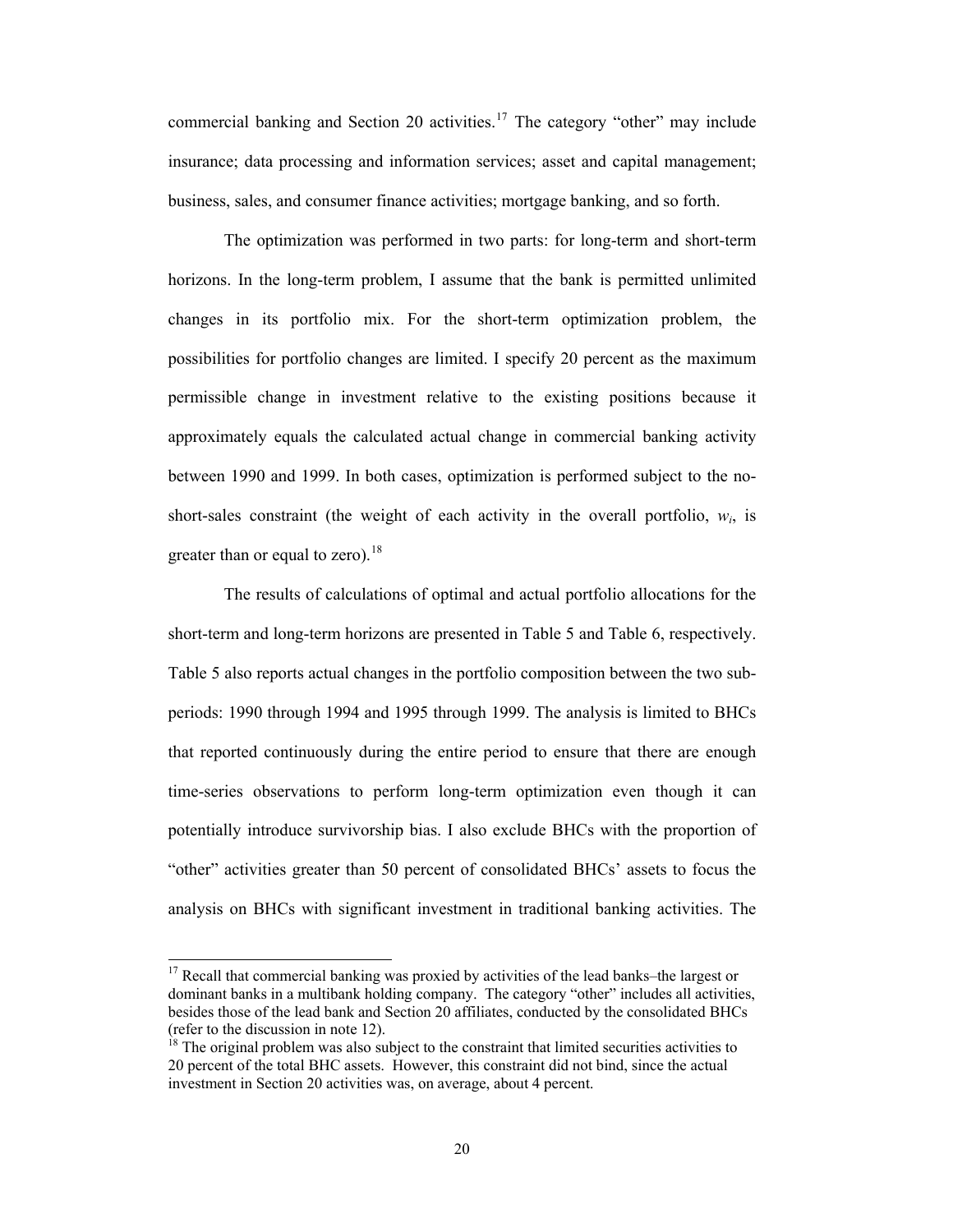commercial banking and Section 20 activities.<sup>[17](#page-19-0)</sup> The category "other" may include insurance; data processing and information services; asset and capital management; business, sales, and consumer finance activities; mortgage banking, and so forth.

 The optimization was performed in two parts: for long-term and short-term horizons. In the long-term problem, I assume that the bank is permitted unlimited changes in its portfolio mix. For the short-term optimization problem, the possibilities for portfolio changes are limited. I specify 20 percent as the maximum permissible change in investment relative to the existing positions because it approximately equals the calculated actual change in commercial banking activity between 1990 and 1999. In both cases, optimization is performed subject to the noshort-sales constraint (the weight of each activity in the overall portfolio,  $w_i$ , is greater than or equal to zero). $18$ 

The results of calculations of optimal and actual portfolio allocations for the short-term and long-term horizons are presented in [Table 5](#page-37-0) and [Table 6](#page-38-0), respectively. [Table 5](#page-37-0) also reports actual changes in the portfolio composition between the two subperiods: 1990 through 1994 and 1995 through 1999. The analysis is limited to BHCs that reported continuously during the entire period to ensure that there are enough time-series observations to perform long-term optimization even though it can potentially introduce survivorship bias. I also exclude BHCs with the proportion of "other" activities greater than 50 percent of consolidated BHCs' assets to focus the analysis on BHCs with significant investment in traditional banking activities. The

<span id="page-19-0"></span> $17$  Recall that commercial banking was proxied by activities of the lead banks–the largest or dominant banks in a multibank holding company. The category "other" includes all activities, besides those of the lead bank and Section 20 affiliates, conducted by the consolidated BHCs (refer to the discussion in note 12).

<span id="page-19-1"></span> $\frac{18}{18}$  The original problem was also subject to the constraint that limited securities activities to 20 percent of the total BHC assets. However, this constraint did not bind, since the actual investment in Section 20 activities was, on average, about 4 percent.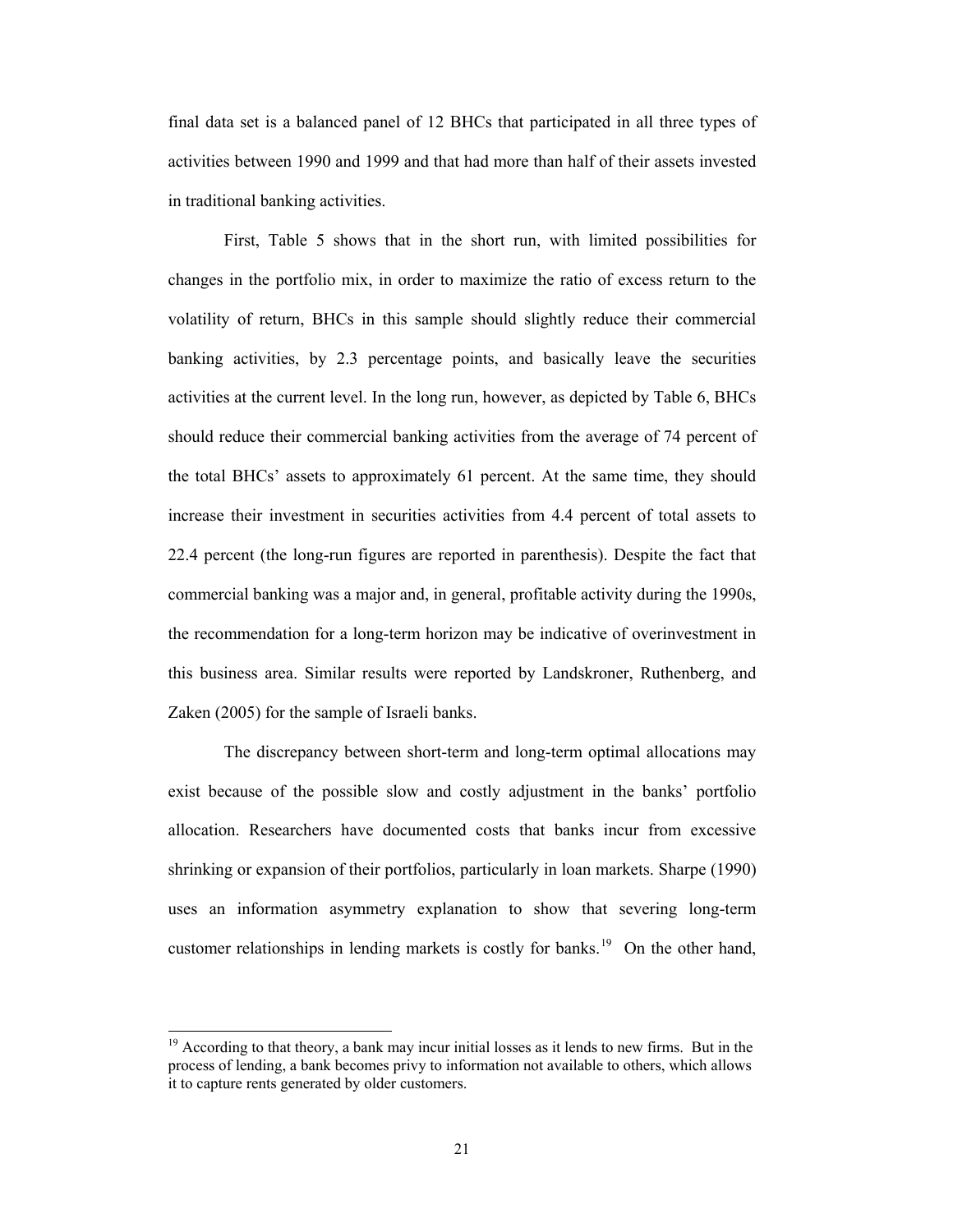final data set is a balanced panel of 12 BHCs that participated in all three types of activities between 1990 and 1999 and that had more than half of their assets invested in traditional banking activities.

First, [Table 5](#page-37-0) shows that in the short run, with limited possibilities for changes in the portfolio mix, in order to maximize the ratio of excess return to the volatility of return, BHCs in this sample should slightly reduce their commercial banking activities, by 2.3 percentage points, and basically leave the securities activities at the current level. In the long run, however, as depicted by [Table 6](#page-38-0), BHCs should reduce their commercial banking activities from the average of 74 percent of the total BHCs' assets to approximately 61 percent. At the same time, they should increase their investment in securities activities from 4.4 percent of total assets to 22.4 percent (the long-run figures are reported in parenthesis). Despite the fact that commercial banking was a major and, in general, profitable activity during the 1990s, the recommendation for a long-term horizon may be indicative of overinvestment in this business area. Similar results were reported by Landskroner, Ruthenberg, and Zaken (2005) for the sample of Israeli banks.

The discrepancy between short-term and long-term optimal allocations may exist because of the possible slow and costly adjustment in the banks' portfolio allocation. Researchers have documented costs that banks incur from excessive shrinking or expansion of their portfolios, particularly in loan markets. Sharpe (1990) uses an information asymmetry explanation to show that severing long-term customer relationships in lending markets is costly for banks.<sup>[19](#page-20-0)</sup> On the other hand,

l

<span id="page-20-0"></span><sup>&</sup>lt;sup>19</sup> According to that theory, a bank may incur initial losses as it lends to new firms. But in the process of lending, a bank becomes privy to information not available to others, which allows it to capture rents generated by older customers.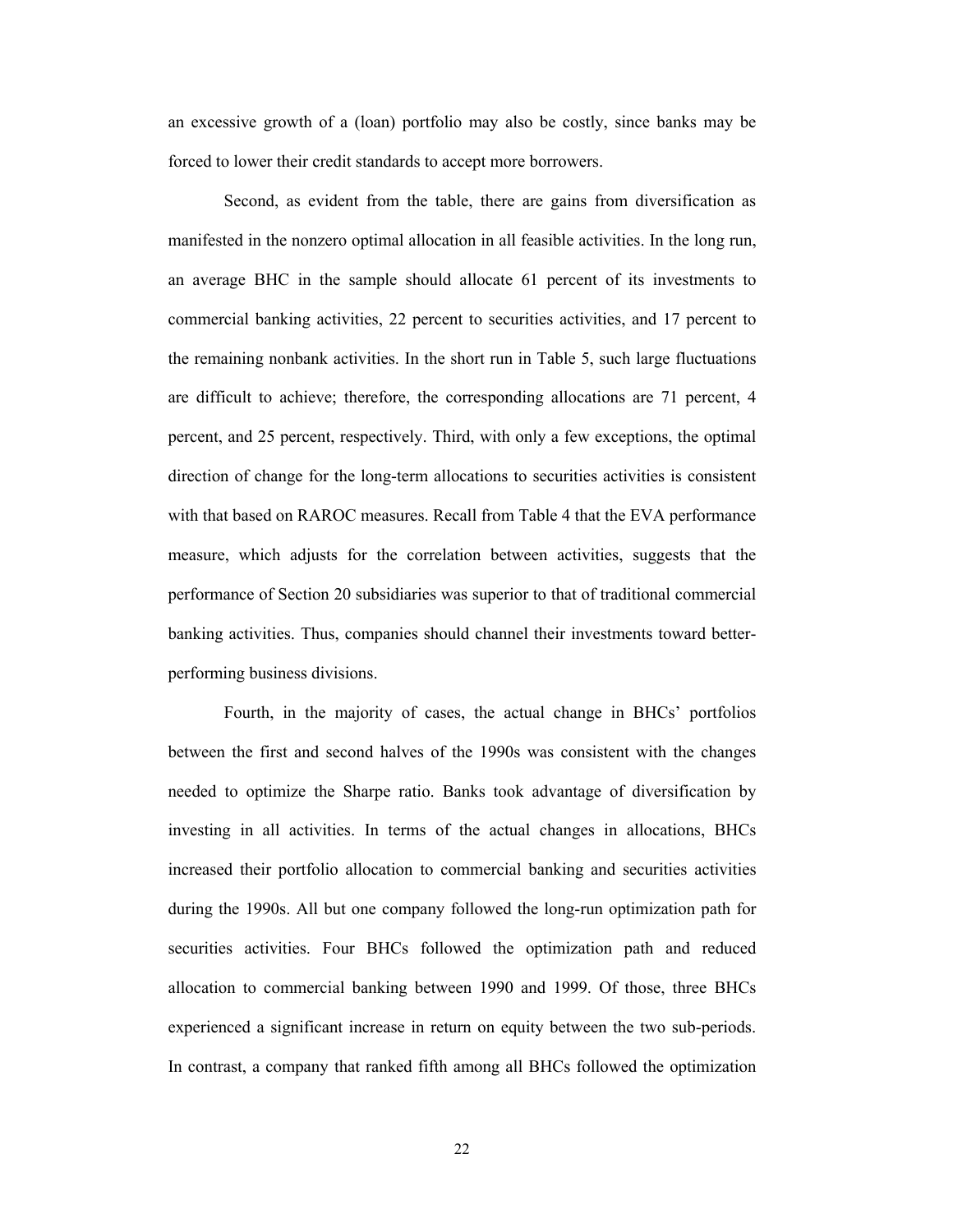an excessive growth of a (loan) portfolio may also be costly, since banks may be forced to lower their credit standards to accept more borrowers.

Second, as evident from the table, there are gains from diversification as manifested in the nonzero optimal allocation in all feasible activities. In the long run, an average BHC in the sample should allocate 61 percent of its investments to commercial banking activities, 22 percent to securities activities, and 17 percent to the remaining nonbank activities. In the short run in [Table 5,](#page-37-0) such large fluctuations are difficult to achieve; therefore, the corresponding allocations are 71 percent, 4 percent, and 25 percent, respectively. Third, with only a few exceptions, the optimal direction of change for the long-term allocations to securities activities is consistent with that based on RAROC measures. Recall from [Table 4](#page-36-0) that the EVA performance measure, which adjusts for the correlation between activities, suggests that the performance of Section 20 subsidiaries was superior to that of traditional commercial banking activities. Thus, companies should channel their investments toward betterperforming business divisions.

Fourth, in the majority of cases, the actual change in BHCs' portfolios between the first and second halves of the 1990s was consistent with the changes needed to optimize the Sharpe ratio. Banks took advantage of diversification by investing in all activities. In terms of the actual changes in allocations, BHCs increased their portfolio allocation to commercial banking and securities activities during the 1990s. All but one company followed the long-run optimization path for securities activities. Four BHCs followed the optimization path and reduced allocation to commercial banking between 1990 and 1999. Of those, three BHCs experienced a significant increase in return on equity between the two sub-periods. In contrast, a company that ranked fifth among all BHCs followed the optimization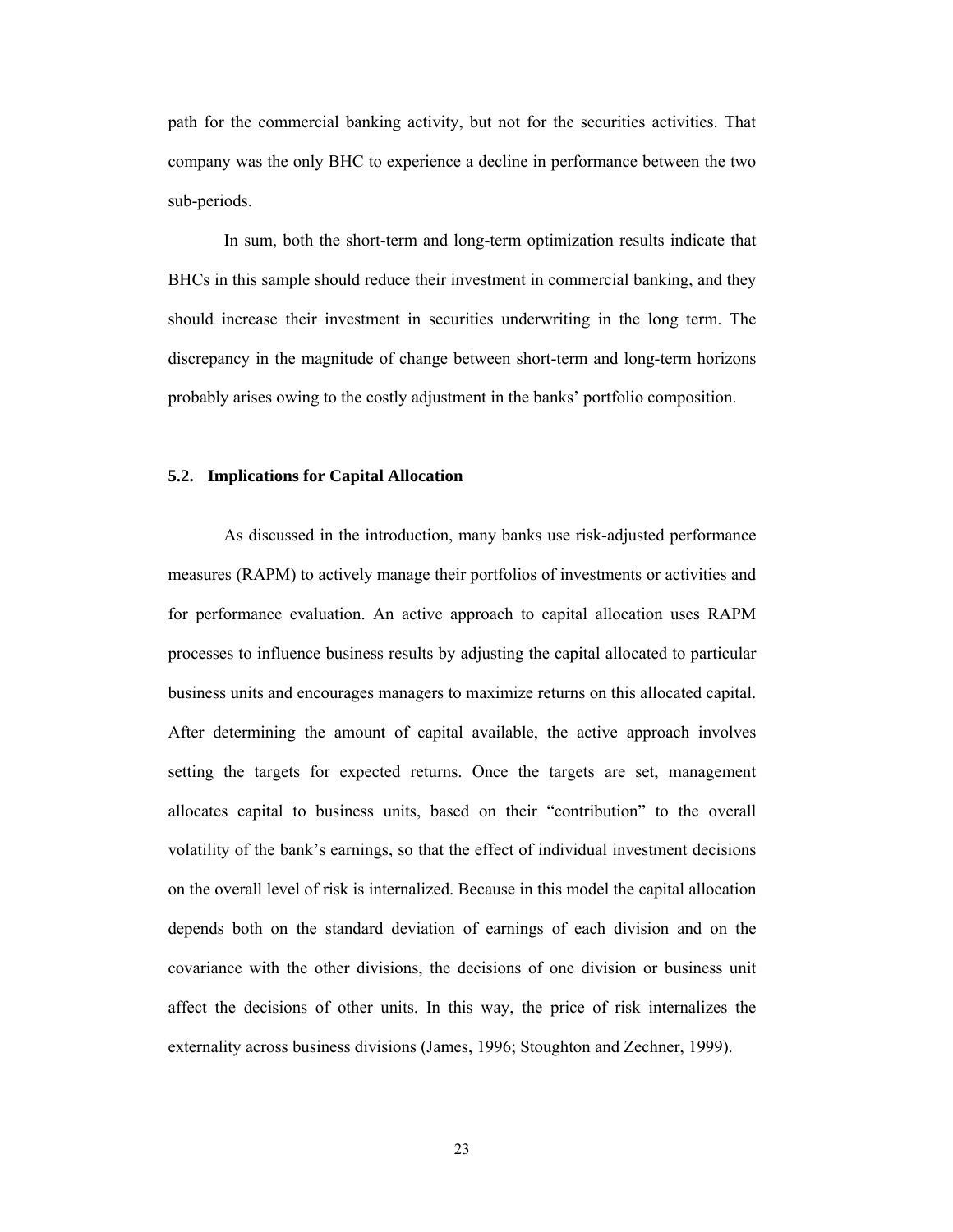path for the commercial banking activity, but not for the securities activities. That company was the only BHC to experience a decline in performance between the two sub-periods.

In sum, both the short-term and long-term optimization results indicate that BHCs in this sample should reduce their investment in commercial banking, and they should increase their investment in securities underwriting in the long term. The discrepancy in the magnitude of change between short-term and long-term horizons probably arises owing to the costly adjustment in the banks' portfolio composition.

#### **5.2. Implications for Capital Allocation**

As discussed in the introduction, many banks use risk-adjusted performance measures (RAPM) to actively manage their portfolios of investments or activities and for performance evaluation. An active approach to capital allocation uses RAPM processes to influence business results by adjusting the capital allocated to particular business units and encourages managers to maximize returns on this allocated capital. After determining the amount of capital available, the active approach involves setting the targets for expected returns. Once the targets are set, management allocates capital to business units, based on their "contribution" to the overall volatility of the bank's earnings, so that the effect of individual investment decisions on the overall level of risk is internalized. Because in this model the capital allocation depends both on the standard deviation of earnings of each division and on the covariance with the other divisions, the decisions of one division or business unit affect the decisions of other units. In this way, the price of risk internalizes the externality across business divisions (James, 1996; Stoughton and Zechner, 1999).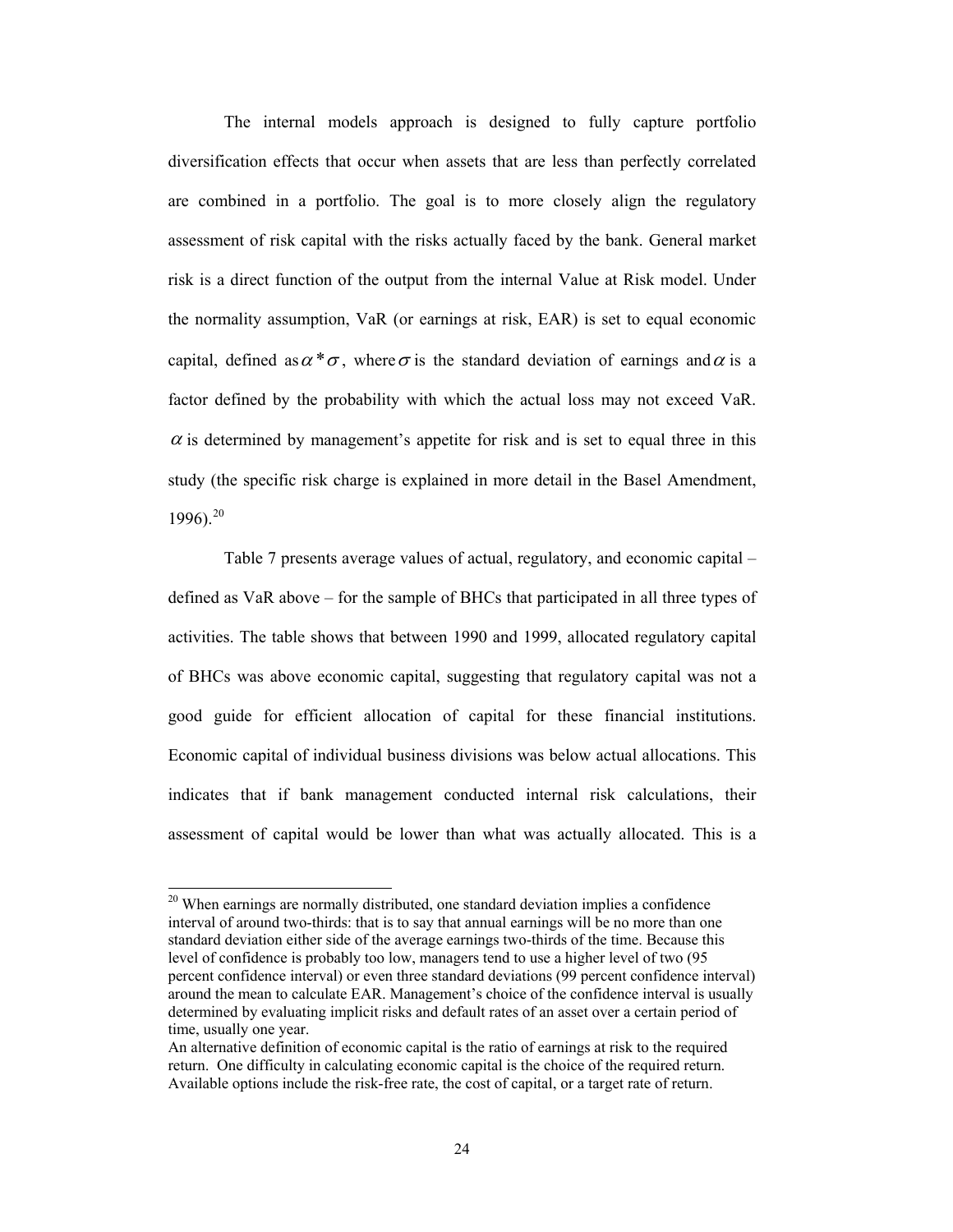The internal models approach is designed to fully capture portfolio diversification effects that occur when assets that are less than perfectly correlated are combined in a portfolio. The goal is to more closely align the regulatory assessment of risk capital with the risks actually faced by the bank. General market risk is a direct function of the output from the internal Value at Risk model. Under the normality assumption, VaR (or earnings at risk, EAR) is set to equal economic capital, defined as  $\alpha^* \sigma$ , where  $\sigma$  is the standard deviation of earnings and  $\alpha$  is a factor defined by the probability with which the actual loss may not exceed VaR.  $\alpha$  is determined by management's appetite for risk and is set to equal three in this study (the specific risk charge is explained in more detail in the Basel Amendment,  $1996$ ).<sup>[20](#page-23-0)</sup>

[Table 7](#page-39-0) presents average values of actual, regulatory, and economic capital – defined as VaR above – for the sample of BHCs that participated in all three types of activities. The table shows that between 1990 and 1999, allocated regulatory capital of BHCs was above economic capital, suggesting that regulatory capital was not a good guide for efficient allocation of capital for these financial institutions. Economic capital of individual business divisions was below actual allocations. This indicates that if bank management conducted internal risk calculations, their assessment of capital would be lower than what was actually allocated. This is a

<span id="page-23-0"></span><sup>&</sup>lt;sup>20</sup> When earnings are normally distributed, one standard deviation implies a confidence interval of around two-thirds: that is to say that annual earnings will be no more than one standard deviation either side of the average earnings two-thirds of the time. Because this level of confidence is probably too low, managers tend to use a higher level of two (95 percent confidence interval) or even three standard deviations (99 percent confidence interval) around the mean to calculate EAR. Management's choice of the confidence interval is usually determined by evaluating implicit risks and default rates of an asset over a certain period of time, usually one year.

An alternative definition of economic capital is the ratio of earnings at risk to the required return. One difficulty in calculating economic capital is the choice of the required return. Available options include the risk-free rate, the cost of capital, or a target rate of return.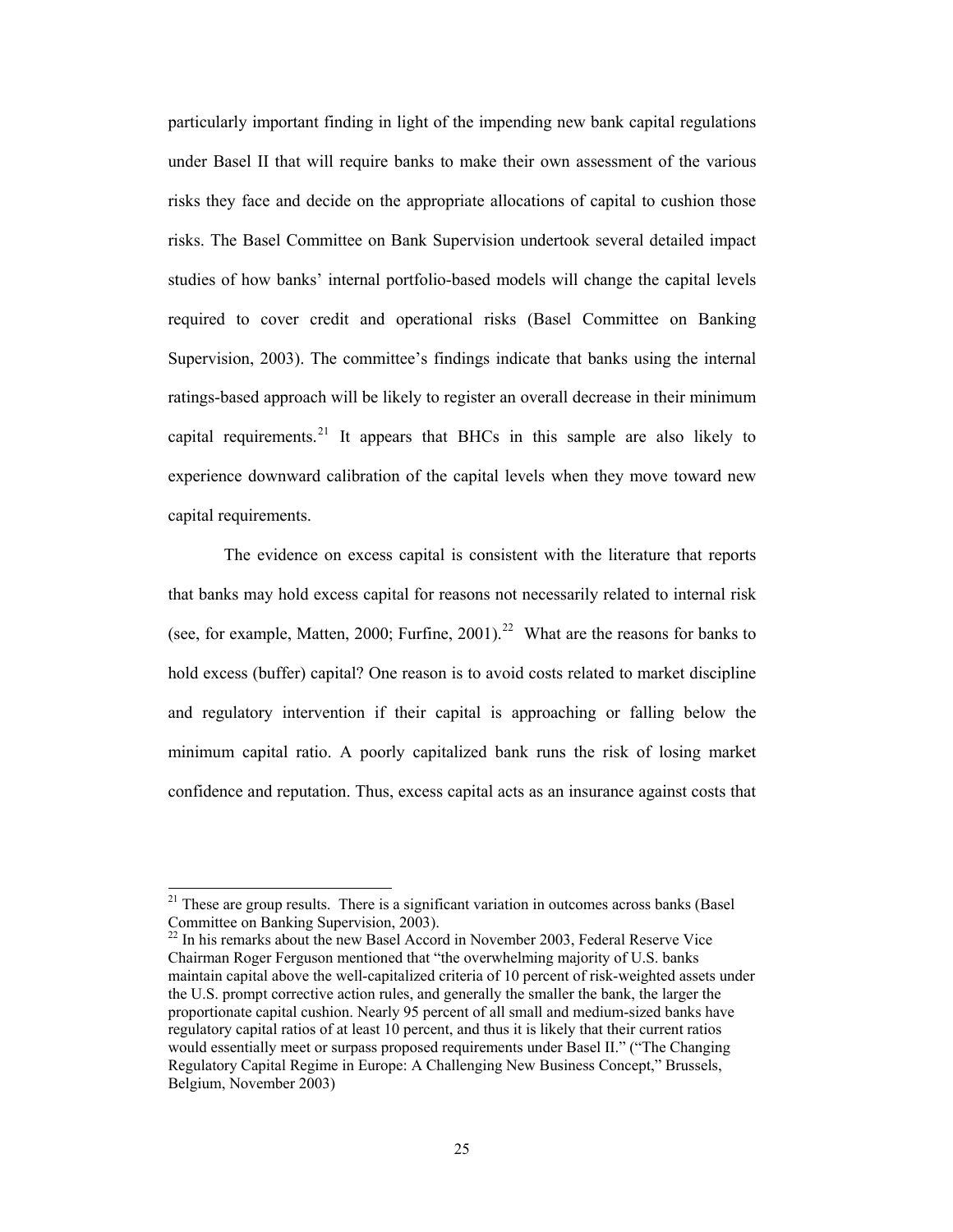particularly important finding in light of the impending new bank capital regulations under Basel II that will require banks to make their own assessment of the various risks they face and decide on the appropriate allocations of capital to cushion those risks. The Basel Committee on Bank Supervision undertook several detailed impact studies of how banks' internal portfolio-based models will change the capital levels required to cover credit and operational risks (Basel Committee on Banking Supervision, 2003). The committee's findings indicate that banks using the internal ratings-based approach will be likely to register an overall decrease in their minimum capital requirements.<sup>[21](#page-24-0)</sup> It appears that BHCs in this sample are also likely to experience downward calibration of the capital levels when they move toward new capital requirements.

The evidence on excess capital is consistent with the literature that reports that banks may hold excess capital for reasons not necessarily related to internal risk (see, for example, Matten, 2000; Furfine, 2001).<sup>[22](#page-24-1)</sup> What are the reasons for banks to hold excess (buffer) capital? One reason is to avoid costs related to market discipline and regulatory intervention if their capital is approaching or falling below the minimum capital ratio. A poorly capitalized bank runs the risk of losing market confidence and reputation. Thus, excess capital acts as an insurance against costs that

<span id="page-24-0"></span> $21$  These are group results. There is a significant variation in outcomes across banks (Basel Committee on Banking Supervision, 2003).

<span id="page-24-1"></span> $22$  In his remarks about the new Basel Accord in November 2003, Federal Reserve Vice Chairman Roger Ferguson mentioned that "the overwhelming majority of U.S. banks maintain capital above the well-capitalized criteria of 10 percent of risk-weighted assets under the U.S. prompt corrective action rules, and generally the smaller the bank, the larger the proportionate capital cushion. Nearly 95 percent of all small and medium-sized banks have regulatory capital ratios of at least 10 percent, and thus it is likely that their current ratios would essentially meet or surpass proposed requirements under Basel II." ("The Changing Regulatory Capital Regime in Europe: A Challenging New Business Concept," Brussels, Belgium, November 2003)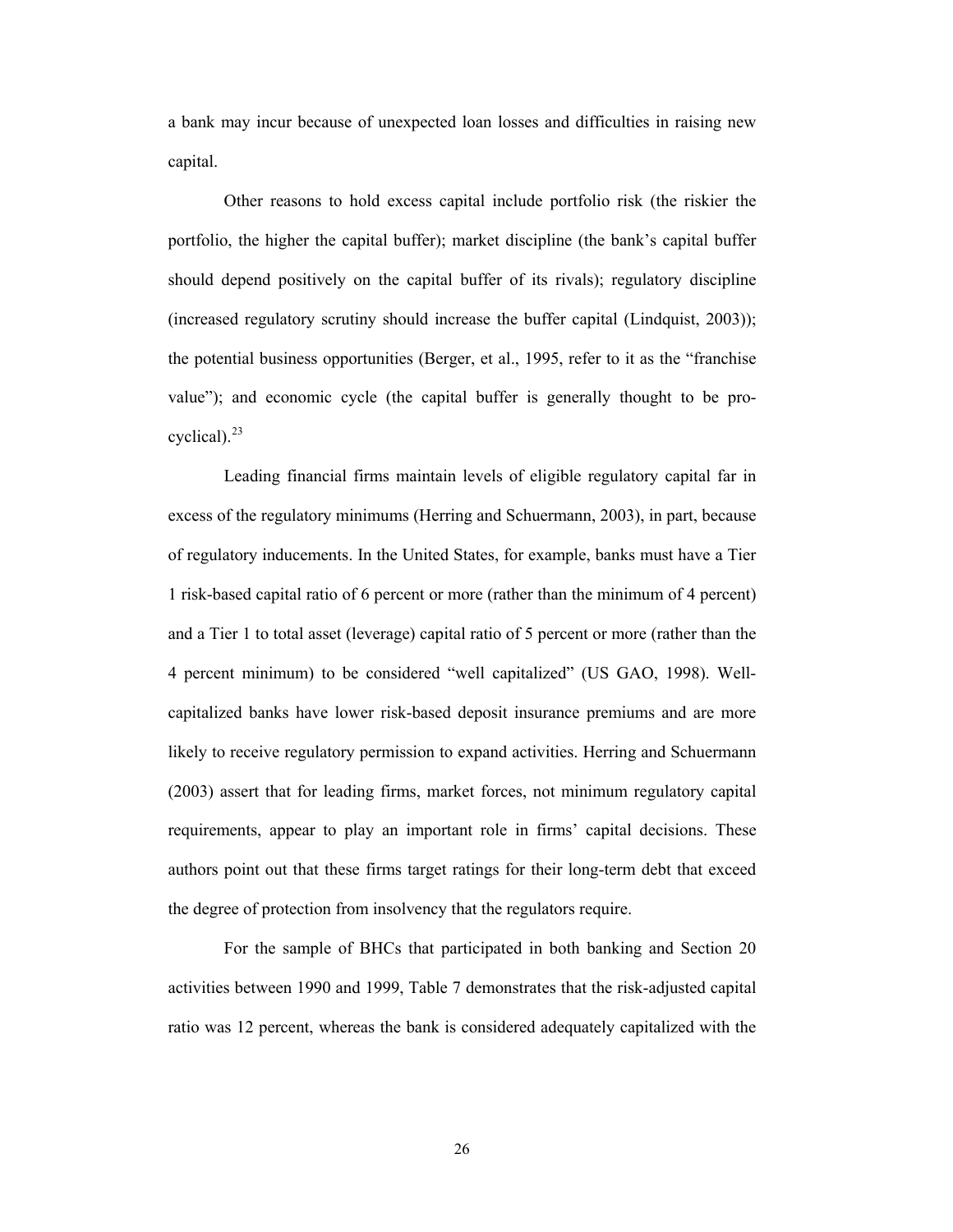a bank may incur because of unexpected loan losses and difficulties in raising new capital.

Other reasons to hold excess capital include portfolio risk (the riskier the portfolio, the higher the capital buffer); market discipline (the bank's capital buffer should depend positively on the capital buffer of its rivals); regulatory discipline (increased regulatory scrutiny should increase the buffer capital (Lindquist, 2003)); the potential business opportunities (Berger, et al., 1995, refer to it as the "franchise value"); and economic cycle (the capital buffer is generally thought to be procyclical). $^{23}$  $^{23}$  $^{23}$ 

Leading financial firms maintain levels of eligible regulatory capital far in excess of the regulatory minimums (Herring and Schuermann, 2003), in part, because of regulatory inducements. In the United States, for example, banks must have a Tier 1 risk-based capital ratio of 6 percent or more (rather than the minimum of 4 percent) and a Tier 1 to total asset (leverage) capital ratio of 5 percent or more (rather than the 4 percent minimum) to be considered "well capitalized" (US GAO, 1998). Wellcapitalized banks have lower risk-based deposit insurance premiums and are more likely to receive regulatory permission to expand activities. Herring and Schuermann (2003) assert that for leading firms, market forces, not minimum regulatory capital requirements, appear to play an important role in firms' capital decisions. These authors point out that these firms target ratings for their long-term debt that exceed the degree of protection from insolvency that the regulators require.

<span id="page-25-0"></span>For the sample of BHCs that participated in both banking and Section 20 activities between 1990 and 1999, [Table 7](#page-39-0) demonstrates that the risk-adjusted capital ratio was 12 percent, whereas the bank is considered adequately capitalized with the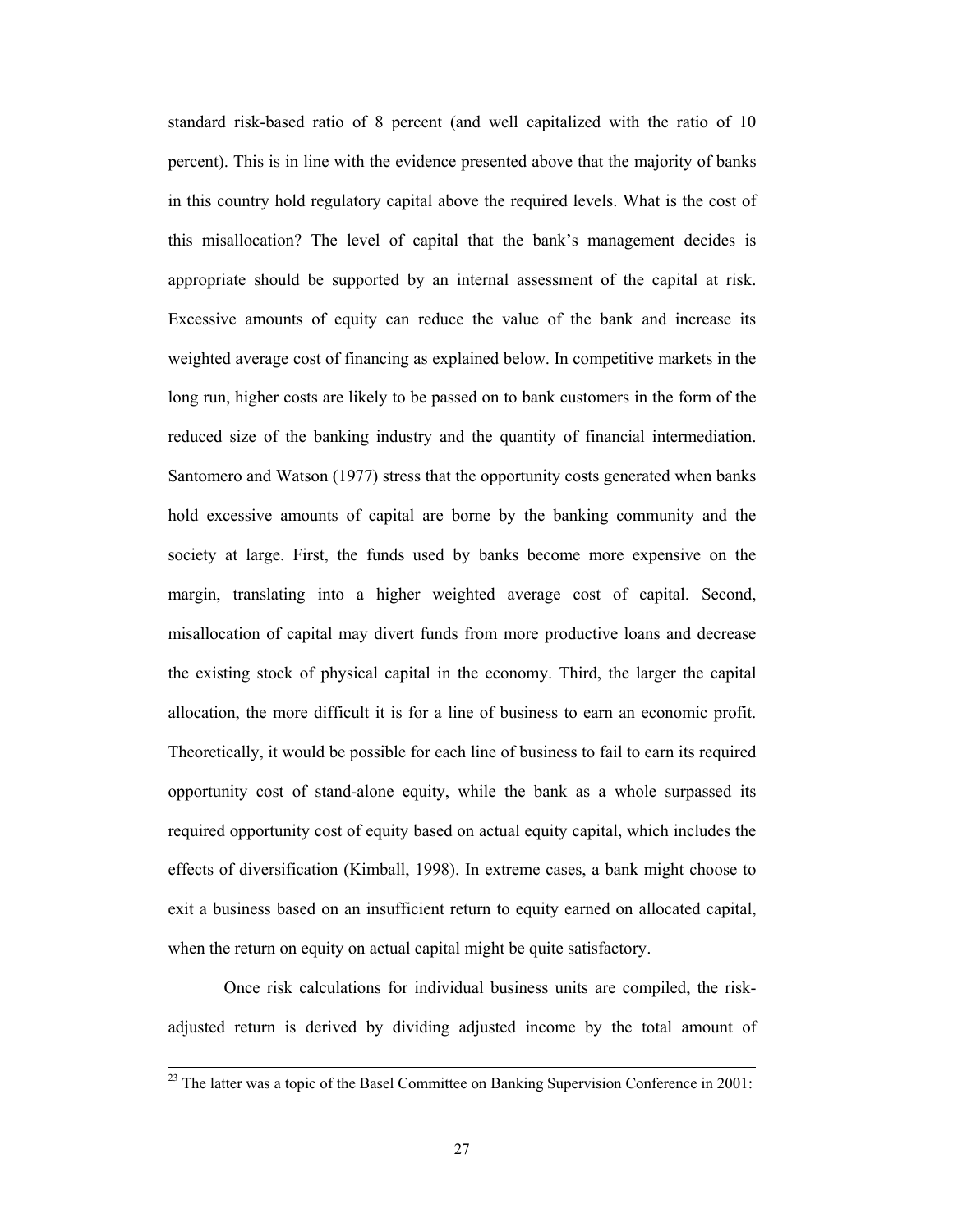standard risk-based ratio of 8 percent (and well capitalized with the ratio of 10 percent). This is in line with the evidence presented above that the majority of banks in this country hold regulatory capital above the required levels. What is the cost of this misallocation? The level of capital that the bank's management decides is appropriate should be supported by an internal assessment of the capital at risk. Excessive amounts of equity can reduce the value of the bank and increase its weighted average cost of financing as explained below. In competitive markets in the long run, higher costs are likely to be passed on to bank customers in the form of the reduced size of the banking industry and the quantity of financial intermediation. Santomero and Watson (1977) stress that the opportunity costs generated when banks hold excessive amounts of capital are borne by the banking community and the society at large. First, the funds used by banks become more expensive on the margin, translating into a higher weighted average cost of capital. Second, misallocation of capital may divert funds from more productive loans and decrease the existing stock of physical capital in the economy. Third, the larger the capital allocation, the more difficult it is for a line of business to earn an economic profit. Theoretically, it would be possible for each line of business to fail to earn its required opportunity cost of stand-alone equity, while the bank as a whole surpassed its required opportunity cost of equity based on actual equity capital, which includes the effects of diversification (Kimball, 1998). In extreme cases, a bank might choose to exit a business based on an insufficient return to equity earned on allocated capital, when the return on equity on actual capital might be quite satisfactory.

Once risk calculations for individual business units are compiled, the riskadjusted return is derived by dividing adjusted income by the total amount of

 $2<sup>23</sup>$  The latter was a topic of the Basel Committee on Banking Supervision Conference in 2001: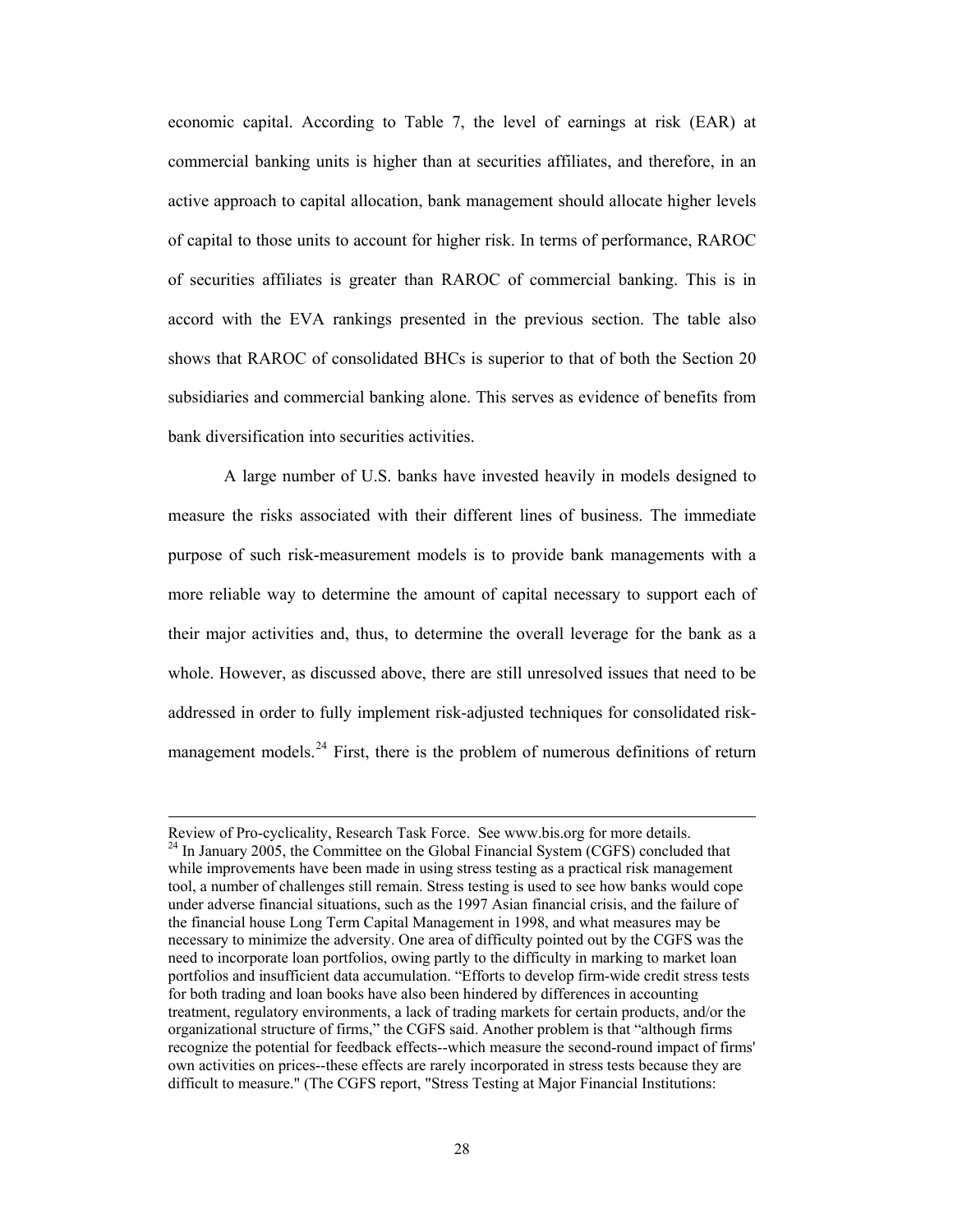<span id="page-27-0"></span>economic capital. According to [Table 7](#page-39-0), the level of earnings at risk (EAR) at commercial banking units is higher than at securities affiliates, and therefore, in an active approach to capital allocation, bank management should allocate higher levels of capital to those units to account for higher risk. In terms of performance, RAROC of securities affiliates is greater than RAROC of commercial banking. This is in accord with the EVA rankings presented in the previous section. The table also shows that RAROC of consolidated BHCs is superior to that of both the Section 20 subsidiaries and commercial banking alone. This serves as evidence of benefits from bank diversification into securities activities.

A large number of U.S. banks have invested heavily in models designed to measure the risks associated with their different lines of business. The immediate purpose of such risk-measurement models is to provide bank managements with a more reliable way to determine the amount of capital necessary to support each of their major activities and, thus, to determine the overall leverage for the bank as a whole. However, as discussed above, there are still unresolved issues that need to be addressed in order to fully implement risk-adjusted techniques for consolidated risk-management models.<sup>[24](#page-27-0)</sup> First, there is the problem of numerous definitions of return

Review of Pro-cyclicality, Research Task Force. See [www.bis.org](http://www.bis.org/) for more details.<br><sup>24</sup> In January 2005, the Committee on the Global Financial System (CGFS) concluded that while improvements have been made in using stress testing as a practical risk management tool, a number of challenges still remain. Stress testing is used to see how banks would cope under adverse financial situations, such as the 1997 Asian financial crisis, and the failure of the financial house Long Term Capital Management in 1998, and what measures may be necessary to minimize the adversity. One area of difficulty pointed out by the CGFS was the need to incorporate loan portfolios, owing partly to the difficulty in marking to market loan portfolios and insufficient data accumulation. "Efforts to develop firm-wide credit stress tests for both trading and loan books have also been hindered by differences in accounting treatment, regulatory environments, a lack of trading markets for certain products, and/or the organizational structure of firms," the CGFS said. Another problem is that "although firms recognize the potential for feedback effects--which measure the second-round impact of firms' own activities on prices--these effects are rarely incorporated in stress tests because they are difficult to measure." (The CGFS report, "Stress Testing at Major Financial Institutions: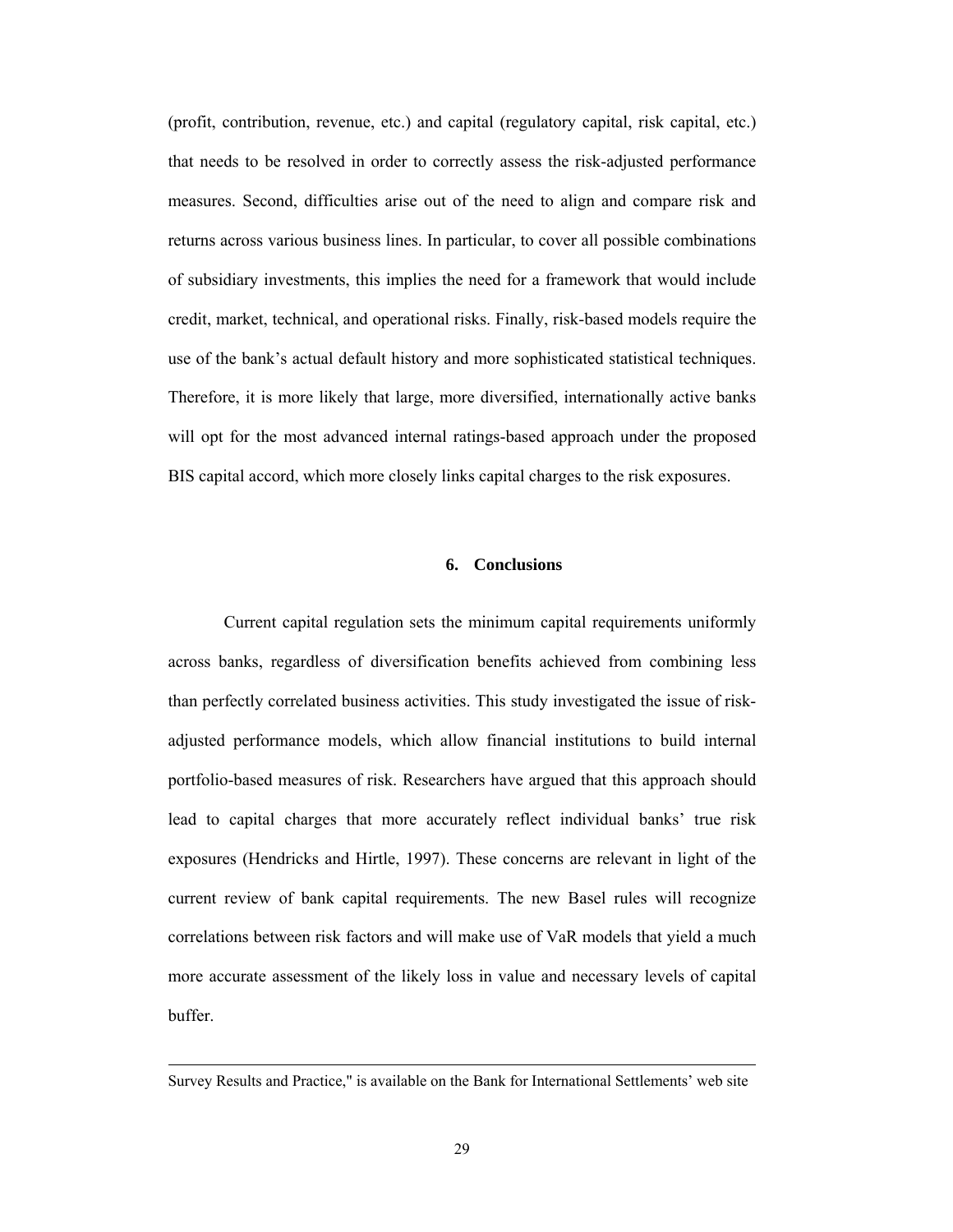(profit, contribution, revenue, etc.) and capital (regulatory capital, risk capital, etc.) that needs to be resolved in order to correctly assess the risk-adjusted performance measures. Second, difficulties arise out of the need to align and compare risk and returns across various business lines. In particular, to cover all possible combinations of subsidiary investments, this implies the need for a framework that would include credit, market, technical, and operational risks. Finally, risk-based models require the use of the bank's actual default history and more sophisticated statistical techniques. Therefore, it is more likely that large, more diversified, internationally active banks will opt for the most advanced internal ratings-based approach under the proposed BIS capital accord, which more closely links capital charges to the risk exposures.

# **6. Conclusions**

<span id="page-28-0"></span>Current capital regulation sets the minimum capital requirements uniformly across banks, regardless of diversification benefits achieved from combining less than perfectly correlated business activities. This study investigated the issue of riskadjusted performance models, which allow financial institutions to build internal portfolio-based measures of risk. Researchers have argued that this approach should lead to capital charges that more accurately reflect individual banks' true risk exposures (Hendricks and Hirtle, 1997). These concerns are relevant in light of the current review of bank capital requirements. The new Basel rules will recognize correlations between risk factors and will make use of VaR models that yield a much more accurate assessment of the likely loss in value and necessary levels of capital buffer.

Survey Results and Practice," is available on the Bank for International Settlements' web site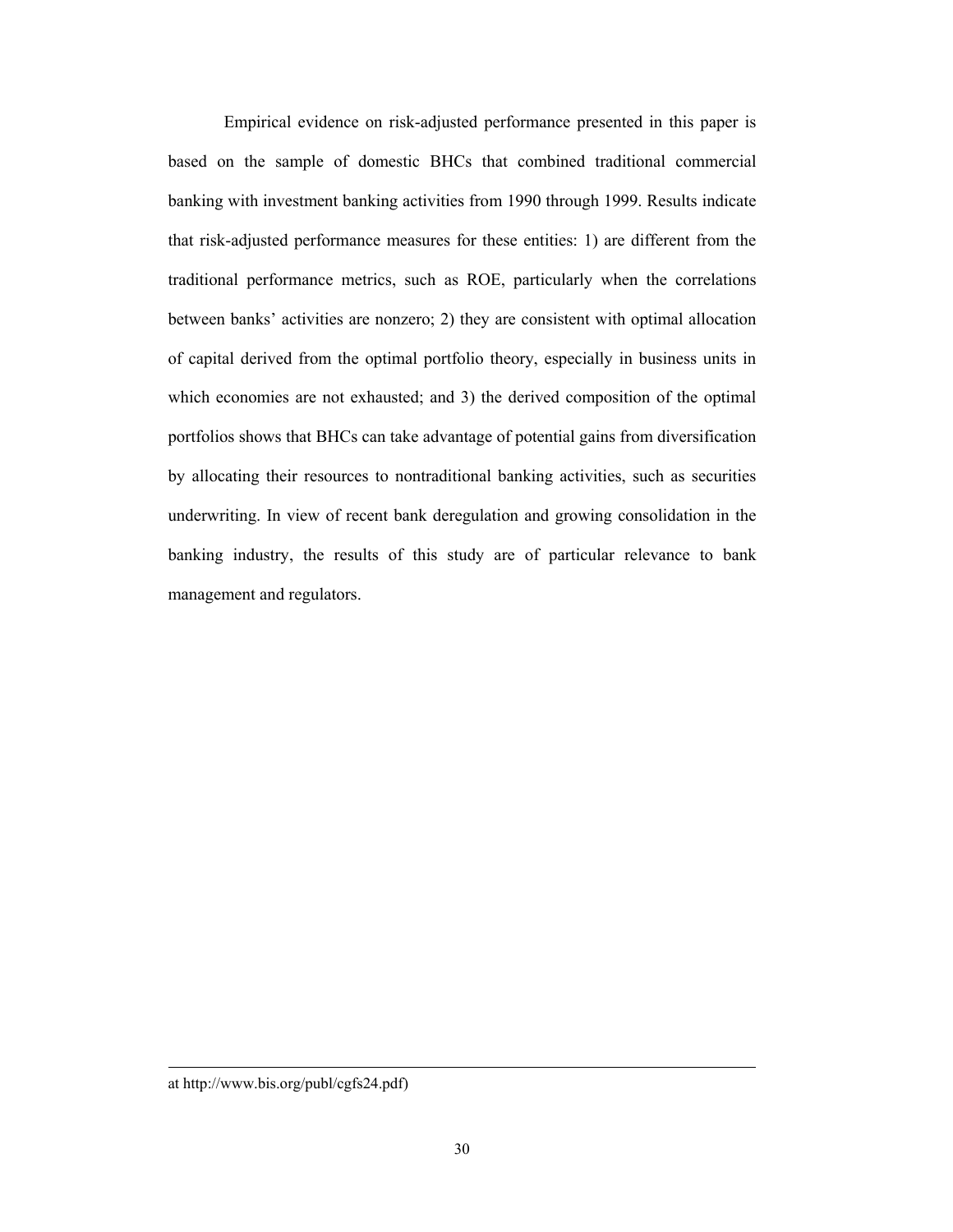Empirical evidence on risk-adjusted performance presented in this paper is based on the sample of domestic BHCs that combined traditional commercial banking with investment banking activities from 1990 through 1999. Results indicate that risk-adjusted performance measures for these entities: 1) are different from the traditional performance metrics, such as ROE, particularly when the correlations between banks' activities are nonzero; 2) they are consistent with optimal allocation of capital derived from the optimal portfolio theory, especially in business units in which economies are not exhausted; and 3) the derived composition of the optimal portfolios shows that BHCs can take advantage of potential gains from diversification by allocating their resources to nontraditional banking activities, such as securities underwriting. In view of recent bank deregulation and growing consolidation in the banking industry, the results of this study are of particular relevance to bank management and regulators.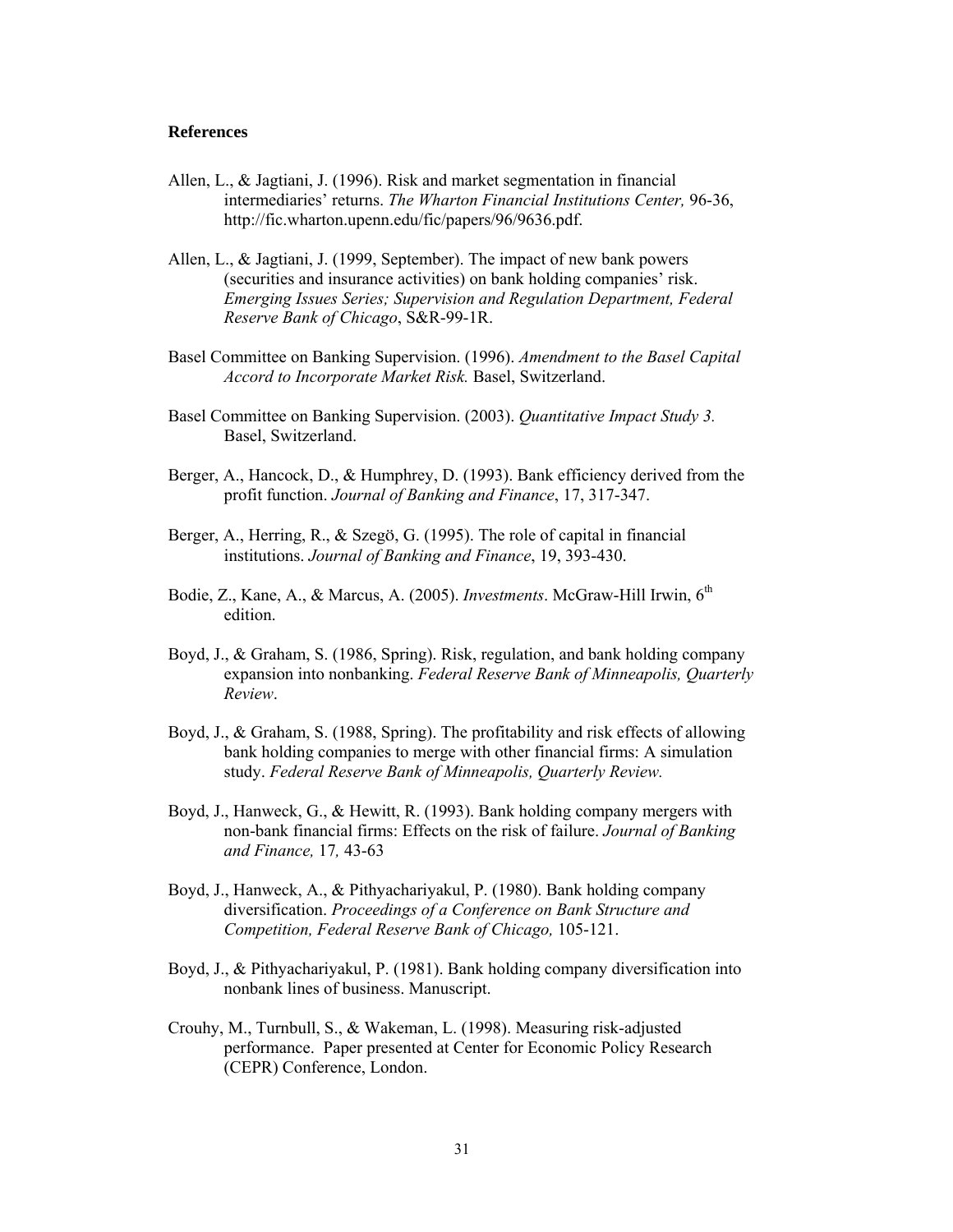### **References**

- Allen, L., & Jagtiani, J. (1996). Risk and market segmentation in financial intermediaries' returns. *The Wharton Financial Institutions Center,* 96-36, [http://fic.wharton.upenn.edu/fic/papers/96/9636.pdf.](http://fic.wharton.upenn.edu/fic/papers/96/9636.pdf)
- Allen, L., & Jagtiani, J. (1999, September). The impact of new bank powers (securities and insurance activities) on bank holding companies' risk. *Emerging Issues Series; Supervision and Regulation Department, Federal Reserve Bank of Chicago*, S&R-99-1R.
- Basel Committee on Banking Supervision. (1996). *Amendment to the Basel Capital Accord to Incorporate Market Risk.* Basel, Switzerland.
- Basel Committee on Banking Supervision. (2003). *Quantitative Impact Study 3.*  Basel, Switzerland.
- Berger, A., Hancock, D., & Humphrey, D. (1993). Bank efficiency derived from the profit function. *Journal of Banking and Finance*, 17, 317-347.
- Berger, A., Herring, R., & Szegö, G. (1995). The role of capital in financial institutions. *Journal of Banking and Finance*, 19, 393-430.
- Bodie, Z., Kane, A., & Marcus, A. (2005). *Investments*. McGraw-Hill Irwin, 6<sup>th</sup> edition.
- Boyd, J., & Graham, S. (1986, Spring). Risk, regulation, and bank holding company expansion into nonbanking. *Federal Reserve Bank of Minneapolis, Quarterly Review*.
- Boyd, J., & Graham, S. (1988, Spring). The profitability and risk effects of allowing bank holding companies to merge with other financial firms: A simulation study. *Federal Reserve Bank of Minneapolis, Quarterly Review.*
- Boyd, J., Hanweck, G., & Hewitt, R. (1993). Bank holding company mergers with non-bank financial firms: Effects on the risk of failure. *Journal of Banking and Finance,* 17*,* 43-63
- Boyd, J., Hanweck, A., & Pithyachariyakul, P. (1980). Bank holding company diversification. *Proceedings of a Conference on Bank Structure and Competition, Federal Reserve Bank of Chicago,* 105-121.
- Boyd, J., & Pithyachariyakul, P. (1981). Bank holding company diversification into nonbank lines of business. Manuscript.
- Crouhy, M., Turnbull, S., & Wakeman, L. (1998). Measuring risk-adjusted performance. Paper presented at Center for Economic Policy Research (CEPR) Conference, London.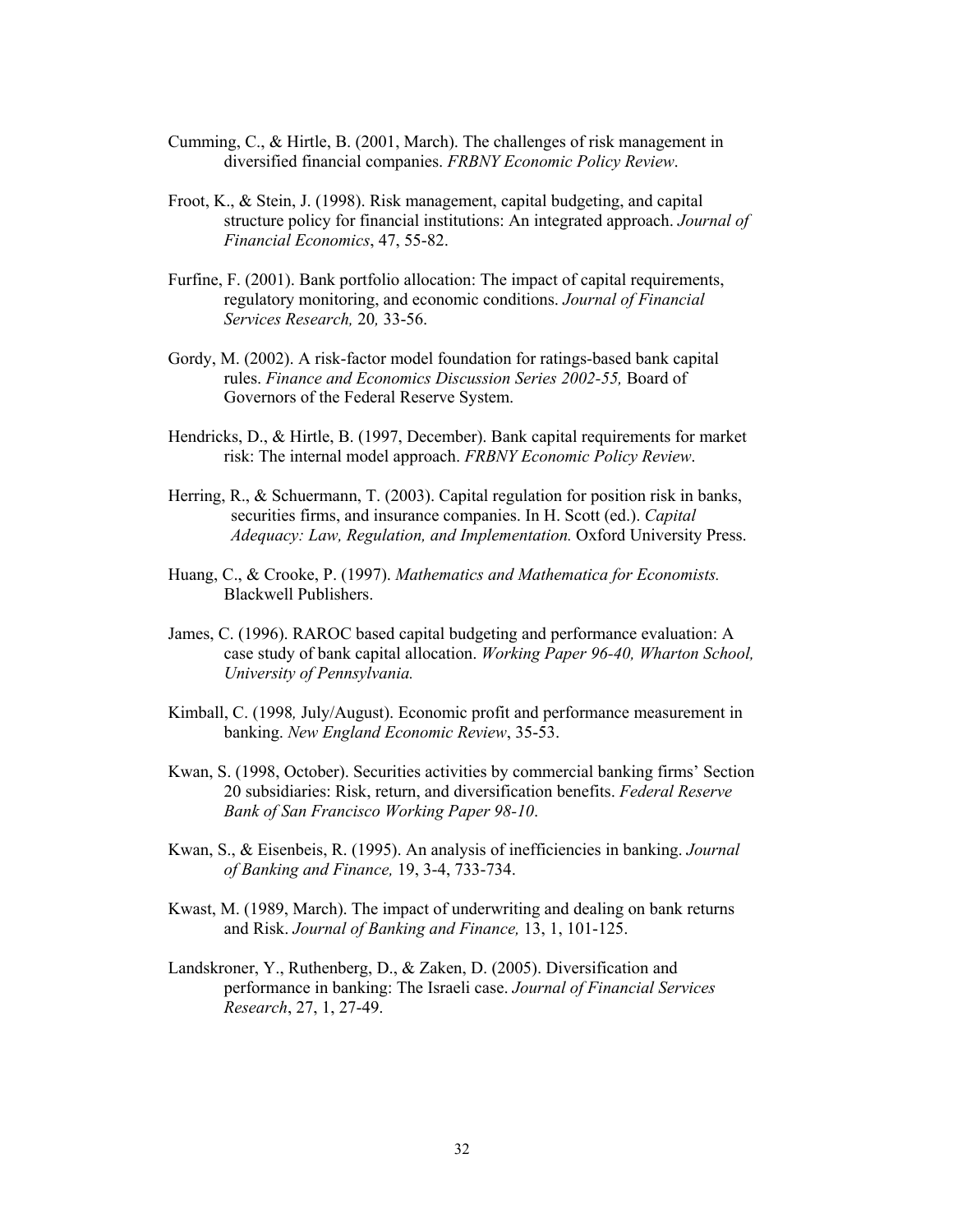- Cumming, C., & Hirtle, B. (2001, March). The challenges of risk management in diversified financial companies. *FRBNY Economic Policy Review*.
- Froot, K., & Stein, J. (1998). Risk management, capital budgeting, and capital structure policy for financial institutions: An integrated approach. *Journal of Financial Economics*, 47, 55-82.
- Furfine, F. (2001). Bank portfolio allocation: The impact of capital requirements, regulatory monitoring, and economic conditions. *Journal of Financial Services Research,* 20*,* 33-56.
- Gordy, M. (2002). A risk-factor model foundation for ratings-based bank capital rules. *Finance and Economics Discussion Series 2002-55,* Board of Governors of the Federal Reserve System.
- Hendricks, D., & Hirtle, B. (1997, December). Bank capital requirements for market risk: The internal model approach. *FRBNY Economic Policy Review*.
- Herring, R., & Schuermann, T. (2003). Capital regulation for position risk in banks, securities firms, and insurance companies. In H. Scott (ed.). *Capital Adequacy: Law, Regulation, and Implementation.* Oxford University Press.
- Huang, C., & Crooke, P. (1997). *Mathematics and Mathematica for Economists.* Blackwell Publishers.
- James, C. (1996). RAROC based capital budgeting and performance evaluation: A case study of bank capital allocation. *Working Paper 96-40, Wharton School, University of Pennsylvania.*
- Kimball, C. (1998*,* July/August). Economic profit and performance measurement in banking. *New England Economic Review*, 35-53.
- Kwan, S. (1998, October). Securities activities by commercial banking firms' Section 20 subsidiaries: Risk, return, and diversification benefits. *Federal Reserve Bank of San Francisco Working Paper 98-10*.
- Kwan, S., & Eisenbeis, R. (1995). An analysis of inefficiencies in banking. *Journal of Banking and Finance,* 19, 3-4, 733-734.
- Kwast, M. (1989, March). The impact of underwriting and dealing on bank returns and Risk. *Journal of Banking and Finance,* 13, 1, 101-125.
- Landskroner, Y., Ruthenberg, D., & Zaken, D. (2005). Diversification and performance in banking: The Israeli case. *Journal of Financial Services Research*, 27, 1, 27-49.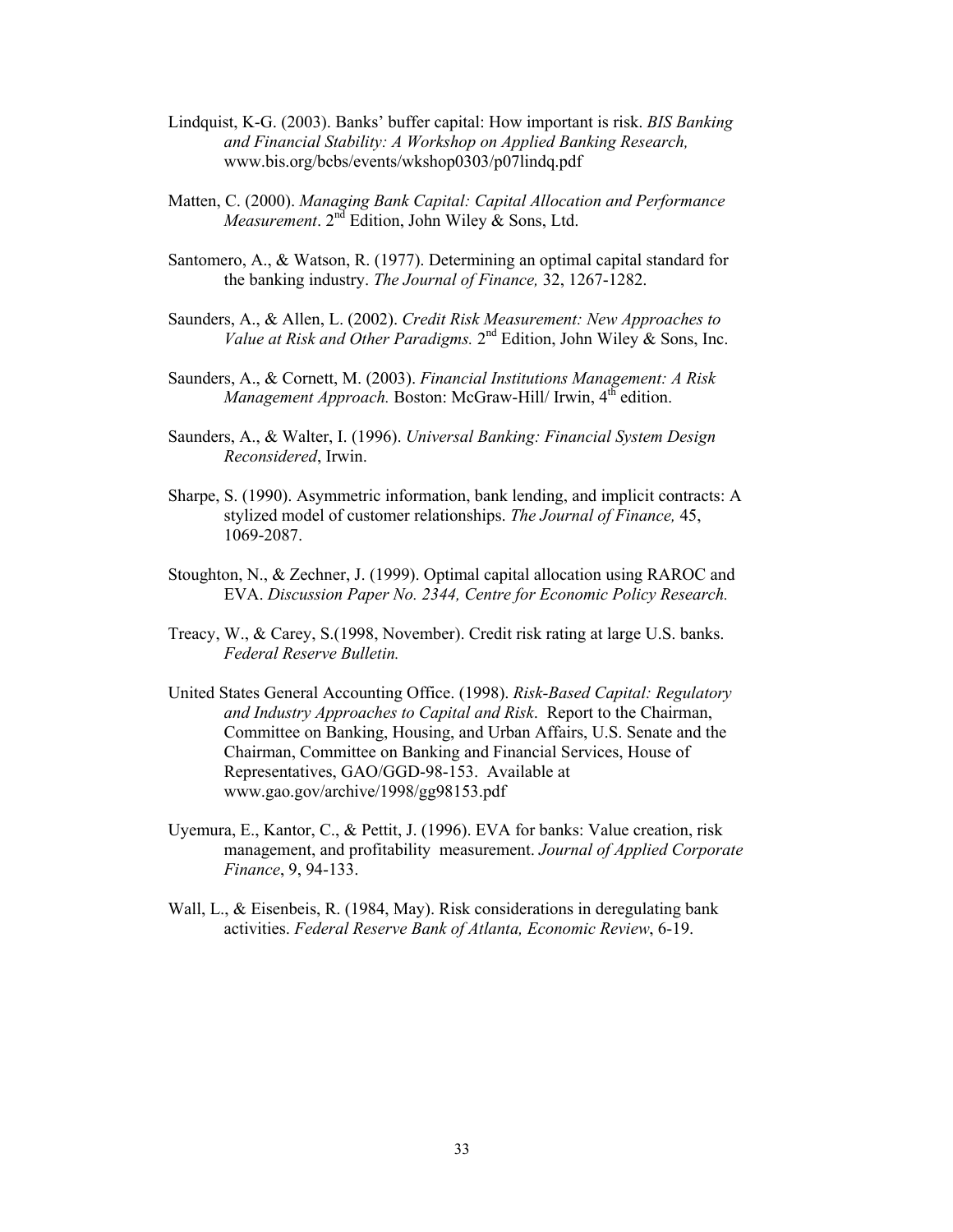- Lindquist, K-G. (2003). Banks' buffer capital: How important is risk. *BIS Banking and Financial Stability: A Workshop on Applied Banking Research,* www.bis.org/bcbs/events/wkshop0303/p07lindq.pdf
- Matten, C. (2000). *Managing Bank Capital: Capital Allocation and Performance Measurement*. 2<sup>nd</sup> Edition, John Wiley & Sons, Ltd.
- Santomero, A., & Watson, R. (1977). Determining an optimal capital standard for the banking industry. *The Journal of Finance,* 32, 1267-1282.
- Saunders, A., & Allen, L. (2002). *Credit Risk Measurement: New Approaches to Value at Risk and Other Paradigms.* 2<sup>nd</sup> Edition, John Wiley & Sons, Inc.
- Saunders, A., & Cornett, M. (2003). *Financial Institutions Management: A Risk Management Approach.* Boston: McGraw-Hill/ Irwin, 4<sup>th</sup> edition.
- Saunders, A., & Walter, I. (1996). *Universal Banking: Financial System Design Reconsidered*, Irwin.
- Sharpe, S. (1990). Asymmetric information, bank lending, and implicit contracts: A stylized model of customer relationships. *The Journal of Finance,* 45, 1069-2087.
- Stoughton, N., & Zechner, J. (1999). Optimal capital allocation using RAROC and EVA. *Discussion Paper No. 2344, Centre for Economic Policy Research.*
- Treacy, W., & Carey, S.(1998, November). Credit risk rating at large U.S. banks. *Federal Reserve Bulletin.*
- United States General Accounting Office. (1998). *Risk-Based Capital: Regulatory and Industry Approaches to Capital and Risk*. Report to the Chairman, Committee on Banking, Housing, and Urban Affairs, U.S. Senate and the Chairman, Committee on Banking and Financial Services, House of Representatives, GAO/GGD-98-153. Available at www.gao.gov/archive/1998/gg98153.pdf
- Uyemura, E., Kantor, C., & Pettit, J. (1996). EVA for banks: Value creation, risk management, and profitability measurement. *Journal of Applied Corporate Finance*, 9, 94-133.
- Wall, L., & Eisenbeis, R. (1984, May). Risk considerations in deregulating bank activities. *Federal Reserve Bank of Atlanta, Economic Review*, 6-19.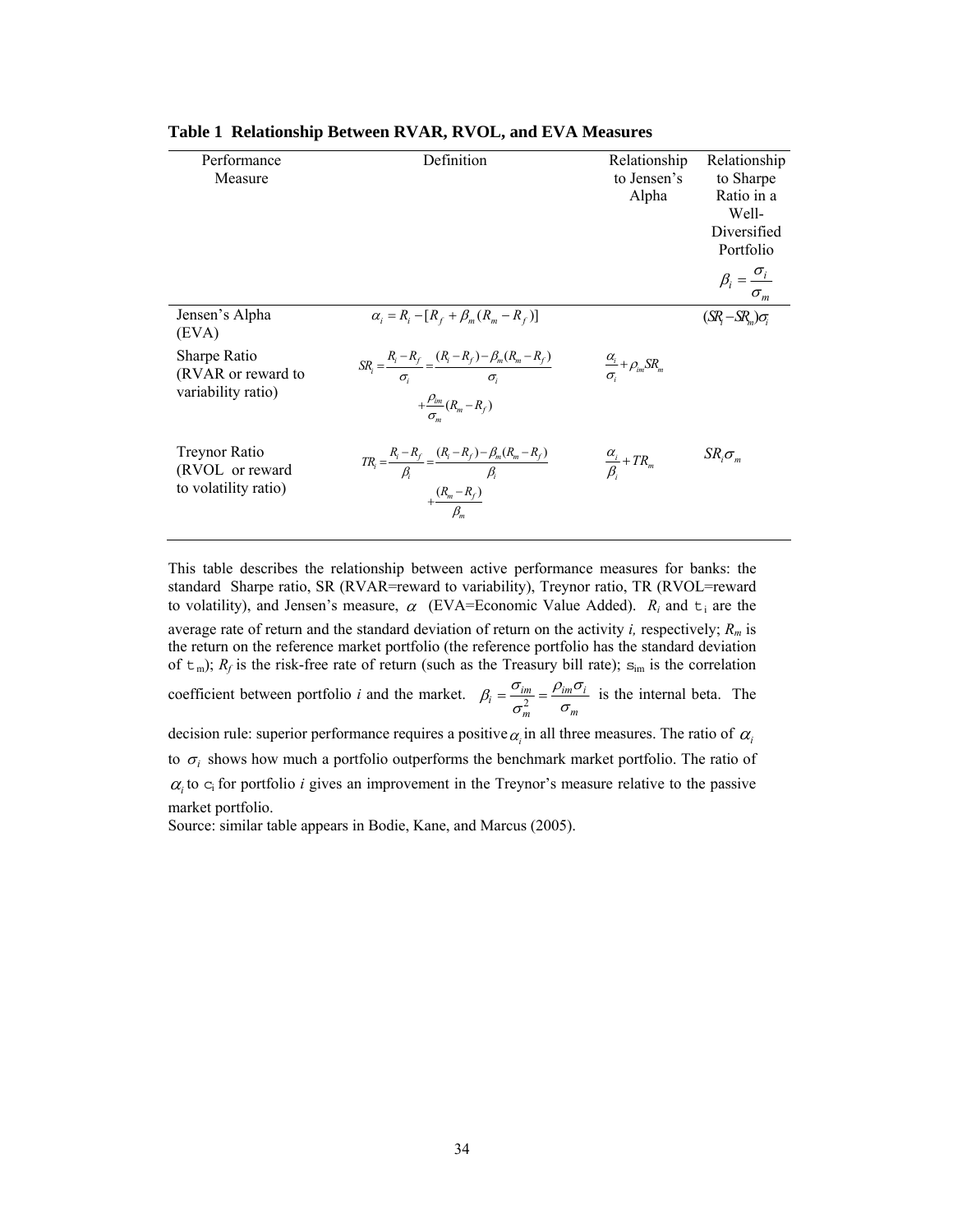| Performance<br>Measure                                          | Definition                                                                                                                         | Relationship<br>to Jensen's<br>Alpha          | Relationship<br>to Sharpe<br>Ratio in a<br>Well-<br>Diversified<br>Portfolio<br>$\beta_i = \frac{\sigma_i}{\sigma_m}$ |
|-----------------------------------------------------------------|------------------------------------------------------------------------------------------------------------------------------------|-----------------------------------------------|-----------------------------------------------------------------------------------------------------------------------|
| Jensen's Alpha<br>(EVA)                                         | $\alpha_i = R_i - [R_f + \beta_m (R_m - R_f)]$                                                                                     |                                               | $(SR - SRn)\sigma_i$                                                                                                  |
| Sharpe Ratio<br>(RVAR or reward to<br>variability ratio)        | $SR_i = \frac{R_i - R_f}{\sigma_i} = \frac{(R_i - R_f) - \beta_m (R_m - R_f)}{\sigma_i}$<br>$+\frac{\rho_{im}}{\sigma_m}(R_m-R_f)$ | $\frac{\alpha_i}{\sigma_i} + \rho_{im} S R_m$ |                                                                                                                       |
| <b>Treynor Ratio</b><br>(RVOL or reward<br>to volatility ratio) | $TR_i = \frac{R_i - R_f}{\beta_i} = \frac{(R_i - R_f) - \beta_m (R_m - R_f)}{\beta_i}$<br>$+\frac{(R_m-R_f)}{B}$                   | $\frac{\alpha_i}{\beta_i} + TR_m$             | $SR_i\sigma_m$                                                                                                        |

#### <span id="page-33-0"></span>**Table 1 Relationship Between RVAR, RVOL, and EVA Measures**

This table describes the relationship between active performance measures for banks: the standard Sharpe ratio, SR (RVAR=reward to variability), Treynor ratio, TR (RVOL=reward to volatility), and Jensen's measure,  $\alpha$  (EVA=Economic Value Added).  $R_i$  and  $t_i$  are the

average rate of return and the standard deviation of return on the activity *i,* respectively; *Rm* is the return on the reference market portfolio (the reference portfolio has the standard deviation of  $t_m$ );  $R_f$  is the risk-free rate of return (such as the Treasury bill rate);  $s_{im}$  is the correlation

coefficient between portfolio *i* and the market.  $\beta_i = \frac{0_{im}}{2} = \frac{p_{im} \sigma_i}{2}$ *m m*  $\beta_i = \frac{\sigma_{im}}{\sigma_{m}^2} = \frac{\rho_{im}\sigma_i}{\sigma_m}$  is the internal beta. The

decision rule: superior performance requires a positive  $\alpha_i$  in all three measures. The ratio of  $\alpha_i$ to  $\sigma_i$  shows how much a portfolio outperforms the benchmark market portfolio. The ratio of  $\alpha_i$  to  $c_i$  for portfolio *i* gives an improvement in the Treynor's measure relative to the passive market portfolio.

Source: similar table appears in Bodie, Kane, and Marcus (2005).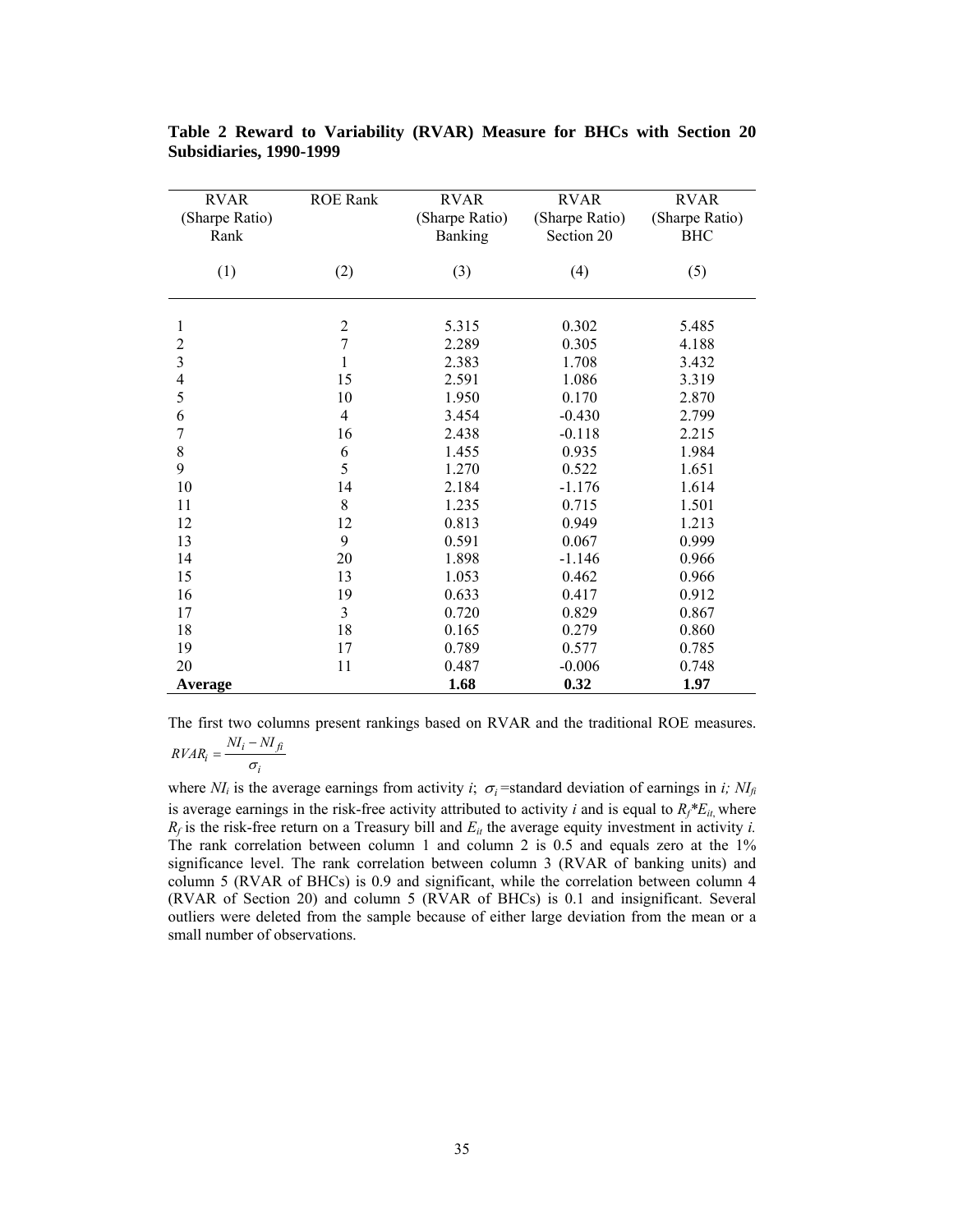| <b>RVAR</b><br>(Sharpe Ratio) | <b>ROE Rank</b> | <b>RVAR</b><br>(Sharpe Ratio) | <b>RVAR</b><br>(Sharpe Ratio) | <b>RVAR</b><br>(Sharpe Ratio) |
|-------------------------------|-----------------|-------------------------------|-------------------------------|-------------------------------|
| Rank                          |                 | Banking                       | Section 20                    | <b>BHC</b>                    |
|                               |                 |                               |                               |                               |
| (1)                           | (2)             | (3)                           | (4)                           | (5)                           |
|                               |                 |                               |                               |                               |
|                               |                 |                               |                               |                               |
| 1                             | $\sqrt{2}$      | 5.315                         | 0.302                         | 5.485                         |
| $\overline{c}$                | $\overline{7}$  | 2.289                         | 0.305                         | 4.188                         |
| $\overline{\mathbf{3}}$       | $\mathbf{1}$    | 2.383                         | 1.708                         | 3.432                         |
| $\overline{4}$                | 15              | 2.591                         | 1.086                         | 3.319                         |
| 5                             | 10              | 1.950                         | 0.170                         | 2.870                         |
| 6                             | $\overline{4}$  | 3.454                         | $-0.430$                      | 2.799                         |
| $\overline{7}$                | 16              | 2.438                         | $-0.118$                      | 2.215                         |
| 8                             | 6               | 1.455                         | 0.935                         | 1.984                         |
| 9                             | 5               | 1.270                         | 0.522                         | 1.651                         |
| 10                            | 14              | 2.184                         | $-1.176$                      | 1.614                         |
| 11                            | 8               | 1.235                         | 0.715                         | 1.501                         |
| 12                            | 12              | 0.813                         | 0.949                         | 1.213                         |
| 13                            | 9               | 0.591                         | 0.067                         | 0.999                         |
| 14                            | 20              | 1.898                         | $-1.146$                      | 0.966                         |
| 15                            | 13              | 1.053                         | 0.462                         | 0.966                         |
| 16                            | 19              | 0.633                         | 0.417                         | 0.912                         |
| 17                            | 3               | 0.720                         | 0.829                         | 0.867                         |
| 18                            | 18              | 0.165                         | 0.279                         | 0.860                         |
| 19                            | 17              | 0.789                         | 0.577                         | 0.785                         |
| 20                            | 11              | 0.487                         | $-0.006$                      | 0.748                         |
| <b>Average</b>                |                 | 1.68                          | 0.32                          | 1.97                          |

<span id="page-34-0"></span>**Table 2 Reward to Variability (RVAR) Measure for BHCs with Section 20 Subsidiaries, 1990-1999** 

The first two columns present rankings based on RVAR and the traditional ROE measures.  $P_i = \frac{N I_i - N I_{fi}}{I}$  $\frac{N I_i - N I_i}{\sigma_i}$ 

*i* where  $N_I$  is the average earnings from activity *i*;  $\sigma_i$  =standard deviation of earnings in *i*;  $N_I$ is average earnings in the risk-free activity attributed to activity *i* and is equal to  $R_f * E_i$ , where  $R_f$  is the risk-free return on a Treasury bill and  $E_{it}$  the average equity investment in activity *i*. The rank correlation between column 1 and column 2 is 0.5 and equals zero at the 1% significance level. The rank correlation between column 3 (RVAR of banking units) and column 5 (RVAR of BHCs) is 0.9 and significant, while the correlation between column 4 (RVAR of Section 20) and column 5 (RVAR of BHCs) is 0.1 and insignificant. Several outliers were deleted from the sample because of either large deviation from the mean or a small number of observations.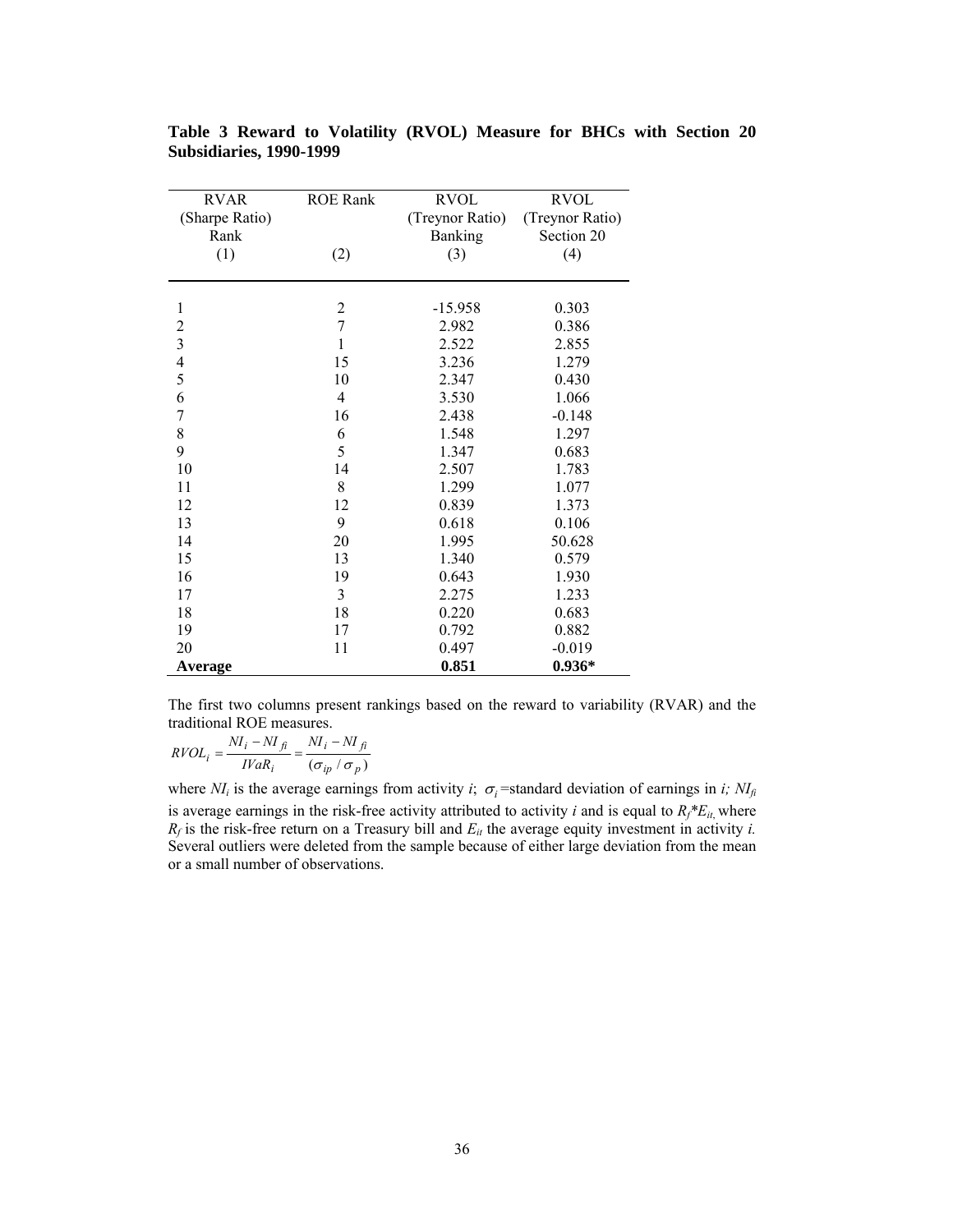| <b>RVAR</b>    | <b>ROE Rank</b> | <b>RVOL</b>     | <b>RVOL</b>     |
|----------------|-----------------|-----------------|-----------------|
| (Sharpe Ratio) |                 | (Treynor Ratio) | (Treynor Ratio) |
| Rank           |                 | Banking         | Section 20      |
| (1)            | (2)             | (3)             | (4)             |
|                |                 |                 |                 |
|                |                 |                 |                 |
| $\mathbf{1}$   | $\overline{c}$  | $-15.958$       | 0.303           |
| $\overline{c}$ | $\overline{7}$  | 2.982           | 0.386           |
| $\overline{3}$ | $\mathbf{1}$    | 2.522           | 2.855           |
| $\frac{4}{5}$  | 15              | 3.236           | 1.279           |
|                | 10              | 2.347           | 0.430           |
| 6              | $\overline{4}$  | 3.530           | 1.066           |
| $\overline{7}$ | 16              | 2.438           | $-0.148$        |
| 8              | 6               | 1.548           | 1.297           |
| 9              | 5               | 1.347           | 0.683           |
| 10             | 14              | 2.507           | 1.783           |
| 11             | $8\,$           | 1.299           | 1.077           |
| 12             | 12              | 0.839           | 1.373           |
| 13             | 9               | 0.618           | 0.106           |
| 14             | 20              | 1.995           | 50.628          |
| 15             | 13              | 1.340           | 0.579           |
| 16             | 19              | 0.643           | 1.930           |
| 17             | 3               | 2.275           | 1.233           |
| 18             | 18              | 0.220           | 0.683           |
| 19             | 17              | 0.792           | 0.882           |
| 20             | 11              | 0.497           | $-0.019$        |
| Average        |                 | 0.851           | $0.936*$        |

<span id="page-35-0"></span>**Table 3 Reward to Volatility (RVOL) Measure for BHCs with Section 20 Subsidiaries, 1990-1999** 

The first two columns present rankings based on the reward to variability (RVAR) and the traditional ROE measures.

$$
RVOL_i = \frac{NI_i - NI_{fi}}{IVaR_i} = \frac{NI_i - NI_{fi}}{(\sigma_{ip} / \sigma_p)}
$$

where  $N_I$  is the average earnings from activity *i*;  $\sigma_i$ =standard deviation of earnings in *i*;  $N_{If}$ is average earnings in the risk-free activity attributed to activity *i* and is equal to  $R_f * E_{it}$ , where  $R_f$  is the risk-free return on a Treasury bill and  $E_{it}$  the average equity investment in activity *i*. Several outliers were deleted from the sample because of either large deviation from the mean or a small number of observations.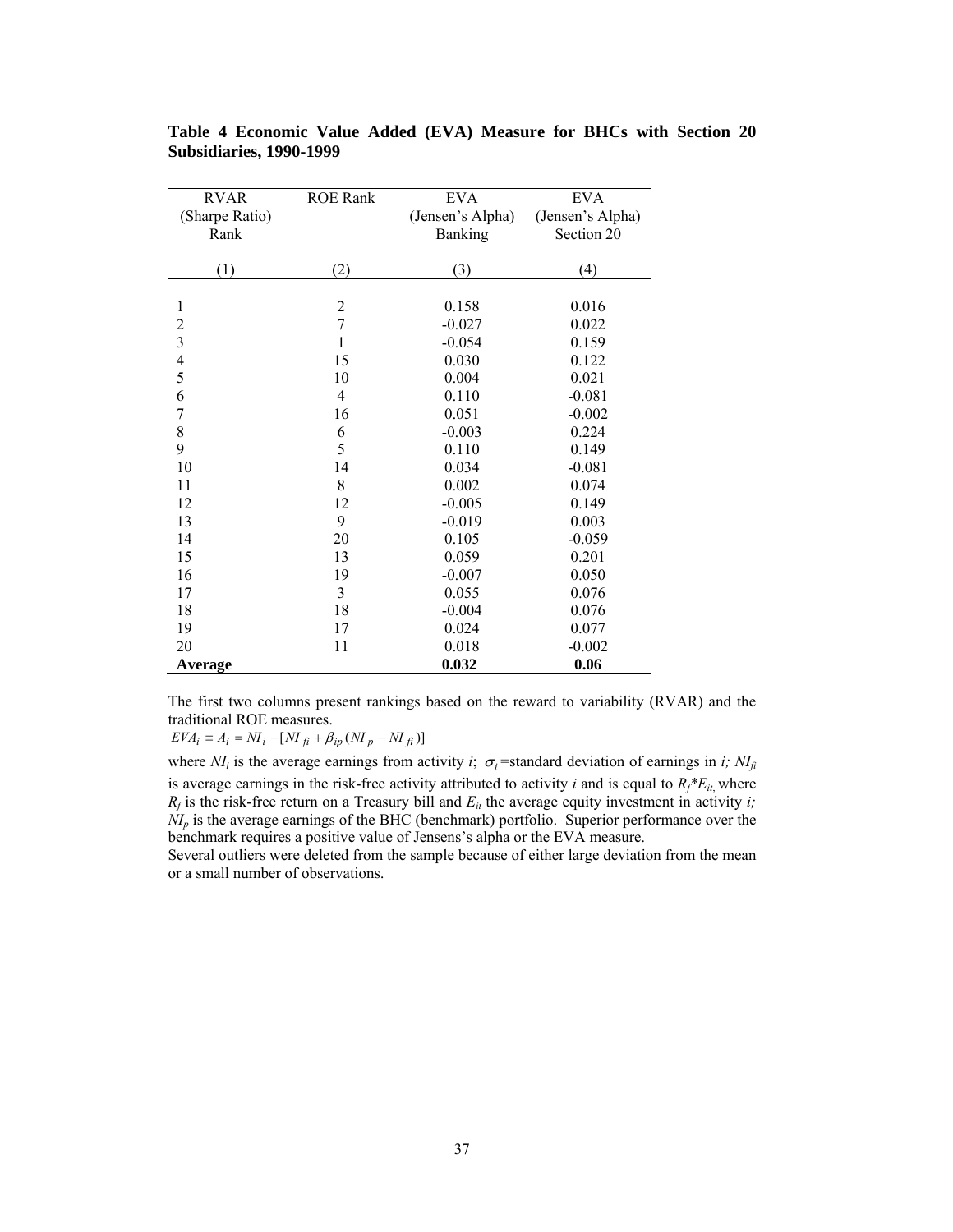| <b>RVAR</b>              | <b>ROE Rank</b>         | <b>EVA</b>       | <b>EVA</b>       |
|--------------------------|-------------------------|------------------|------------------|
| (Sharpe Ratio)           |                         | (Jensen's Alpha) | (Jensen's Alpha) |
| Rank                     |                         | Banking          | Section 20       |
|                          |                         |                  |                  |
| (1)                      | (2)                     | (3)              | (4)              |
|                          |                         |                  |                  |
| 1                        | $\overline{\mathbf{c}}$ | 0.158            | 0.016            |
| $\overline{c}$           | $\overline{7}$          | $-0.027$         | 0.022            |
| $\overline{\mathbf{3}}$  | $\mathbf{1}$            | $-0.054$         | 0.159            |
| $\overline{\mathcal{L}}$ | 15                      | 0.030            | 0.122            |
| 5                        | 10                      | 0.004            | 0.021            |
| 6                        | $\overline{4}$          | 0.110            | $-0.081$         |
| $\overline{7}$           | 16                      | 0.051            | $-0.002$         |
| 8                        | 6                       | $-0.003$         | 0.224            |
| 9                        | 5                       | 0.110            | 0.149            |
| 10                       | 14                      | 0.034            | $-0.081$         |
| 11                       | 8                       | 0.002            | 0.074            |
| 12                       | 12                      | $-0.005$         | 0.149            |
| 13                       | 9                       | $-0.019$         | 0.003            |
| 14                       | 20                      | 0.105            | $-0.059$         |
| 15                       | 13                      | 0.059            | 0.201            |
| 16                       | 19                      | $-0.007$         | 0.050            |
| 17                       | 3                       | 0.055            | 0.076            |
| 18                       | 18                      | $-0.004$         | 0.076            |
| 19                       | 17                      | 0.024            | 0.077            |
| 20                       | 11                      | 0.018            | $-0.002$         |
| Average                  |                         | 0.032            | 0.06             |

<span id="page-36-0"></span>**Table 4 Economic Value Added (EVA) Measure for BHCs with Section 20 Subsidiaries, 1990-1999** 

The first two columns present rankings based on the reward to variability (RVAR) and the traditional ROE measures.

 $EVA_i \equiv A_i = NI_i - [NI_{fi} + \beta_{ip}(NI_p - NI_{fi})]$ 

where  $NI_i$  is the average earnings from activity *i*;  $\sigma_i$ =standard deviation of earnings in *i*;  $NI_{fi}$ is average earnings in the risk-free activity attributed to activity *i* and is equal to  $R_f * E_{it}$ , where  $R_f$  is the risk-free return on a Treasury bill and  $E_{it}$  the average equity investment in activity *i*;  $\dot{N}I_p$  is the average earnings of the BHC (benchmark) portfolio. Superior performance over the benchmark requires a positive value of Jensens's alpha or the EVA measure.

Several outliers were deleted from the sample because of either large deviation from the mean or a small number of observations.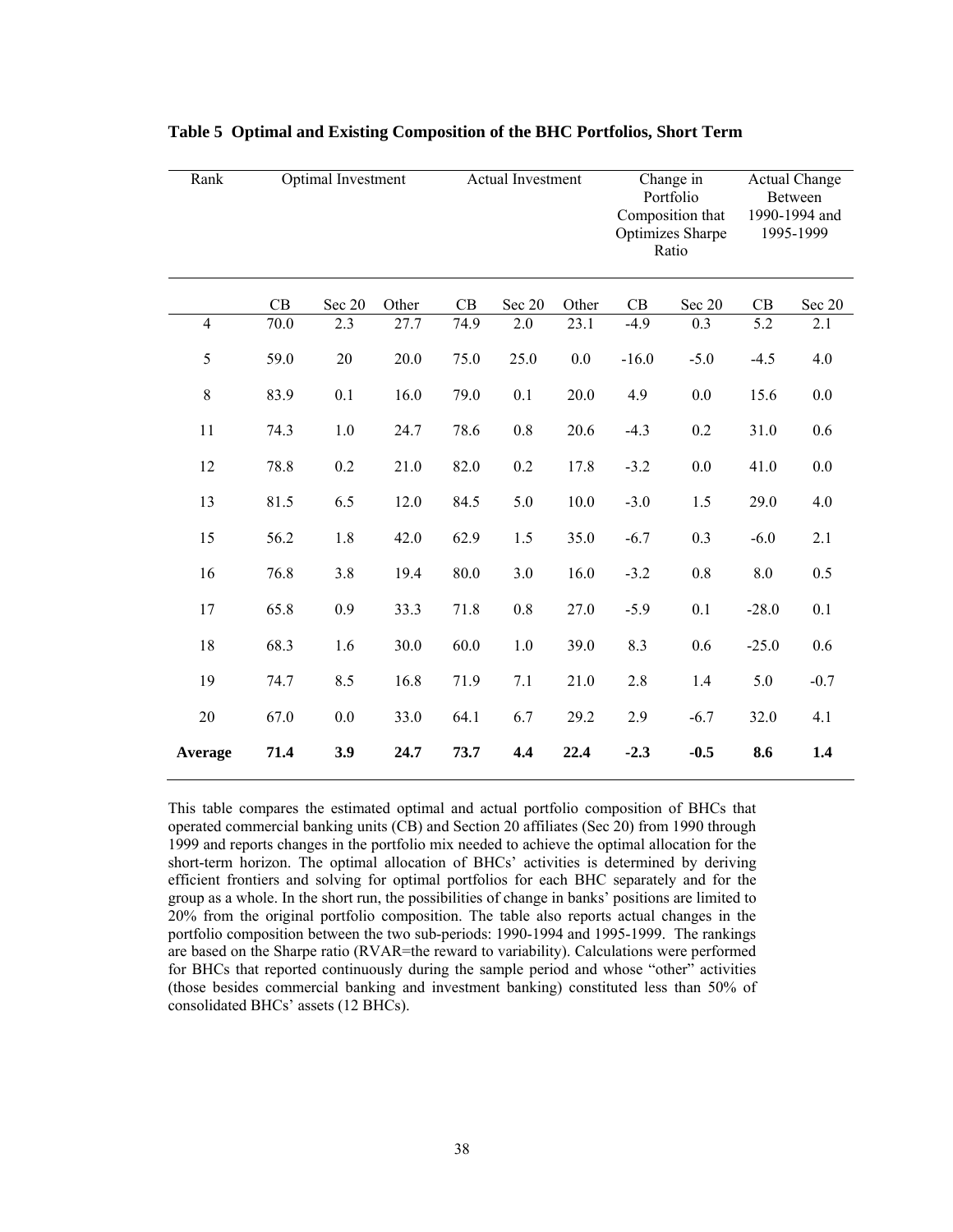| Rank           |      | Optimal Investment |       | Actual Investment |         |       | Change in<br>Portfolio<br>Composition that<br>Optimizes Sharpe<br>Ratio |         | <b>Actual Change</b><br>Between<br>1990-1994 and<br>1995-1999 |         |
|----------------|------|--------------------|-------|-------------------|---------|-------|-------------------------------------------------------------------------|---------|---------------------------------------------------------------|---------|
|                | CB   | Sec 20             | Other | CB                | Sec 20  | Other | CB                                                                      | Sec 20  | CB                                                            | Sec 20  |
| $\overline{4}$ | 70.0 | 2.3                | 27.7  | 74.9              | 2.0     | 23.1  | $-4.9$                                                                  | 0.3     | 5.2                                                           | 2.1     |
| 5              | 59.0 | 20                 | 20.0  | 75.0              | 25.0    | 0.0   | $-16.0$                                                                 | $-5.0$  | $-4.5$                                                        | 4.0     |
| 8              | 83.9 | 0.1                | 16.0  | 79.0              | 0.1     | 20.0  | 4.9                                                                     | 0.0     | 15.6                                                          | 0.0     |
| 11             | 74.3 | 1.0                | 24.7  | 78.6              | $0.8\,$ | 20.6  | $-4.3$                                                                  | 0.2     | 31.0                                                          | 0.6     |
| 12             | 78.8 | 0.2                | 21.0  | 82.0              | 0.2     | 17.8  | $-3.2$                                                                  | $0.0\,$ | 41.0                                                          | $0.0\,$ |
| 13             | 81.5 | 6.5                | 12.0  | 84.5              | 5.0     | 10.0  | $-3.0$                                                                  | 1.5     | 29.0                                                          | 4.0     |
| 15             | 56.2 | 1.8                | 42.0  | 62.9              | 1.5     | 35.0  | $-6.7$                                                                  | 0.3     | $-6.0$                                                        | 2.1     |
| 16             | 76.8 | 3.8                | 19.4  | 80.0              | 3.0     | 16.0  | $-3.2$                                                                  | 0.8     | 8.0                                                           | 0.5     |
| 17             | 65.8 | 0.9                | 33.3  | 71.8              | 0.8     | 27.0  | $-5.9$                                                                  | 0.1     | $-28.0$                                                       | 0.1     |
| 18             | 68.3 | 1.6                | 30.0  | 60.0              | 1.0     | 39.0  | 8.3                                                                     | 0.6     | $-25.0$                                                       | 0.6     |
| 19             | 74.7 | 8.5                | 16.8  | 71.9              | 7.1     | 21.0  | 2.8                                                                     | 1.4     | 5.0                                                           | $-0.7$  |
| 20             | 67.0 | $0.0\,$            | 33.0  | 64.1              | 6.7     | 29.2  | 2.9                                                                     | $-6.7$  | 32.0                                                          | 4.1     |
| Average        | 71.4 | 3.9                | 24.7  | 73.7              | 4,4     | 22.4  | $-2.3$                                                                  | $-0.5$  | 8.6                                                           | 1.4     |

<span id="page-37-0"></span>**Table 5 Optimal and Existing Composition of the BHC Portfolios, Short Term** 

This table compares the estimated optimal and actual portfolio composition of BHCs that operated commercial banking units (CB) and Section 20 affiliates (Sec 20) from 1990 through 1999 and reports changes in the portfolio mix needed to achieve the optimal allocation for the short-term horizon. The optimal allocation of BHCs' activities is determined by deriving efficient frontiers and solving for optimal portfolios for each BHC separately and for the group as a whole. In the short run, the possibilities of change in banks' positions are limited to 20% from the original portfolio composition. The table also reports actual changes in the portfolio composition between the two sub-periods: 1990-1994 and 1995-1999. The rankings are based on the Sharpe ratio (RVAR=the reward to variability). Calculations were performed for BHCs that reported continuously during the sample period and whose "other" activities (those besides commercial banking and investment banking) constituted less than 50% of consolidated BHCs' assets (12 BHCs).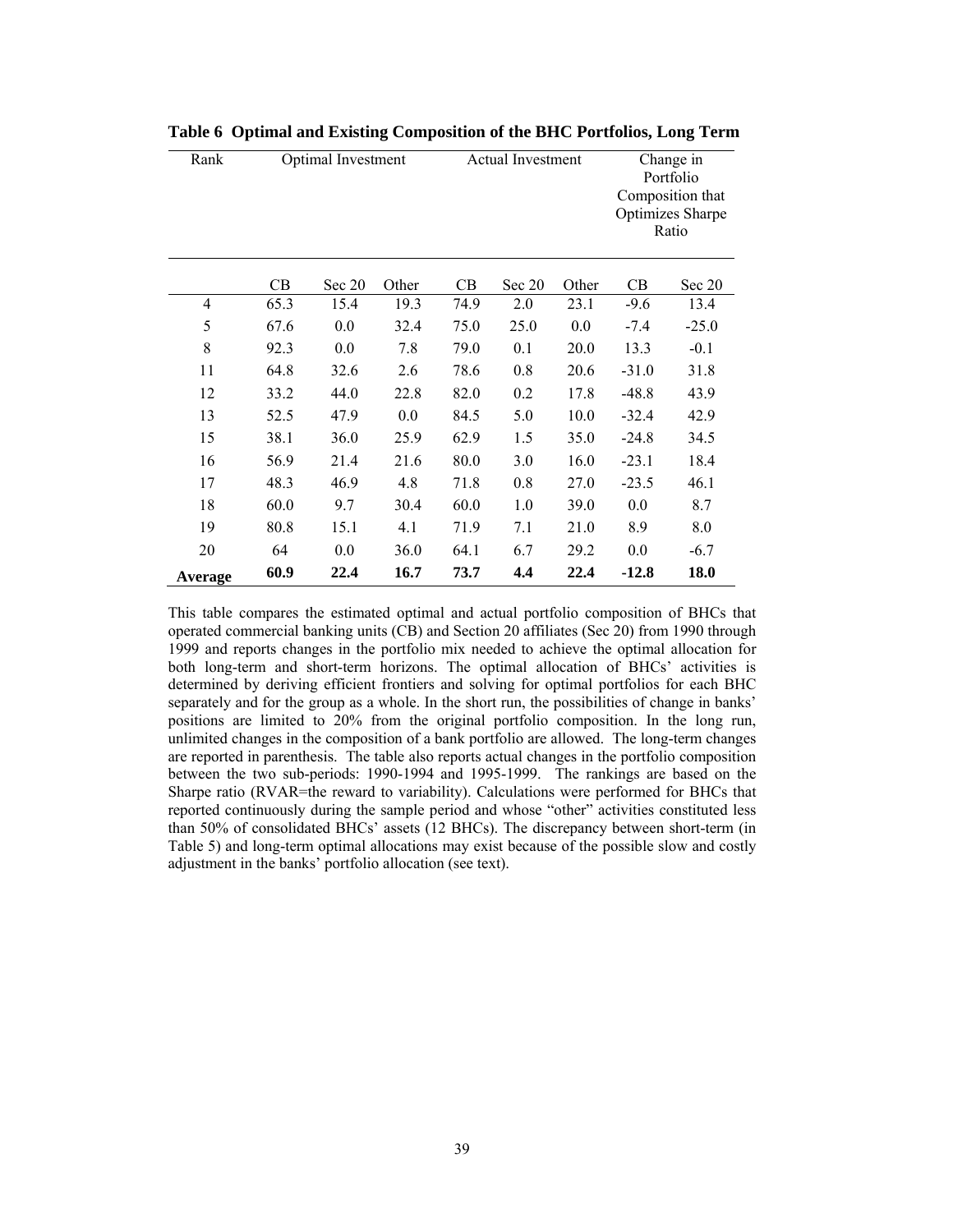| Rank    |      | Optimal Investment |       | <b>Actual Investment</b> |        |       | Change in<br>Portfolio<br>Composition that<br><b>Optimizes Sharpe</b><br>Ratio |         |  |
|---------|------|--------------------|-------|--------------------------|--------|-------|--------------------------------------------------------------------------------|---------|--|
|         | CB   | Sec 20             | Other | CB                       | Sec 20 | Other | CB                                                                             | Sec 20  |  |
| 4       | 65.3 | 15.4               | 19.3  | 74.9                     | 2.0    | 23.1  | $-9.6$                                                                         | 13.4    |  |
| 5       | 67.6 | 0.0                | 32.4  | 75.0                     | 25.0   | 0.0   | $-7.4$                                                                         | $-25.0$ |  |
| 8       | 92.3 | 0.0                | 7.8   | 79.0                     | 0.1    | 20.0  | 13.3                                                                           | $-0.1$  |  |
| 11      | 64.8 | 32.6               | 2.6   | 78.6                     | 0.8    | 20.6  | $-31.0$                                                                        | 31.8    |  |
| 12      | 33.2 | 44.0               | 22.8  | 82.0                     | 0.2    | 17.8  | $-48.8$                                                                        | 43.9    |  |
| 13      | 52.5 | 47.9               | 0.0   | 84.5                     | 5.0    | 10.0  | $-32.4$                                                                        | 42.9    |  |
| 15      | 38.1 | 36.0               | 25.9  | 62.9                     | 1.5    | 35.0  | $-24.8$                                                                        | 34.5    |  |
| 16      | 56.9 | 21.4               | 21.6  | 80.0                     | 3.0    | 16.0  | $-23.1$                                                                        | 18.4    |  |
| 17      | 48.3 | 46.9               | 4.8   | 71.8                     | 0.8    | 27.0  | $-23.5$                                                                        | 46.1    |  |
| 18      | 60.0 | 9.7                | 30.4  | 60.0                     | 1.0    | 39.0  | 0.0                                                                            | 8.7     |  |
| 19      | 80.8 | 15.1               | 4.1   | 71.9                     | 7.1    | 21.0  | 8.9                                                                            | 8.0     |  |
| 20      | 64   | 0.0                | 36.0  | 64.1                     | 6.7    | 29.2  | 0.0                                                                            | $-6.7$  |  |
| Average | 60.9 | 22.4               | 16.7  | 73.7                     | 4.4    | 22.4  | $-12.8$                                                                        | 18.0    |  |

<span id="page-38-0"></span>**Table 6 Optimal and Existing Composition of the BHC Portfolios, Long Term** 

This table compares the estimated optimal and actual portfolio composition of BHCs that operated commercial banking units (CB) and Section 20 affiliates (Sec 20) from 1990 through 1999 and reports changes in the portfolio mix needed to achieve the optimal allocation for both long-term and short-term horizons. The optimal allocation of BHCs' activities is determined by deriving efficient frontiers and solving for optimal portfolios for each BHC separately and for the group as a whole. In the short run, the possibilities of change in banks' positions are limited to 20% from the original portfolio composition. In the long run, unlimited changes in the composition of a bank portfolio are allowed. The long-term changes are reported in parenthesis. The table also reports actual changes in the portfolio composition between the two sub-periods: 1990-1994 and 1995-1999. The rankings are based on the Sharpe ratio (RVAR=the reward to variability). Calculations were performed for BHCs that reported continuously during the sample period and whose "other" activities constituted less than 50% of consolidated BHCs' assets (12 BHCs). The discrepancy between short-term (in [Table 5\)](#page-37-0) and long-term optimal allocations may exist because of the possible slow and costly adjustment in the banks' portfolio allocation (see text).